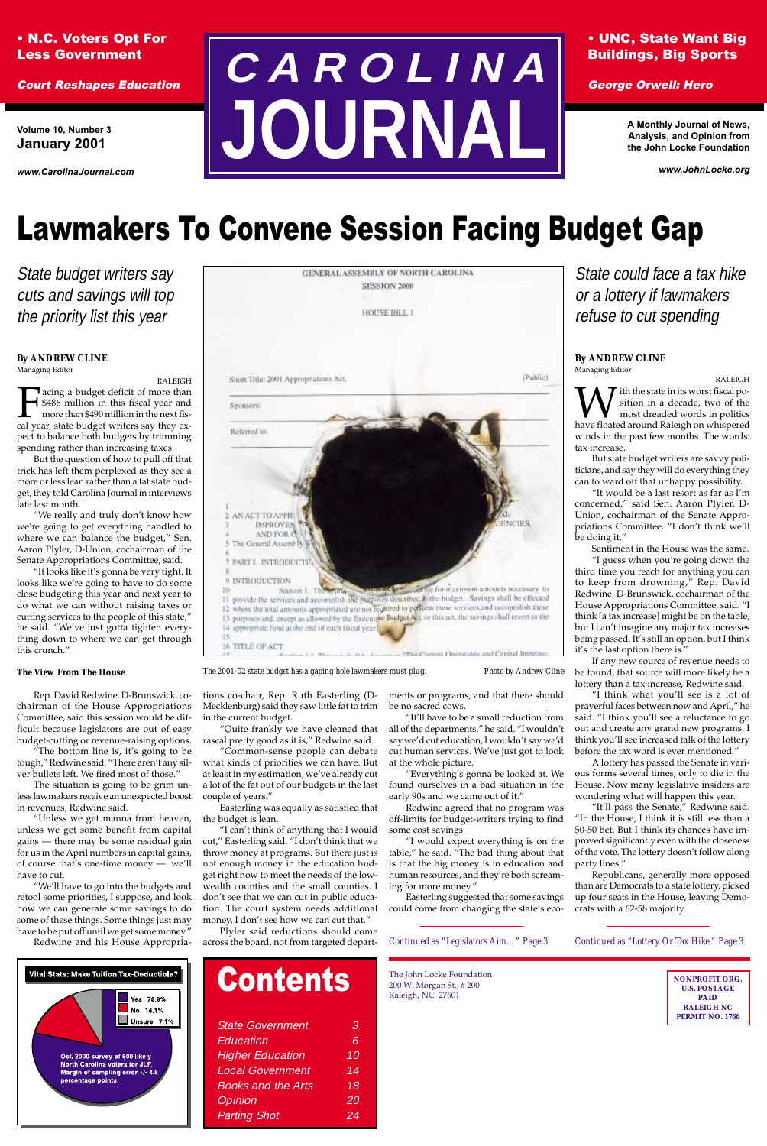### • N.C. Voters Opt For Less Government

Court Reshapes Education

# Lawmakers To Convene Session Facing Budget Gap

State budget writers say cuts and savings will top the priority list this year



*The 2001-02 state budget has a gaping hole lawmakers must plug. Photo by Andrew Cline*

### • UNC, State Want Big Buildings, Big Sports

George Orwell: Hero

**Volume 10, Number 3 January 2001**

*www.CarolinaJournal.com*

**A Monthly Journal of News, Analysis, and Opinion from the John Locke Foundation**

*www.JohnLocke.org*

# **C A R O L I N A JOURNAL**

| <b>Contents</b> |  |
|-----------------|--|
|                 |  |

| <b>State Government</b>   | З  |
|---------------------------|----|
| Education                 | 6  |
| <b>Higher Education</b>   | 10 |
| <b>Local Government</b>   | 14 |
| <b>Books and the Arts</b> | 18 |
| Opinion                   | 20 |
| <b>Parting Shot</b>       | 24 |

*Continued as "Lottery Or Tax Hike," Page 3*



The John Locke Foundation 200 W. Morgan St., # 200 Raleigh, NC 27601

#### **By ANDREW CLINE**

Managing Editor

RALEIGH Facing a budget deficit of more than<br>  $\frac{1}{2}$  \$486 million in this fiscal year and<br>
more than \$490 million in the next fis-<br>
cal year, state budget writers say they ex-\$486 million in this fiscal year and more than \$490 million in the next fispect to balance both budgets by trimming spending rather than increasing taxes.

But the question of how to pull off that trick has left them perplexed as they see a more or less lean rather than a fat state budget, they told Carolina Journal in interviews late last month.

"We really and truly don't know how we're going to get everything handled to where we can balance the budget," Sen. Aaron Plyler, D-Union, cochairman of the Senate Appropriations Committee, said.

"It looks like it's gonna be very tight. It looks like we're going to have to do some close budgeting this year and next year to do what we can without raising taxes or cutting services to the people of this state," he said. "We've just gotta tighten everything down to where we can get through this crunch."

#### *The View From The House*

Rep. David Redwine, D-Brunswick, cochairman of the House Appropriations Committee, said this session would be difficult because legislators are out of easy budget-cutting or revenue-raising options.

"The bottom line is, it's going to be tough," Redwine said. "There aren't any silver bullets left. We fired most of those."

The situation is going to be grim unless lawmakers receive an unexpected boost in revenues, Redwine said.

"Unless we get manna from heaven, unless we get some benefit from capital gains — there may be some residual gain for us in the April numbers in capital gains, of course that's one-time money — we'll have to cut.

W sition in a decade, two of the most dreaded words in politics have floated around Raleigh on whispered sition in a decade, two of the most dreaded words in politics winds in the past few months. The words: tax increase.

"We'll have to go into the budgets and retool some priorities, I suppose, and look how we can generate some savings to do some of these things. Some things just may have to be put off until we get some money."

Redwine and his House Appropria-

in the current budget.

at least in my estimation, we've already cut a lot of the fat out of our budgets in the last

couple of years."

Easterling was equally as satisfied that

the budget is lean.

"I can't think of anything that I would

tions co-chair, Rep. Ruth Easterling (D-Mecklenburg) said they saw little fat to trim ments or programs, and that there should be no sacred cows.

"Quite frankly we have cleaned that rascal pretty good as it is," Redwine said. "Common-sense people can debate what kinds of priorities we can have. But "It'll have to be a small reduction from all of the departments," he said. "I wouldn't say we'd cut education, I wouldn't say we'd cut human services. We've just got to look at the whole picture.

cut," Easterling said. "I don't think that we throw money at programs. But there just is not enough money in the education budget right now to meet the needs of the lowwealth counties and the small counties. I don't see that we can cut in public education. The court system needs additional money, I don't see how we can cut that."

Plyler said reductions should come across the board, not from targeted depart-

"Everything's gonna be looked at. We found ourselves in a bad situation in the early 90s and we came out of it."

Redwine agreed that no program was off-limits for budget-writers trying to find some cost savings.

*Continued as "Legislators Aim…" Page 3*

State could face a tax hike or a lottery if lawmakers refuse to cut spending

#### **By ANDREW CLINE** Managing Editor

RALEIGH

But state budget writers are savvy politicians, and say they will do everything they can to ward off that unhappy possibility.

"It would be a last resort as far as I'm concerned," said Sen. Aaron Plyler, D-Union, cochairman of the Senate Appropriations Committee. "I don't think we'll be doing it."

Sentiment in the House was the same.

"I would expect everything is on the table," he said. "The bad thing about that is that the big money is in education and human resources, and they're both screaming for more money." Easterling suggested that some savings could come from changing the state's ecoparty lines."

"I guess when you're going down the third time you reach for anything you can to keep from drowning," Rep. David Redwine, D-Brunswick, cochairman of the House Appropriations Committee, said. "I think [a tax increase] might be on the table, but I can't imagine any major tax increases being passed. It's still an option, but I think it's the last option there is."

If any new source of revenue needs to be found, that source will more likely be a lottery than a tax increase, Redwine said.

"I think what you'll see is a lot of prayerful faces between now and April," he said. "I think you'll see a reluctance to go out and create any grand new programs. I think you'll see increased talk of the lottery before the tax word is ever mentioned."

A lottery has passed the Senate in various forms several times, only to die in the House. Now many legislative insiders are wondering what will happen this year.

"It'll pass the Senate," Redwine said. "In the House, I think it is still less than a 50-50 bet. But I think its chances have improved significantly even with the closeness

of the vote. The lottery doesn't follow along

Republicans, generally more opposed than are Democrats to a state lottery, picked up four seats in the House, leaving Democrats with a 62-58 majority.

> **NONPROFIT ORG. U.S. POSTAGE PAID RALEIGH NC PERMIT NO. 1766**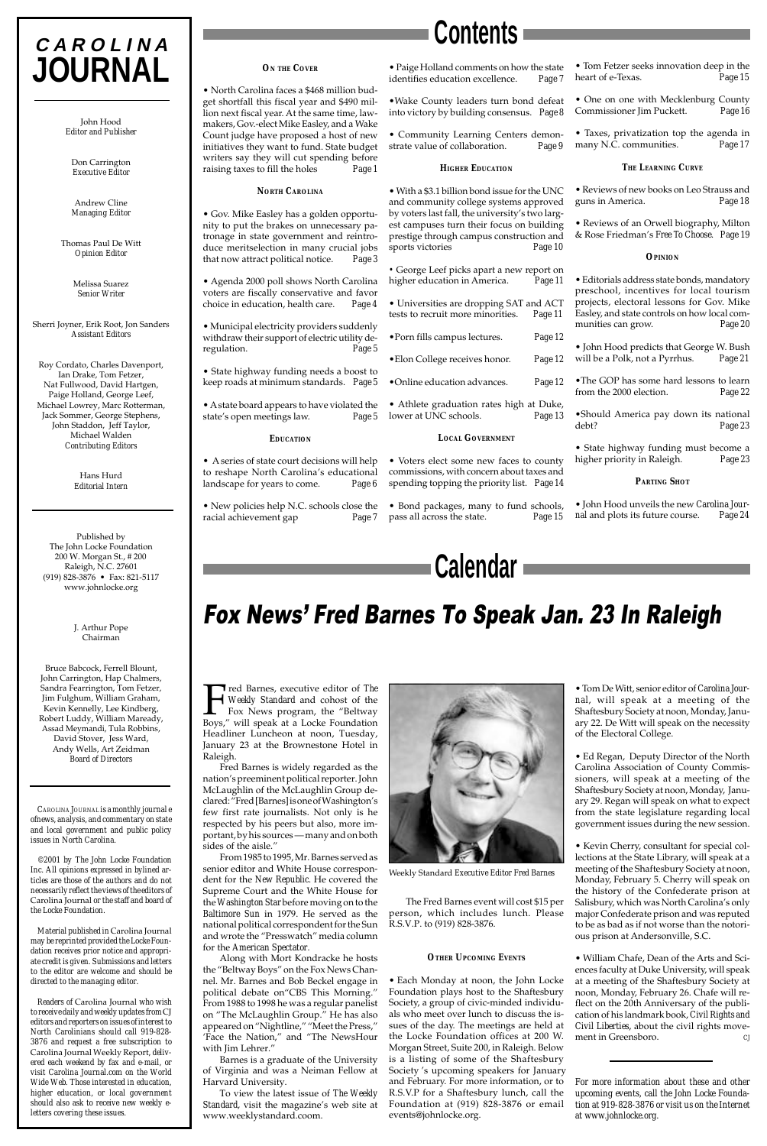#### *ON THE COVER*

• North Carolina faces a \$468 million budget shortfall this fiscal year and \$490 million next fiscal year. At the same time, lawmakers, Gov.-elect Mike Easley, and a Wake Count judge have proposed a host of new initiatives they want to fund. State budget writers say they will cut spending before raising taxes to fill the holes *Page 1*

#### *NORTH CAROLINA*

• Gov. Mike Easley has a golden opportunity to put the brakes on unnecessary patronage in state government and reintroduce meritselection in many crucial jobs that now attract political notice. *Page 3*

• Agenda 2000 poll shows North Carolina voters are fiscally conservative and favor choice in education, health care. *Page 4*

• Municipal electricity providers suddenly withdraw their support of electric utility deregulation. *Page 5*

• State highway funding needs a boost to keep roads at minimum standards. *Page 5*

• A state board appears to have violated the state's open meetings law. *Page 5*

#### *EDUCATION*

• A series of state court decisions will help to reshape North Carolina's educational landscape for years to come. *Page 6*

• New policies help N.C. schools close the racial achievement gap *Page 7*

• Paige Holland comments on how the state identifies education excellence. *Page 7*

•Wake County leaders turn bond defeat into victory by building consensus. *Page 8*

• Community Learning Centers demonstrate value of collaboration. *Page 9*

#### *HIGHER EDUCATION*

• With a \$3.1 billion bond issue for the UNC and community college systems approved by voters last fall, the university's two largest campuses turn their focus on building prestige through campus construction and sports victories *Page 10*

*•* George Leef picks apart a new report on higher education in America. *Page 11*

• Universities are dropping SAT and ACT tests to recruit more minorities. *Page 11*

•Porn fills campus lectures. *Page 12*

•Elon College receives honor. *Page 12*

•Online education advances. *Page 12*

• Athlete graduation rates high at Duke, lower at UNC schools. *Page 13*

#### *LOCAL GOVERNMENT*

• Voters elect some new faces to county commissions, with concern about taxes and spending topping the priority list. *Page 14*

• Bond packages, many to fund schools, pass all across the state. *Page 15*

#### • Tom Fetzer seeks innovation deep in the heart of e-Texas. *Page 15*

• One on one with Mecklenburg County Commissioner Jim Puckett. *Page 16*

• Taxes, privatization top the agenda in many N.C. communities. *Page 17*

#### *THE LEARNING CURVE*

• Reviews of new books on Leo Strauss and guns in America. *Page 18*

• Reviews of an Orwell biography, Milton & Rose Friedman's *Free To Choose*. *Page 19*

#### *OPINION*

• Editorials address state bonds, mandatory preschool, incentives for local tourism projects, electoral lessons for Gov. Mike Easley, and state controls on how local communities can grow. *Page 20*

• John Hood predicts that George W. Bush will be a Polk, not a Pyrrhus. *Page 21*

•The GOP has some hard lessons to learn from the 2000 election. *Page 22*

•Should America pay down its national debt? *Page 23*

• State highway funding must become a higher priority in Raleigh. *Page 23*

#### *PARTING SHOT*

• John Hood unveils the new *Carolina Journal* and plots its future course. *Page 24*

Fred Barnes, executive editor of *The Weekly Standard* and cohost of the Fox News program, the "Beltway Boys," will speak at a Locke Foundation Headliner Luncheon at noon, Tuesday, January 23 at the Brownestone Hotel in Raleigh.

Fred Barnes is widely regarded as the nation's preeminent political reporter. John McLaughlin of the McLaughlin Group declared: "Fred [Barnes] is one of Washington's few first rate journalists. Not only is he respected by his peers but also, more important, by his sources — many and on both



sides of the aisle."

From 1985 to 1995, Mr. Barnes served as senior editor and White House correspondent for the *New Republic*. He covered the Supreme Court and the White House for the *Washington Star* before moving on to the *Baltimore Sun* in 1979. He served as the national political correspondent for the Sun and wrote the "Presswatch" media column for the *American Spectator*.

Along with Mort Kondracke he hosts the "Beltway Boys" on the Fox News Channel. Mr. Barnes and Bob Beckel engage in political debate on"CBS This Morning." From 1988 to 1998 he was a regular panelist on "The McLaughlin Group." He has also appeared on "Nightline," "Meet the Press," 'Face the Nation," and "The NewsHour with Jim Lehrer."

Barnes is a graduate of the University of Virginia and was a Neiman Fellow at Harvard University.

To view the latest issue of *The Weekly Standard*, visit the magazine's web site at www.weeklystandard.coom.



## Fox News' Fred Barnes To Speak Jan. 23 In Raleigh

Weekly Standard *Executive Editor Fred Barnes*

The Fred Barnes event will cost \$15 per person, which includes lunch. Please R.S.V.P. to (919) 828-3876.

#### *OTHER UPCOMING EVENTS*

• Each Monday at noon, the John Locke Foundation plays host to the Shaftesbury Society, a group of civic-minded individuals who meet over lunch to discuss the issues of the day. The meetings are held at the Locke Foundation offices at 200 W. Morgan Street, Suite 200, in Raleigh. Below is a listing of some of the Shaftesbury Society 's upcoming speakers for January and February. For more information, or to R.S.V.P for a Shaftesbury lunch, call the Foundation at (919) 828-3876 or email events@johnlocke.org.

• Tom De Witt, senior editor of *Carolina Journal*, will speak at a meeting of the Shaftesbury Society at noon, Monday, January 22. De Witt will speak on the necessity of the Electoral College.

• Ed Regan, Deputy Director of the North Carolina Association of County Commissioners, will speak at a meeting of the Shaftesbury Society at noon, Monday, January 29. Regan will speak on what to expect from the state legislature regarding local government issues during the new session.

• Kevin Cherry, consultant for special collections at the State Library, will speak at a meeting of the Shaftesbury Society at noon, Monday, February 5. Cherry will speak on the history of the Confederate prison at Salisbury, which was North Carolina's only major Confederate prison and was reputed to be as bad as if not worse than the notorious prison at Andersonville, S.C.

• William Chafe, Dean of the Arts and Sciences faculty at Duke University, will speak at a meeting of the Shaftesbury Society at noon, Monday, February 26. Chafe will reflect on the 20th Anniversary of the publication of his landmark book, *Civil Rights and Civil Liberties*, about the civil rights movement in Greensboro. *CJ*

*For more information about these and other upcoming events, call the John Locke Foundation at 919-828-3876 or visit us on the Internet at www.johnlocke.org.*

## **C A R O L I N A JOURNAL**

John Hood *Editor and Publisher*

Don Carrington *Executive Editor*

Andrew Cline *Managing Editor*

Thomas Paul De Witt *Opinion Editor*

> Melissa Suarez *Senior Writer*

Sherri Joyner, Erik Root, Jon Sanders *Assistant Editors*

Roy Cordato, Charles Davenport, Ian Drake, Tom Fetzer, Nat Fullwood, David Hartgen, Paige Holland, George Leef, Michael Lowrey, Marc Rotterman, Jack Sommer, George Stephens, John Staddon, Jeff Taylor, Michael Walden *Contributing Editors*

> Hans Hurd *Editorial Intern*

Published by The John Locke Foundation 200 W. Morgan St., # 200 Raleigh, N.C. 27601 (919) 828-3876 • Fax: 821-5117 www.johnlocke.org

> J. Arthur Pope Chairman

Bruce Babcock, Ferrell Blount, John Carrington, Hap Chalmers, Sandra Fearrington, Tom Fetzer, Jim Fulghum, William Graham, Kevin Kennelly, Lee Kindberg, Robert Luddy, William Maready, Assad Meymandi, Tula Robbins, David Stover, Jess Ward, Andy Wells, Art Zeidman *Board of Directors*

*CAROLINA JOURNAL is a monthly journal e ofnews, analysis, and commentary on state and local government and public policy issues in North Carolina.*

*©2001 by The John Locke Foundation Inc. All opinions expressed in bylined articles are those of the authors and do not necessarily reflect the views of the editors of* Carolina Journal *or the staff and board of the Locke Foundation.*

*Material published in* Carolina Journal *may be reprinted provided the Locke Foundation receives prior notice and appropriate credit is given. Submissions and letters to the editor are welcome and should be directed to the managing editor.*

*Readers of* Carolina Journal *who wish to receive daily and weekly updates from* CJ *editors and reporters on issues of interest to North Carolinians should call 919-828- 3876 and request a free subscription to* Carolina Journal Weekly Report*, delivered each weekend by fax and e-mail, or visit Carolina Journal.com on the World Wide Web. Those interested in education, higher education, or local government should also ask to receive new weekly eletters covering these issues.*

**Contents**

**Calendar**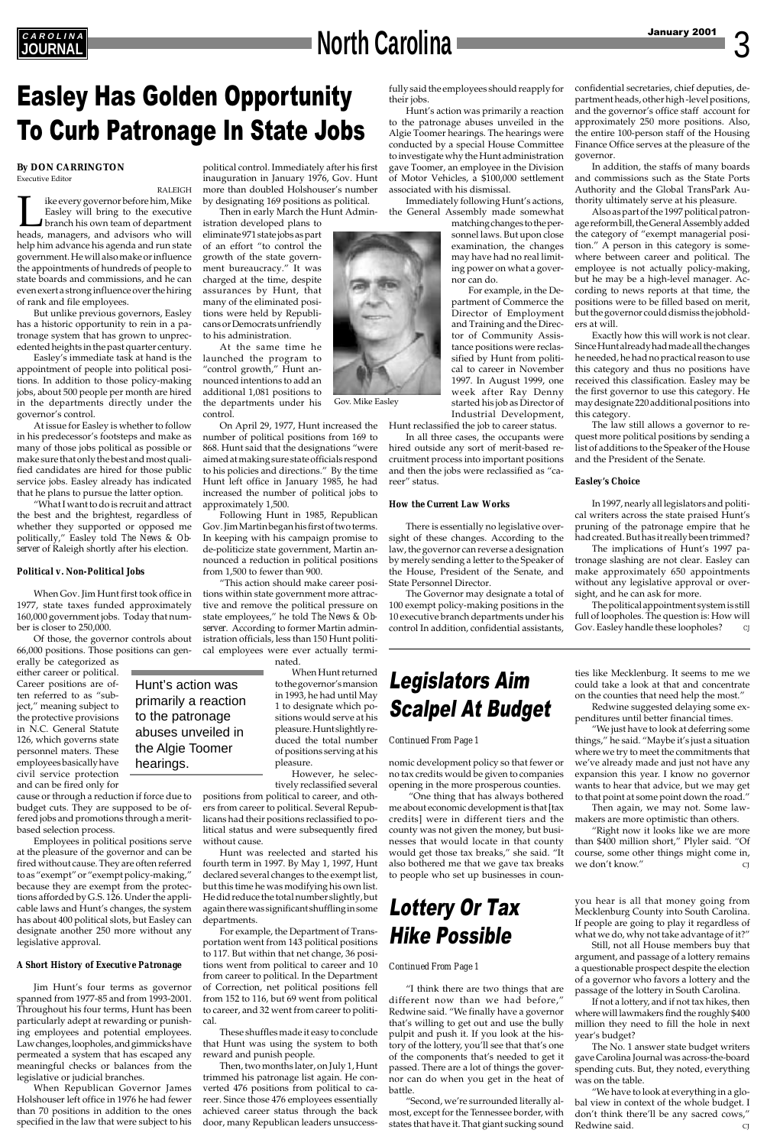# **North Carolina**

## *AROLINA*

## Easley Has Golden Opportunity To Curb Patronage In State Jobs

## Legislators Aim Scalpel At Budget

#### *Continued From Page 1*

#### **By DON CARRINGTON** Executive Editor

RALEIGH Ike every governor before him, Mike<br>Easley will bring to the executive<br>branch his own team of department<br>heads, managers, and advisors who will Easley will bring to the executive branch his own team of department heads, managers, and advisors who will help him advance his agenda and run state government. He will also make or influence the appointments of hundreds of people to state boards and commissions, and he can even exert a strong influence over the hiring of rank and file employees.

But unlike previous governors, Easley has a historic opportunity to rein in a patronage system that has grown to unprecedented heights in the past quarter century.

Easley's immediate task at hand is the appointment of people into political positions. In addition to those policy-making jobs, about 500 people per month are hired in the departments directly under the governor's control.

At issue for Easley is whether to follow in his predecessor's footsteps and make as many of those jobs political as possible or make sure that only the best and most qualified candidates are hired for those public service jobs. Easley already has indicated that he plans to pursue the latter option.

"What I want to do is recruit and attract the best and the brightest, regardless of whether they supported or opposed me politically," Easley told *The News & Observer* of Raleigh shortly after his election.

#### *Political v. Non-Political Jobs*

When Gov. Jim Hunt first took office in 1977, state taxes funded approximately 160,000 government jobs. Today that number is closer to 250,000.

Of those, the governor controls about 66,000 positions. Those positions can gen-

erally be categorized as either career or political. Career positions are often referred to as "subject," meaning subject to the protective provisions in N.C. General Statute 126, which governs state personnel maters. These employees basically have civil service protection and can be fired only for

cause or through a reduction if force due to budget cuts. They are supposed to be offered jobs and promotions through a meritbased selection process.

Employees in political positions serve at the pleasure of the governor and can be fired without cause. They are often referred to as "exempt" or "exempt policy-making," because they are exempt from the protections afforded by G.S. 126. Under the applicable laws and Hunt's changes, the system has about 400 political slots, but Easley can designate another 250 more without any legislative approval.

#### *A Short History of Executive Patronage*

Jim Hunt's four terms as governor spanned from 1977-85 and from 1993-2001. Throughout his four terms, Hunt has been particularly adept at rewarding or punishing employees and potential employees. Law changes, loopholes, and gimmicks have permeated a system that has escaped any meaningful checks or balances from the legislative or judicial branches.

When Republican Governor James Holshouser left office in 1976 he had fewer than 70 positions in addition to the ones specified in the law that were subject to his

political control. Immediately after his first inauguration in January 1976, Gov. Hunt more than doubled Holshouser's number by designating 169 positions as political.

Then in early March the Hunt Admin-

istration developed plans to eliminate 971 state jobs as part

growth of the state govern-



to his administration.

control.

On April 29, 1977, Hunt increased the number of political positions from 169 to 868. Hunt said that the designations "were aimed at making sure state officials respond to his policies and directions." By the time Hunt left office in January 1985, he had increased the number of political jobs to approximately 1,500.

Following Hunt in 1985, Republican Gov. Jim Martin began his first of two terms. In keeping with his campaign promise to de-politicize state government, Martin announced a reduction in political positions from 1,500 to fewer than 900.

"This action should make career positions within state government more attractive and remove the political pressure on state employees," he told *The News & Observer*. According to former Martin administration officials, less than 150 Hunt political employees were ever actually terminated.

The political appointment system is still full of loopholes. The question is: How will Gov. Easley handle these loopholes?

When Hunt returned to the governor's mansion in 1993, he had until May 1 to designate which positions would serve at his pleasure. Hunt slightly reduced the total number of positions serving at his pleasure.

However, he selectively reclassified several positions from political to career, and oth-

ers from career to political. Several Republicans had their positions reclassified to political status and were subsequently fired

without cause.

Hunt was reelected and started his fourth term in 1997. By May 1, 1997, Hunt declared several changes to the exempt list, but this time he was modifying his own list. He did reduce the total number slightly, but again there was significant shuffling in some departments.

"Right now it looks like we are more than \$400 million short," Plyler said. "Of we don't know."

For example, the Department of Transportation went from 143 political positions to 117. But within that net change, 36 positions went from political to career and 10 from career to political. In the Department of Correction, net political positions fell from 152 to 116, but 69 went from political to career, and 32 went from career to political.

These shuffles made it easy to conclude that Hunt was using the system to both reward and punish people.

> "We have to look at everything in a global view in context of the whole budget. I don't think there'll be any sacred cows," Redwine said.

Then, two months later, on July 1, Hunt trimmed his patronage list again. He converted 476 positions from political to career. Since those 476 employees essentially achieved career status through the back door, many Republican leaders unsuccessfully said the employees should reapply for their jobs.

Hunt's action was primarily a reaction to the patronage abuses unveiled in the Algie Toomer hearings. The hearings were conducted by a special House Committee to investigate why the Hunt administration gave Toomer, an employee in the Division of Motor Vehicles, a \$100,000 settlement associated with his dismissal.

Immediately following Hunt's actions, the General Assembly made somewhat

> matching changes to the personnel laws. But upon close examination, the changes may have had no real limiting power on what a governor can do.

> For example, in the Department of Commerce the Director of Employment and Training and the Director of Community Assistance positions were reclassified by Hunt from political to career in November 1997. In August 1999, one week after Ray Denny started his job as Director of Industrial Development,

Hunt reclassified the job to career status.

In all three cases, the occupants were hired outside any sort of merit-based recruitment process into important positions and then the jobs were reclassified as "career" status.

#### *How the Current Law Works*

There is essentially no legislative oversight of these changes. According to the law, the governor can reverse a designation by merely sending a letter to the Speaker of the House, President of the Senate, and State Personnel Director.

The Governor may designate a total of 100 exempt policy-making positions in the 10 executive branch departments under his control In addition, confidential assistants, confidential secretaries, chief deputies, department heads, other high -level positions, and the governor's office staff account for approximately 250 more positions. Also, the entire 100-person staff of the Housing Finance Office serves at the pleasure of the governor.

In addition, the staffs of many boards and commissions such as the State Ports Authority and the Global TransPark Authority ultimately serve at his pleasure.

Also as part of the 1997 political patronage reform bill, the General Assembly added the category of "exempt managerial position." A person in this category is somewhere between career and political. The employee is not actually policy-making, but he may be a high-level manager. According to news reports at that time, the positions were to be filled based on merit, but the governor could dismiss the jobholders at will.

Exactly how this will work is not clear. Since Hunt already had made all the changes he needed, he had no practical reason to use this category and thus no positions have received this classification. Easley may be the first governor to use this category. He may designate 220 additional positions into this category.

The law still allows a governor to request more political positions by sending a list of additions to the Speaker of the House and the President of the Senate.

#### *Easley's Choice*

In 1997, nearly all legislators and political writers across the state praised Hunt's pruning of the patronage empire that he had created. But has it really been trimmed?

The implications of Hunt's 1997 patronage slashing are not clear. Easley can make approximately 650 appointments without any legislative approval or oversight, and he can ask for more.

nomic development policy so that fewer or no tax credits would be given to companies opening in the more prosperous counties.

 "One thing that has always bothered me about economic development is that [tax credits] were in different tiers and the county was not given the money, but busisses that would locate in that county would get those tax breaks," she said. "It course, some other things might come in, also bothered me that we gave tax breaks to people who set up businesses in coun-

"I think there are two things that are different now than we had before," Redwine said. "We finally have a governor that's willing to get out and use the bully pulpit and push it. If you look at the history of the lottery, you'll see that that's one of the components that's needed to get it passed. There are a lot of things the governor can do when you get in the heat of battle.

"Second, we're surrounded literally almost, except for the Tennessee border, with states that have it. That giant sucking sound

#### *Continued From Page 1*

## Lottery Or Tax Hike Possible

ties like Mecklenburg. It seems to me we could take a look at that and concentrate on the counties that need help the most."

Redwine suggested delaying some expenditures until better financial times.

"We just have to look at deferring some things," he said. "Maybe it's just a situation where we try to meet the commitments that we've already made and just not have any expansion this year. I know no governor wants to hear that advice, but we may get to that point at some point down the road."

Then again, we may not. Some lawmakers are more optimistic than others.

you hear is all that money going from Mecklenburg County into South Carolina. If people are going to play it regardless of what we do, why not take advantage of it?" Still, not all House members buy that

argument, and passage of a lottery remains a questionable prospect despite the election of a governor who favors a lottery and the passage of the lottery in South Carolina.

If not a lottery, and if not tax hikes, then where will lawmakers find the roughly \$400 million they need to fill the hole in next year's budget?

The No. 1 answer state budget writers gave Carolina Journal was across-the-board spending cuts. But, they noted, everything was on the table.

Hunt's action was primarily a reaction to the patronage abuses unveiled in the Algie Toomer

hearings.

Gov. Mike Easley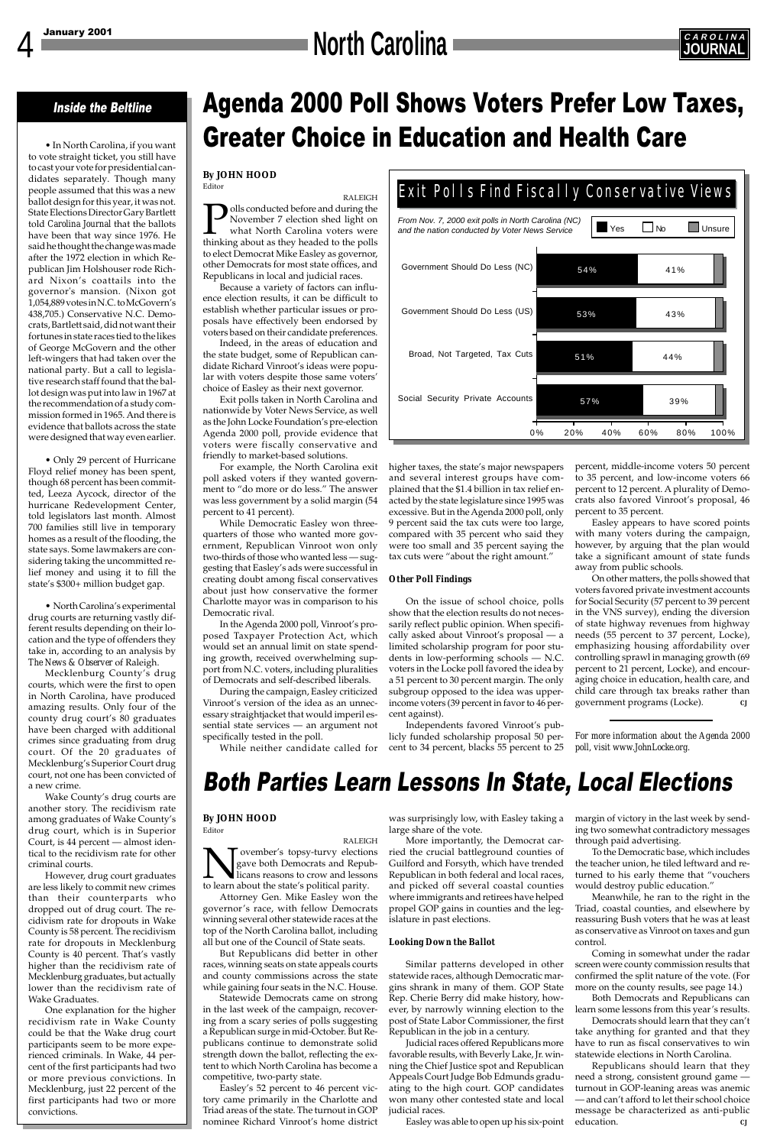# **North Carolina Carolina Carolina CAROLINAL**

# Agenda 2000 Poll Shows Voters Prefer Low Taxes, Greater Choice in Education and Health Care

#### Inside the Beltline

• In North Carolina, if you want to vote straight ticket, you still have to cast your vote for presidential candidates separately. Though many people assumed that this was a new ballot design for this year, it was not. State Elections Director Gary Bartlett told *Carolina Journal* that the ballots have been that way since 1976. He said he thought the change was made after the 1972 election in which Republican Jim Holshouser rode Richard Nixon's coattails into the governor's mansion. (Nixon got 1,054,889 votes in N.C. to McGovern's 438,705.) Conservative N.C. Democrats, Bartlett said, did not want their fortunes in state races tied to the likes of George McGovern and the other left-wingers that had taken over the national party. But a call to legislative research staff found that the ballot design was put into law in 1967 at the recommendation of a study commission formed in 1965. And there is evidence that ballots across the state were designed that way even earlier.

• Only 29 percent of Hurricane Floyd relief money has been spent, though 68 percent has been committed, Leeza Aycock, director of the hurricane Redevelopment Center, told legislators last month. Almost 700 families still live in temporary homes as a result of the flooding, the state says. Some lawmakers are considering taking the uncommitted relief money and using it to fill the state's \$300+ million budget gap.

• North Carolina's experimental drug courts are returning vastly different results depending on their location and the type of offenders they take in, according to an analysis by *The News & Observer* of Raleigh.

Mecklenburg County's drug courts, which were the first to open in North Carolina, have produced amazing results. Only four of the county drug court's 80 graduates have been charged with additional crimes since graduating from drug court. Of the 20 graduates of Mecklenburg's Superior Court drug court, not one has been convicted of a new crime.

Wake County's drug courts are another story. The recidivism rate among graduates of Wake County's drug court, which is in Superior Court, is 44 percent — almost identical to the recidivism rate for other criminal courts. However, drug court graduates are less likely to commit new crimes than their counterparts who dropped out of drug court. The recidivism rate for dropouts in Wake County is 58 percent. The recidivism rate for dropouts in Mecklenburg County is 40 percent. That's vastly higher than the recidivism rate of Mecklenburg graduates, but actually lower than the recidivism rate of Wake Graduates. One explanation for the higher recidivism rate in Wake County could be that the Wake drug court participants seem to be more experienced criminals. In Wake, 44 percent of the first participants had two or more previous convictions. In Mecklenburg, just 22 percent of the first participants had two or more convictions.

ovember's topsy-turvy elections gave both Democrats and Republicans reasons to crow and lessons to learn about the state's political parity.



#### **By JOHN HOOD** Editor

RALEIGH olls conducted before and during the November 7 election shed light on what North Carolina voters were thinking about as they headed to the polls to elect Democrat Mike Easley as governor, other Democrats for most state offices, and Republicans in local and judicial races.

Because a variety of factors can influence election results, it can be difficult to establish whether particular issues or proposals have effectively been endorsed by voters based on their candidate preferences.

Indeed, in the areas of education and the state budget, some of Republican candidate Richard Vinroot's ideas were popular with voters despite those same voters' choice of Easley as their next governor.

Exit polls taken in North Carolina and nationwide by Voter News Service, as well as the John Locke Foundation's pre-election Agenda 2000 poll, provide evidence that voters were fiscally conservative and friendly to market-based solutions.

> Republicans should learn that they need a strong, consistent ground game turnout in GOP-leaning areas was anemic — and can't afford to let their school choice message be characterized as anti-public education.

For example, the North Carolina exit poll asked voters if they wanted government to "do more or do less." The answer was less government by a solid margin (54 percent to 41 percent).

While Democratic Easley won threequarters of those who wanted more government, Republican Vinroot won only two-thirds of those who wanted less — suggesting that Easley's ads were successful in creating doubt among fiscal conservatives about just how conservative the former Charlotte mayor was in comparison to his Democratic rival.

In the Agenda 2000 poll, Vinroot's proposed Taxpayer Protection Act, which would set an annual limit on state spending growth, received overwhelming support from N.C. voters, including pluralities of Democrats and self-described liberals.

> was surprisingly low, with Easley taking a  $\;\;\;$  margin of victory in the last week by sendlarge share of the vote.

During the campaign, Easley criticized Vinroot's version of the idea as an unnecessary straightjacket that would imperil essential state services — an argument not specifically tested in the poll.

While neither candidate called for

#### **By JOHN HOOD** Editor

RALEIGH

Attorney Gen. Mike Easley won the governor's race, with fellow Democrats winning several other statewide races at the top of the North Carolina ballot, including all but one of the Council of State seats.

But Republicans did better in other races, winning seats on state appeals courts and county commissions across the state while gaining four seats in the N.C. House.

Statewide Democrats came on strong in the last week of the campaign, recovering from a scary series of polls suggesting a Republican surge in mid-October. But Republicans continue to demonstrate solid strength down the ballot, reflecting the extent to which North Carolina has become a competitive, two-party state.

Easley's 52 percent to 46 percent victory came primarily in the Charlotte and Triad areas of the state. The turnout in GOP nominee Richard Vinroot's home district higher taxes, the state's major newspapers and several interest groups have complained that the \$1.4 billion in tax relief enacted by the state legislature since 1995 was excessive. But in the Agenda 2000 poll, only 9 percent said the tax cuts were too large, compared with 35 percent who said they were too small and 35 percent saying the tax cuts were "about the right amount."

#### *Other Poll Findings*

On the issue of school choice, polls show that the election results do not necessarily reflect public opinion. When specifically asked about Vinroot's proposal — a limited scholarship program for poor students in low-performing schools — N.C. voters in the Locke poll favored the idea by a 51 percent to 30 percent margin. The only subgroup opposed to the idea was upperincome voters (39 percent in favor to 46 percent against).

Independents favored Vinroot's publicly funded scholarship proposal 50 percent to 34 percent, blacks 55 percent to 25

> ing two somewhat contradictory messages through paid advertising.

> To the Democratic base, which includes the teacher union, he tiled leftward and returned to his early theme that "vouchers would destroy public education."

> Meanwhile, he ran to the right in the Triad, coastal counties, and elsewhere by reassuring Bush voters that he was at least as conservative as Vinroot on taxes and gun control.

> Coming in somewhat under the radar screen were county commission results that confirmed the split nature of the vote. (For more on the county results, see page 14.)

> Both Democrats and Republicans can learn some lessons from this year's results.

Democrats should learn that they can't take anything for granted and that they have to run as fiscal conservatives to win statewide elections in North Carolina.



percent, middle-income voters 50 percent to 35 percent, and low-income voters 66 percent to 12 percent. A plurality of Democrats also favored Vinroot's proposal, 46 percent to 35 percent.

Easley appears to have scored points with many voters during the campaign, however, by arguing that the plan would take a significant amount of state funds away from public schools.

On other matters, the polls showed that voters favored private investment accounts for Social Security (57 percent to 39 percent in the VNS survey), ending the diversion of state highway revenues from highway needs (55 percent to 37 percent, Locke), emphasizing housing affordability over controlling sprawl in managing growth (69 percent to 21 percent, Locke), and encouraging choice in education, health care, and child care through tax breaks rather than government programs (Locke). *CJ*

*For more information about the Agenda 2000 poll, visit www.JohnLocke.org.*

## Both Parties Learn Lessons In State, Local Elections

More importantly, the Democrat car-

ried the crucial battleground counties of Guilford and Forsyth, which have trended Republican in both federal and local races, and picked off several coastal counties where immigrants and retirees have helped propel GOP gains in counties and the legislature in past elections.

#### *Looking Down the Ballot*

Similar patterns developed in other statewide races, although Democratic margins shrank in many of them. GOP State Rep. Cherie Berry did make history, however, by narrowly winning election to the post of State Labor Commissioner, the first Republican in the job in a century.

Judicial races offered Republicans more favorable results, with Beverly Lake, Jr. winning the Chief Justice spot and Republican Appeals Court Judge Bob Edmunds graduating to the high court. GOP candidates won many other contested state and local judicial races.

Easley was able to open up his six-point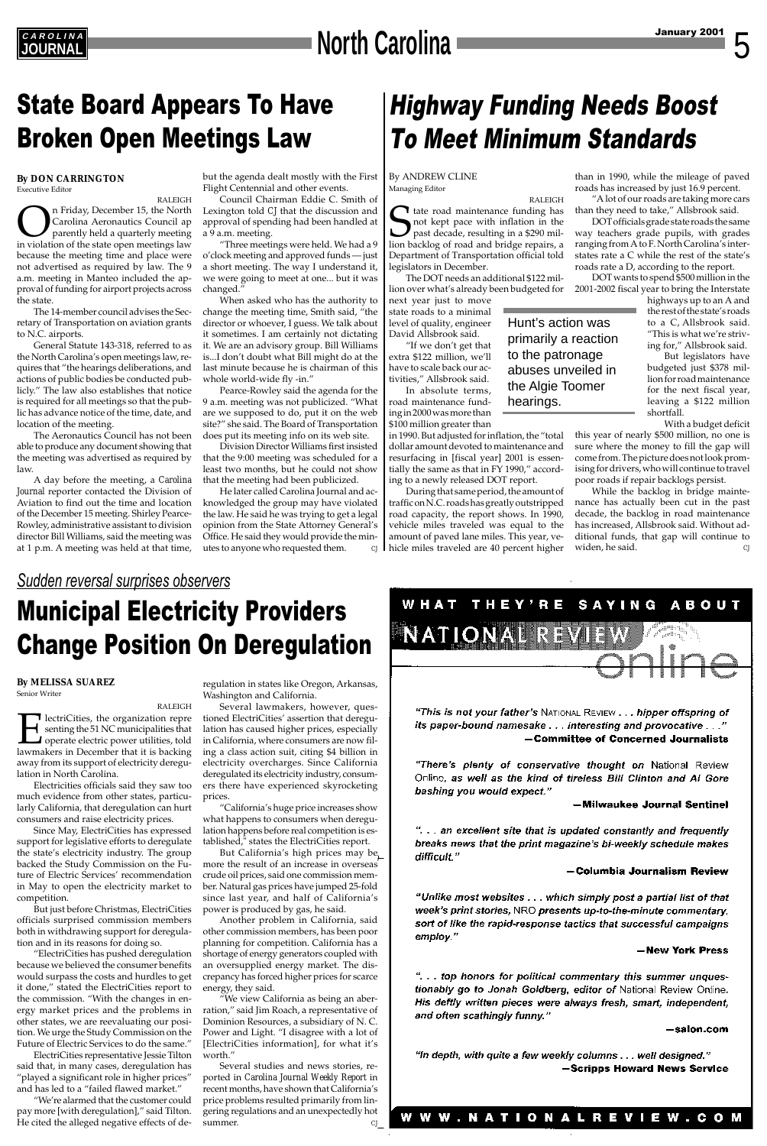# **North Carolina**

### *Sudden reversal surprises observers*

## Municipal Electricity Providers Change Position On Deregulation

**C A R O L I N A**

#### **By MELISSA SUAREZ**

Senior Writer

RALEIGH **ElectriCities, the organization representing the 51 NC municipalities that operate electric power utilities, told lawmakers in December that it is backing** senting the 51 NC municipalities that **J** operate electric power utilities, told away from its support of electricity deregulation in North Carolina.

Electricities officials said they saw too much evidence from other states, particularly California, that deregulation can hurt consumers and raise electricity prices.

Since May, ElectriCities has expressed support for legislative efforts to deregulate the state's electricity industry. The group backed the Study Commission on the Future of Electric Services' recommendation in May to open the electricity market to competition. But just before Christmas, ElectriCities officials surprised commission members both in withdrawing support for deregulation and in its reasons for doing so. "ElectriCities has pushed deregulation because we believed the consumer benefits would surpass the costs and hurdles to get it done," stated the ElectriCities report to the commission. "With the changes in energy market prices and the problems in other states, we are reevaluating our position. We urge the Study Commission on the Future of Electric Services to do the same." ElectriCities representative Jessie Tilton said that, in many cases, deregulation has "played a significant role in higher prices" and has led to a "failed flawed market."

Several studies and news stories, reported in *Carolina Journal Weekly Report* in recent months, have shown that California's price problems resulted primarily from lingering regulations and an unexpectedly hot summer. *CJ* 

#### — Columbia Journalism Review

"Unlike most websites . . . which simply post a partial list of that week's print stories, NRO presents up-to-the-minute commentary, sort of like the rapid-response tactics that successful campaigns employ."

#### -New York Press

"... top honors for political commentary this summer unquestionably go to Jonah Goldberg, editor of National Review Online. His deftly written pieces were always fresh, smart, independent, and often scathingly funny."

#### –salon.com

"In depth, with quite a few weekly columns . . . well designed." -Scripps Howard News Service

#### W W W . N A T I O N A L R E V I E W . C O M

"We're alarmed that the customer could pay more [with deregulation]," said Tilton. He cited the alleged negative effects of de-

regulation in states like Oregon, Arkansas, Washington and California.

Several lawmakers, however, questioned ElectriCities' assertion that deregulation has caused higher prices, especially in California, where consumers are now filing a class action suit, citing \$4 billion in electricity overcharges. Since California deregulated its electricity industry, consumers there have experienced skyrocketing prices.

"California's huge price increases show what happens to consumers when deregulation happens before real competition is established," states the ElectriCities report.



"This is not your father's National Review . . . hipper offspring of its paper-bound namesake . . . interesting and provocative . . ." - Committee of Concerned Journalists

"There's plenty of conservative thought on National Review Online, as well as the kind of tireless Bill Clinton and Al Gore bashing you would expect."

#### -Milwaukee Journal Sentinel

"... an excellent site that is updated constantly and frequently breaks news that the print magazine's bi-weekly schedule makes difficult."

But California's high prices may be more the result of an increase in overseas crude oil prices, said one commission member. Natural gas prices have jumped 25-fold since last year, and half of California's power is produced by gas, he said.

Another problem in California, said other commission members, has been poor planning for competition. California has a shortage of energy generators coupled with an oversupplied energy market. The discrepancy has forced higher prices for scarce energy, they said.

"We view California as being an aberration," said Jim Roach, a representative of Dominion Resources, a subsidiary of N. C. Power and Light. "I disagree with a lot of [ElectriCities information], for what it's worth."

#### **By DON CARRINGTON** Executive Editor

RALEIGH **On** Friday, December 15, the North<br>Carolina Aeronautics Council ap<br>parently held a quarterly meeting<br>in violation of the state open meetings law Carolina Aeronautics Council ap parently held a quarterly meeting because the meeting time and place were not advertised as required by law. The 9 a.m. meeting in Manteo included the approval of funding for airport projects across the state.

The 14-member council advises the Secretary of Transportation on aviation grants to N.C. airports.

General Statute 143-318, referred to as the North Carolina's open meetings law, requires that "the hearings deliberations, and actions of public bodies be conducted publicly." The law also establishes that notice is required for all meetings so that the public has advance notice of the time, date, and location of the meeting.

> While the backlog in bridge maintenance has actually been cut in the past decade, the backlog in road maintenance has increased, Allsbrook said. Without additional funds, that gap will continue to widen, he said.

The Aeronautics Council has not been able to produce any document showing that the meeting was advertised as required by law.

A day before the meeting, a *Carolina Journal* reporter contacted the Division of Aviation to find out the time and location of the December 15 meeting. Shirley Pearce-Rowley, administrative assistant to division director Bill Williams, said the meeting was at 1 p.m. A meeting was held at that time, but the agenda dealt mostly with the First Flight Centennial and other events.

Council Chairman Eddie C. Smith of Lexington told *CJ* that the discussion and approval of spending had been handled at a 9 a.m. meeting.

"Three meetings were held. We had a 9 o'clock meeting and approved funds — just a short meeting. The way I understand it, we were going to meet at one... but it was changed."

When asked who has the authority to change the meeting time, Smith said, "the director or whoever, I guess. We talk about it sometimes. I am certainly not dictating it. We are an advisory group. Bill Williams is...I don't doubt what Bill might do at the last minute because he is chairman of this whole world-wide fly -in."

Pearce-Rowley said the agenda for the 9 a.m. meeting was not publicized. "What are we supposed to do, put it on the web site?" she said. The Board of Transportation does put its meeting info on its web site.

Division Director Williams first insisted that the 9:00 meeting was scheduled for a least two months, but he could not show that the meeting had been publicized.

He later called Carolina Journal and acknowledged the group may have violated the law. He said he was trying to get a legal opinion from the State Attorney General's Office. He said they would provide the minutes to anyone who requested them. *CJ*

## State Board Appears To Have Broken Open Meetings Law

## Highway Funding Needs Boost To Meet Minimum Standards

By ANDREW CLINE Managing Editor

RALEIGH T tate road maintenance funding has not kept pace with inflation in the past decade, resulting in a \$290 million backlog of road and bridge repairs, a Department of Transportation official told legislators in December.

The DOT needs an additional \$122 million over what's already been budgeted for

next year just to move state roads to a minimal level of quality, engineer David Allsbrook said.

"If we don't get that extra \$122 million, we'll have to scale back our activities," Allsbrook said.

In absolute terms, road maintenance funding in 2000 was more than \$100 million greater than

in 1990. But adjusted for inflation, the "total dollar amount devoted to maintenance and resurfacing in [fiscal year] 2001 is essentially the same as that in FY 1990," according to a newly released DOT report.

During that same period, the amount of traffic on N.C. roads has greatly outstripped road capacity, the report shows. In 1990, vehicle miles traveled was equal to the amount of paved lane miles. This year, vehicle miles traveled are 40 percent higher than in 1990, while the mileage of paved roads has increased by just 16.9 percent.

"A lot of our roads are taking more cars than they need to take," Allsbrook said.

DOT officials grade state roads the same way teachers grade pupils, with grades ranging from A to F. North Carolina's interstates rate a C while the rest of the state's roads rate a D, according to the report.

DOT wants to spend \$500 million in the 2001-2002 fiscal year to bring the Interstate

> highways up to an A and the rest of the state's roads to a C, Allsbrook said. "This is what we're striving for," Allsbrook said.

But legislators have budgeted just \$378 million for road maintenance for the next fiscal year, leaving a \$122 million shortfall.

With a budget deficit

this year of nearly \$500 million, no one is sure where the money to fill the gap will come from. The picture does not look promising for drivers, who will continue to travel poor roads if repair backlogs persist.

### Hunt's action was primarily a reaction to the patronage abuses unveiled in the Algie Toomer hearings.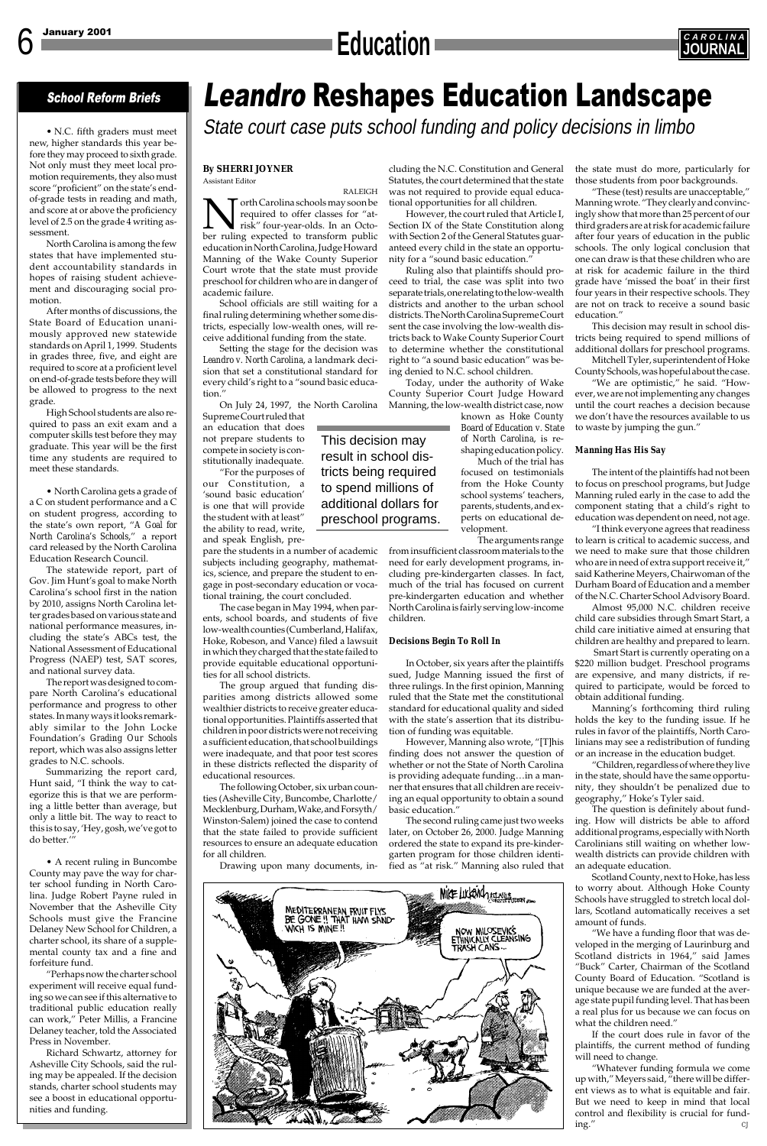# Leandro Reshapes Education Landscape

State court case puts school funding and policy decisions in limbo

### School Reform Briefs

• N.C. fifth graders must meet new, higher standards this year before they may proceed to sixth grade. Not only must they meet local promotion requirements, they also must score "proficient" on the state's endof-grade tests in reading and math, and score at or above the proficiency level of 2.5 on the grade 4 writing assessment.

North Carolina is among the few states that have implemented student accountability standards in hopes of raising student achievement and discouraging social promotion.

After months of discussions, the State Board of Education unanimously approved new statewide standards on April 1, 1999. Students in grades three, five, and eight are required to score at a proficient level on end-of-grade tests before they will be allowed to progress to the next grade.

High School students are also required to pass an exit exam and a computer skills test before they may graduate. This year will be the first time any students are required to meet these standards.

• North Carolina gets a grade of a C on student performance and a C on student progress, according to the state's own report, "*A Goal for North Carolina's Schools*," a report card released by the North Carolina Education Research Council.

### January 2001 **C A R O L I N A Education JOURNAL**



The statewide report, part of Gov. Jim Hunt's goal to make North Carolina's school first in the nation by 2010, assigns North Carolina letter grades based on various state and national performance measures, including the state's ABCs test, the National Assessment of Educational Progress (NAEP) test, SAT scores, and national survey data.

The report was designed to compare North Carolina's educational performance and progress to other states. In many ways it looks remarkably similar to the John Locke Foundation's *Grading Our Schools* report, which was also assigns letter grades to N.C. schools.

Summarizing the report card, Hunt said, "I think the way to categorize this is that we are performing a little better than average, but only a little bit. The way to react to this is to say, 'Hey, gosh, we've got to do better.'"

• A recent ruling in Buncombe County may pave the way for charter school funding in North Carolina. Judge Robert Payne ruled in November that the Asheville City Schools must give the Francine Delaney New School for Children, a charter school, its share of a supplemental county tax and a fine and forfeiture fund.

"Perhaps now the charter school experiment will receive equal funding so we can see if this alternative to traditional public education really can work," Peter Millis, a Francine Delaney teacher, told the Associated Press in November.

Richard Schwartz, attorney for Asheville City Schools, said the ruling may be appealed. If the decision stands, charter school students may see a boost in educational opportunities and funding.

#### **By SHERRI JOYNER** Assistant Editor

RALEIGH **North Carolina schools may soon be required to offer classes for "at-**<br>risk" four-year-olds. In an Octo-<br>ber ruling expected to transform public required to offer classes for "atrisk" four-year-olds. In an Octoeducation in North Carolina, Judge Howard Manning of the Wake County Superior Court wrote that the state must provide preschool for children who are in danger of academic failure.

School officials are still waiting for a final ruling determining whether some districts, especially low-wealth ones, will receive additional funding from the state.

Setting the stage for the decision was *Leandro v. North Carolina*, a landmark decision that set a constitutional standard for every child's right to a "sound basic education."

On July 24, 1997, the North Carolina Supreme Court ruled that

an education that does not prepare students to compete in society is constitutionally inadequate.

"For the purposes of our Constitution, a 'sound basic education' is one that will provide the student with at least" the ability to read, write, and speak English, pre-

pare the students in a number of academic subjects including geography, mathematics, science, and prepare the student to engage in post-secondary education or vocational training, the court concluded.

The case began in May 1994, when parents, school boards, and students of five low-wealth counties (Cumberland, Halifax, Hoke, Robeson, and Vance) filed a lawsuit in which they charged that the state failed to provide equitable educational opportunities for all school districts.

The group argued that funding disparities among districts allowed some wealthier districts to receive greater educational opportunities. Plaintiffs asserted that children in poor districts were not receiving a sufficient education, that school buildings were inadequate, and that poor test scores in these districts reflected the disparity of educational resources.

The following October, six urban counties (Asheville City, Buncombe, Charlotte/ Mecklenburg, Durham, Wake, and Forsyth/ Winston-Salem) joined the case to contend that the state failed to provide sufficient resources to ensure an adequate education for all children.

cluding the N.C. Constitution and General Statutes, the court determined that the state was not required to provide equal educational opportunities for all children.

However, the court ruled that Article I, Section IX of the State Constitution along with Section 2 of the General Statutes guaranteed every child in the state an opportunity for a "sound basic education."

Ruling also that plaintiffs should proceed to trial, the case was split into two separate trials, one relating to the low-wealth districts and another to the urban school districts. The North Carolina Supreme Court sent the case involving the low-wealth districts back to Wake County Superior Court to determine whether the constitutional right to "a sound basic education" was being denied to N.C. school children.

Today, under the authority of Wake County Superior Court Judge Howard Manning, the low-wealth district case, now

> known as *Hoke County Board of Education v. State of North Carolina*, is reshaping education policy.

Drawing upon many documents, in-fied as "at risk." Manning also ruled that ordered the state to expand its pre-kindergarten program for those children identi-



Much of the trial has focused on testimonials from the Hoke County school systems' teachers, parents, students, and experts on educational development.

The arguments range

from insufficient classroom materials to the need for early development programs, including pre-kindergarten classes. In fact, much of the trial has focused on current pre-kindergarten education and whether North Carolina is fairly serving low-income children.

#### *Decisions Begin To Roll In*

In October, six years after the plaintiffs sued, Judge Manning issued the first of three rulings. In the first opinion, Manning ruled that the State met the constitutional standard for educational quality and sided with the state's assertion that its distribution of funding was equitable.

However, Manning also wrote, "[T]his finding does not answer the question of whether or not the State of North Carolina is providing adequate funding…in a manner that ensures that all children are receiving an equal opportunity to obtain a sound basic education."

The second ruling came just two weeks later, on October 26, 2000. Judge Manning

the state must do more, particularly for those students from poor backgrounds.

"These (test) results are unacceptable," Manning wrote. "They clearly and convincingly show that more than 25 percent of our third graders are at risk for academic failure after four years of education in the public schools. The only logical conclusion that one can draw is that these children who are at risk for academic failure in the third grade have 'missed the boat' in their first four years in their respective schools. They are not on track to receive a sound basic education."

This decision may result in school districts being required to spend millions of additional dollars for preschool programs. Mitchell Tyler, superintendent of Hoke

County Schools, was hopeful about the case.

"We are optimistic," he said. "However, we are not implementing any changes until the court reaches a decision because we don't have the resources available to us to waste by jumping the gun."

#### *Manning Has His Say*

The intent of the plaintiffs had not been to focus on preschool programs, but Judge Manning ruled early in the case to add the component stating that a child's right to education was dependent on need, not age.

"I think everyone agrees that readiness to learn is critical to academic success, and we need to make sure that those children who are in need of extra support receive it," said Katherine Meyers, Chairwoman of the Durham Board of Education and a member of the N.C. Charter School Advisory Board.

Almost 95,000 N.C. children receive child care subsidies through Smart Start, a child care initiative aimed at ensuring that children are healthy and prepared to learn.

 Smart Start is currently operating on a \$220 million budget. Preschool programs are expensive, and many districts, if required to participate, would be forced to obtain additional funding.

Manning's forthcoming third ruling holds the key to the funding issue. If he rules in favor of the plaintiffs, North Carolinians may see a redistribution of funding or an increase in the education budget.

"Children, regardless of where they live in the state, should have the same opportunity, they shouldn't be penalized due to geography," Hoke's Tyler said.

The question is definitely about funding. How will districts be able to afford additional programs, especially with North Carolinians still waiting on whether lowwealth districts can provide children with an adequate education.

Scotland County, next to Hoke, has less to worry about. Although Hoke County Schools have struggled to stretch local dollars, Scotland automatically receives a set amount of funds.

"We have a funding floor that was developed in the merging of Laurinburg and Scotland districts in 1964," said James "Buck" Carter, Chairman of the Scotland County Board of Education. "Scotland is unique because we are funded at the average state pupil funding level. That has been a real plus for us because we can focus on what the children need."

If the court does rule in favor of the plaintiffs, the current method of funding will need to change.

"Whatever funding formula we come up with," Meyers said, "there will be different views as to what is equitable and fair. But we need to keep in mind that local control and flexibility is crucial for funding." *CJ*

This decision may result in school districts being required to spend millions of additional dollars for preschool programs.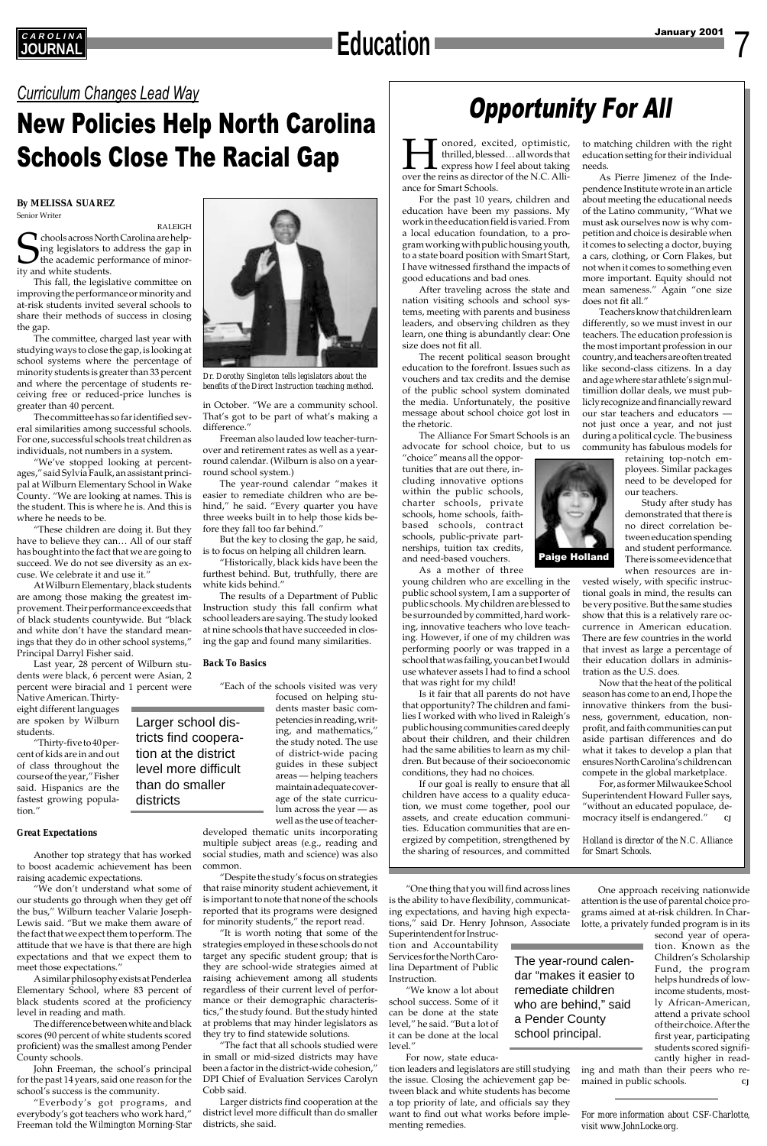7

# Opportunity For All *Curriculum Changes Lead Way*

## New Policies Help North Carolina Schools Close The Racial Gap



*Dr. Dorothy Singleton tells legislators about the benefits of the Direct Instruction teaching method.*

**Honored, excited, optimistic,**<br>thrilled, blessed... all words that<br>express how I feel about taking<br>over the reins as director of the N.C. Allithrilled, blessed… all words that express how I feel about taking ance for Smart Schools.

### January 2001 **C A R O L I N A JOURNAL Education**

For the past 10 years, children and education have been my passions. My work in the education field is varied. From a local education foundation, to a program working with public housing youth, to a state board position with Smart Start, I have witnessed firsthand the impacts of good educations and bad ones.

After traveling across the state and nation visiting schools and school systems, meeting with parents and business leaders, and observing children as they learn, one thing is abundantly clear: One size does not fit all.

The recent political season brought education to the forefront. Issues such as vouchers and tax credits and the demise of the public school system dominated the media. Unfortunately, the positive message about school choice got lost in the rhetoric.

The Alliance For Smart Schools is an advocate for school choice, but to us

"choice" means all the opportunities that are out there, including innovative options within the public schools, charter schools, private schools, home schools, faithbased schools, contract schools, public-private partnerships, tuition tax credits, and need-based vouchers.

As a mother of three

young children who are excelling in the public school system, I am a supporter of public schools. My children are blessed to be surrounded by committed, hard working, innovative teachers who love teaching. However, if one of my children was performing poorly or was trapped in a school that was failing, you can bet I would use whatever assets I had to find a school that was right for my child!

Is it fair that all parents do not have that opportunity? The children and families I worked with who lived in Raleigh's public housing communities cared deeply about their children, and their children had the same abilities to learn as my children. But because of their socioeconomic conditions, they had no choices.

If our goal is really to ensure that *all* children have access to a quality education, we must come together, pool our assets, and create education communities. Education communities that are energized by competition, strengthened by the sharing of resources, and committed

to matching children with the right education setting for their individual needs.

As Pierre Jimenez of the Independence Institute wrote in an article about meeting the educational needs of the Latino community, "What we must ask ourselves now is why competition and choice is desirable when it comes to selecting a doctor, buying a cars, clothing, or Corn Flakes, but not when it comes to something even more important. Equity should not mean sameness." Again "one size does not fit all."

Teachers know that children learn differently, so we must invest in our teachers. The education profession is the most important profession in our country, and teachers are often treated like second-class citizens. In a day and age where star athlete's sign multimillion dollar deals, we must publicly recognize and financially reward our star teachers and educators not just once a year, and not just during a political cycle. The business community has fabulous models for

> retaining top-notch employees. Similar packages need to be developed for our teachers.

> Study after study has demonstrated that there is no direct correlation between education spending and student performance. There is some evidence that when resources are in-

vested wisely, with specific instructional goals in mind, the results can be very positive. But the same studies show that this is a relatively rare occurrence in American education. There are few countries in the world that invest as large a percentage of their education dollars in administration as the U.S. does.

Now that the heat of the political season has come to an end, I hope the innovative thinkers from the business, government, education, nonprofit, and faith communities can put aside partisan differences and do what it takes to develop a plan that ensures North Carolina's children can compete in the global marketplace.

For, as former Milwaukee School Superintendent Howard Fuller says, "without an educated populace, democracy itself is endangered." *CJ*

*Holland is director of the N.C. Alliance*

*for Smart Schools.*

#### **By MELISSA SUAREZ** Senior Writer

RALEIGH  $\bigcap$  chools across North Carolina are helping legislators to address the gap in the academic performance of minority and white students.

This fall, the legislative committee on improving the performance or minority and at-risk students invited several schools to share their methods of success in closing the gap.

The committee, charged last year with studying ways to close the gap, is looking at school systems where the percentage of minority students is greater than 33 percent and where the percentage of students receiving free or reduced-price lunches is greater than 40 percent.

The committee has so far identified several similarities among successful schools. For one, successful schools treat children as individuals, not numbers in a system.

> ing and math than their peers who remained in public schools. **CJ**  $\alpha$

"We've stopped looking at percentages," said Sylvia Faulk, an assistant principal at Wilburn Elementary School in Wake County. "We are looking at names. This is the student. This is where he is. And this is where he needs to be.

"These children are doing it. But they have to believe they can… All of our staff has bought into the fact that we are going to succeed. We do not see diversity as an excuse. We celebrate it and use it."

At Wilburn Elementary, black students are among those making the greatest improvement. Their performance exceeds that of black students countywide. But "black and white don't have the standard meanings that they do in other school systems," Principal Darryl Fisher said.

Last year, 28 percent of Wilburn students were black, 6 percent were Asian, 2 percent were biracial and 1 percent were

Native American. Thirtyeight different languages are spoken by Wilburn students.

"Thirty-five to 40 percent of kids are in and out of class throughout the course of the year," Fisher said. Hispanics are the fastest growing population."

*Great Expectations*

Another top strategy that has worked to boost academic achievement has been raising academic expectations.

"We don't understand what some of our students go through when they get off the bus," Wilburn teacher Valarie Joseph-Lewis said. "But we make them aware of the fact that we expect them to perform. The attitude that we have is that there are high expectations and that we expect them to meet those expectations."

A similar philosophy exists at Penderlea Elementary School, where 83 percent of black students scored at the proficiency level in reading and math.

The difference between white and black scores (90 percent of white students scored proficient) was the smallest among Pender County schools.

John Freeman, the school's principal for the past 14 years, said one reason for the school's success is the community.

"Everbody's got programs, and everybody's got teachers who work hard," Freeman told the *Wilmington Morning-Star* in October. "We are a community school. That's got to be part of what's making a difference."

Freeman also lauded low teacher-turnover and retirement rates as well as a yearround calendar. (Wilburn is also on a yearround school system.)

The year-round calendar "makes it easier to remediate children who are behind," he said. "Every quarter you have three weeks built in to help those kids before they fall too far behind."

But the key to closing the gap, he said, is to focus on helping all children learn.

"Historically, black kids have been the furthest behind. But, truthfully, there are white kids behind."

The results of a Department of Public Instruction study this fall confirm what school leaders are saying. The study looked at nine schools that have succeeded in closing the gap and found many similarities.

#### *Back To Basics*

"Each of the schools visited was very

focused on helping students master basic competencies in reading, writing, and mathematics," the study noted. The use of district-wide pacing guides in these subject areas — helping teachers maintain adequate coverage of the state curriculum across the year — as well as the use of teacher-

developed thematic units incorporating multiple subject areas (e.g., reading and social studies, math and science) was also common.

"Despite the study's focus on strategies that raise minority student achievement, it is important to note that none of the schools reported that its programs were designed for minority students," the report read.

"It is worth noting that some of the strategies employed in these schools do not target any specific student group; that is they are school-wide strategies aimed at raising achievement among all students regardless of their current level of performance or their demographic characteristics," the study found. But the study hinted at problems that may hinder legislators as they try to find statewide solutions.

"The fact that all schools studied were in small or mid-sized districts may have been a factor in the district-wide cohesion," DPI Chief of Evaluation Services Carolyn Cobb said.

Larger districts find cooperation at the district level more difficult than do smaller districts, she said.

"One thing that you will find across lines is the ability to have flexibility, communicating expectations, and having high expectations," said Dr. Henry Johnson, Associate Superintendent for Instruc-

tion and Accountability Services for the North Carolina Department of Public Instruction.

"We know a lot about school success. Some of it can be done at the state level," he said. "But a lot of it can be done at the local level."

For now, state educa-

tion leaders and legislators are still studying the issue. Closing the achievement gap between black and white students has become a top priority of late, and officials say they want to find out what works before implementing remedies.

Larger school districts find cooperation at the district level more difficult than do smaller districts

> The year-round calendar "makes it easier to remediate children who are behind," said

a Pender County school principal.

One approach receiving nationwide attention is the use of parental choice programs aimed at at-risk children. In Charlotte, a privately funded program is in its

second year of operation. Known as the Children's Scholarship Fund, the program helps hundreds of lowincome students, mostly African-American, attend a private school of their choice. After the first year, participating students scored significantly higher in read-

*For more information about CSF-Charlotte, visit www.JohnLocke.org.*

Paige Holland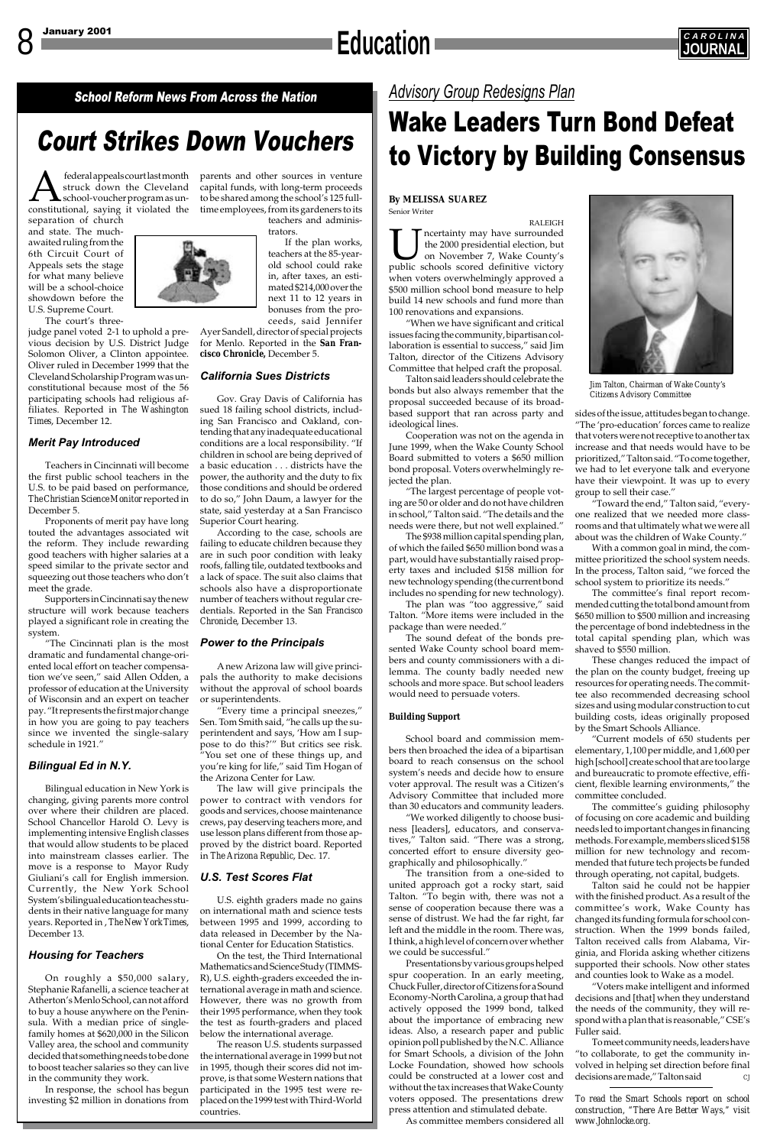### 8 January 2001 **CAROLINA Education J** *SAROLIN*



## Court Strikes Down Vouchers

federal appeals court last month parents and other sources in venture<br>struck down the Cleveland capital funds, with long-term proceeds<br>school-voucher program as un-<br>to be shared among the school's 125 full-<br>constitutional, struck down the Cleveland school-voucher program as unfederal appeals court last month parents and other sources in venture

School Reform News From Across the Nation

## *Advisory Group Redesigns Plan*

## Wake Leaders Turn Bond Defeat to Victory by Building Consensus



*Jim Talton, Chairman of Wake County's Citizens Advisory Committee*

separation of church and state. The muchawaited ruling from the 6th Circuit Court of Appeals sets the stage for what many believe will be a school-choice showdown before the U.S. Supreme Court.

The court's three-

judge panel voted 2-1 to uphold a previous decision by U.S. District Judge Solomon Oliver, a Clinton appointee. Oliver ruled in December 1999 that the Cleveland Scholarship Program was unconstitutional because most of the 56 participating schools had religious affiliates. Reported in *The Washington Times*, December 12.

#### *Merit Pay Introduced*

Teachers in Cincinnati will become the first public school teachers in the U.S. to be paid based on performance, *The Christian Science Monitor* reported in December 5.

Proponents of merit pay have long touted the advantages associated wit the reform. They include rewarding good teachers with higher salaries at a speed similar to the private sector and squeezing out those teachers who don't meet the grade.

Supporters in Cincinnati say the new structure will work because teachers played a significant role in creating the system.

"The Cincinnati plan is the most dramatic and fundamental change-oriented local effort on teacher compensation we've seen," said Allen Odden, a professor of education at the University of Wisconsin and an expert on teacher pay. "It represents the first major change in how you are going to pay teachers since we invented the single-salary schedule in 1921."

#### *Bilingual Ed in N.Y.*

Bilingual education in New York is changing, giving parents more control over where their children are placed. that would allow students to be placed into mainstream classes earlier. The move is a response to Mayor Rudy Giuliani's call for English immersion. Currently, the New York School System's bilingual education teaches students in their native language for many years. Reported in , *The New York Times*, December 13.

#### *Housing for Teachers*

On roughly a \$50,000 salary, Stephanie Rafanelli, a science teacher at Atherton's Menlo School, can not afford to buy a house anywhere on the Peninsula. With a median price of singlefamily homes at \$620,000 in the Silicon Valley area, the school and community decided that something needs to be done to boost teacher salaries so they can live in the community they work.

In response, the school has begun investing \$2 million in donations from

capital funds, with long-term proceeds

to be shared among the school's 125 fullteachers and administrators.

If the plan works, teachers at the 85-yearold school could rake in, after taxes, an estimated \$214,000 over the next 11 to 12 years in bonuses from the proceeds, said Jennifer

Ayer Sandell, director of special projects for Menlo. Reported in the *San Francisco Chronicle,* December 5.

#### *California Sues Districts*

School Chancellor Harold O. Levy is crews, pay deserving teachers more, and implementing intensive English classes use lesson plans different from those ap-The law will give principals the power to contract with vendors for goods and services, choose maintenance proved by the district board. Reported in *The Arizona Republic*, Dec. 17.

Gov. Gray Davis of California has sued 18 failing school districts, including San Francisco and Oakland, contending that any inadequate educational conditions are a local responsibility. "If children in school are being deprived of a basic education . . . districts have the power, the authority and the duty to fix those conditions and should be ordered to do so," John Daum, a lawyer for the state, said yesterday at a San Francisco Superior Court hearing.

According to the case, schools are failing to educate children because they are in such poor condition with leaky roofs, falling tile, outdated textbooks and a lack of space. The suit also claims that schools also have a disproportionate number of teachers without regular credentials. Reported in the *San Francisco Chronicle*, December 13.

#### *Power to the Principals*

A new Arizona law will give principals the authority to make decisions without the approval of school boards or superintendents.

"Every time a principal sneezes," Sen. Tom Smith said, "he calls up the superintendent and says, 'How am I suppose to do this?'" But critics see risk. "You set one of these things up, and you're king for life," said Tim Hogan of the Arizona Center for Law.

### *U.S. Test Scores Flat*

U.S. eighth graders made no gains on international math and science tests between 1995 and 1999, according to data released in December by the National Center for Education Statistics.

The committee's guiding philosophy of focusing on core academic and building needs led to important changes in financing methods. For example, members sliced \$158 million for new technology and recommended that future tech projects be funded through operating, not capital, budgets. Talton said he could not be happier with the finished product. As a result of the committee's work, Wake County has changed its funding formula for school construction. When the 1999 bonds failed, Talton received calls from Alabama, Virginia, and Florida asking whether citizens supported their schools. Now other states and counties look to Wake as a model. "Voters make intelligent and informed decisions and [that] when they understand the needs of the community, they will respond with a plan that is reasonable," CSE's Fuller said. To meet community needs, leaders have "to collaborate, to get the community involved in helping set direction before final decisions are made," Talton said



On the test, the Third International Mathematics and Science Study (TIMMS-R), U.S. eighth-graders exceeded the international average in math and science. However, there was no growth from their 1995 performance, when they took the test as fourth-graders and placed below the international average.

The reason U.S. students surpassed the international average in 1999 but not in 1995, though their scores did not improve, is that some Western nations that participated in the 1995 test were replaced on the 1999 test with Third-World countries.

#### **By MELISSA SUAREZ** Senior Writer

RALEIGH **IM** neertainty may have surrounded<br>the 2000 presidential election, but<br>public schools scored definitive victory the 2000 presidential election, but on November 7, Wake County's when voters overwhelmingly approved a \$500 million school bond measure to help build 14 new schools and fund more than 100 renovations and expansions.

"When we have significant and critical issues facing the community, bipartisan collaboration is essential to success," said Jim Talton, director of the Citizens Advisory Committee that helped craft the proposal.

Talton said leaders should celebrate the bonds but also always remember that the proposal succeeded because of its broadbased support that ran across party and ideological lines.

Cooperation was not on the agenda in June 1999, when the Wake County School Board submitted to voters a \$650 million bond proposal. Voters overwhelmingly rejected the plan.

"The largest percentage of people voting are 50 or older and do not have children in school," Talton said. "The details and the needs were there, but not well explained."

The \$938 million capital spending plan, of which the failed \$650 million bond was a part, would have substantially raised property taxes and included \$158 million for new technology spending (the current bond includes no spending for new technology).

The plan was "too aggressive," said Talton. "More items were included in the package than were needed."

The sound defeat of the bonds presented Wake County school board members and county commissioners with a dilemma. The county badly needed new schools and more space. But school leaders would need to persuade voters.

#### *Building Support*

School board and commission members then broached the idea of a bipartisan board to reach consensus on the school system's needs and decide how to ensure voter approval. The result was a Citizen's Advisory Committee that included more than 30 educators and community leaders.

"We worked diligently to choose business [leaders], educators, and conservatives," Talton said. "There was a strong, concerted effort to ensure diversity geographically and philosophically."

The transition from a one-sided to united approach got a rocky start, said Talton. "To begin with, there was not a sense of cooperation because there was a sense of distrust. We had the far right, far left and the middle in the room. There was, I think, a high level of concern over whether we could be successful."

Presentations by various groups helped spur cooperation. In an early meeting, Chuck Fuller, director of Citizens for a Sound Economy-North Carolina, a group that had actively opposed the 1999 bond, talked about the importance of embracing new ideas. Also, a research paper and public opinion poll published by the N.C. Alliance for Smart Schools, a division of the John Locke Foundation, showed how schools could be constructed at a lower cost and without the tax increases that Wake County voters opposed. The presentations drew press attention and stimulated debate.

As committee members considered all

sides of the issue, attitudes began to change. "The 'pro-education' forces came to realize that voters were not receptive to another tax increase and that needs would have to be prioritized," Talton said. "To come together, we had to let everyone talk and everyone have their viewpoint. It was up to every group to sell their case."

"Toward the end," Talton said, "everyone realized that we needed more classrooms and that ultimately what we were all about was the children of Wake County."

With a common goal in mind, the committee prioritized the school system needs. In the process, Talton said, "we forced the school system to prioritize its needs."

The committee's final report recommended cutting the total bond amount from \$650 million to \$500 million and increasing the percentage of bond indebtedness in the total capital spending plan, which was shaved to \$550 million.

These changes reduced the impact of the plan on the county budget, freeing up resources for operating needs. The committee also recommended decreasing school sizes and using modular construction to cut building costs, ideas originally proposed by the Smart Schools Alliance.

"Current models of 650 students per elementary, 1,100 per middle, and 1,600 per high [school] create school that are too large and bureaucratic to promote effective, efficient, flexible learning environments," the committee concluded.

*To read the Smart Schools report on school construction, "There Are Better Ways," visit www.Johnlocke.org.*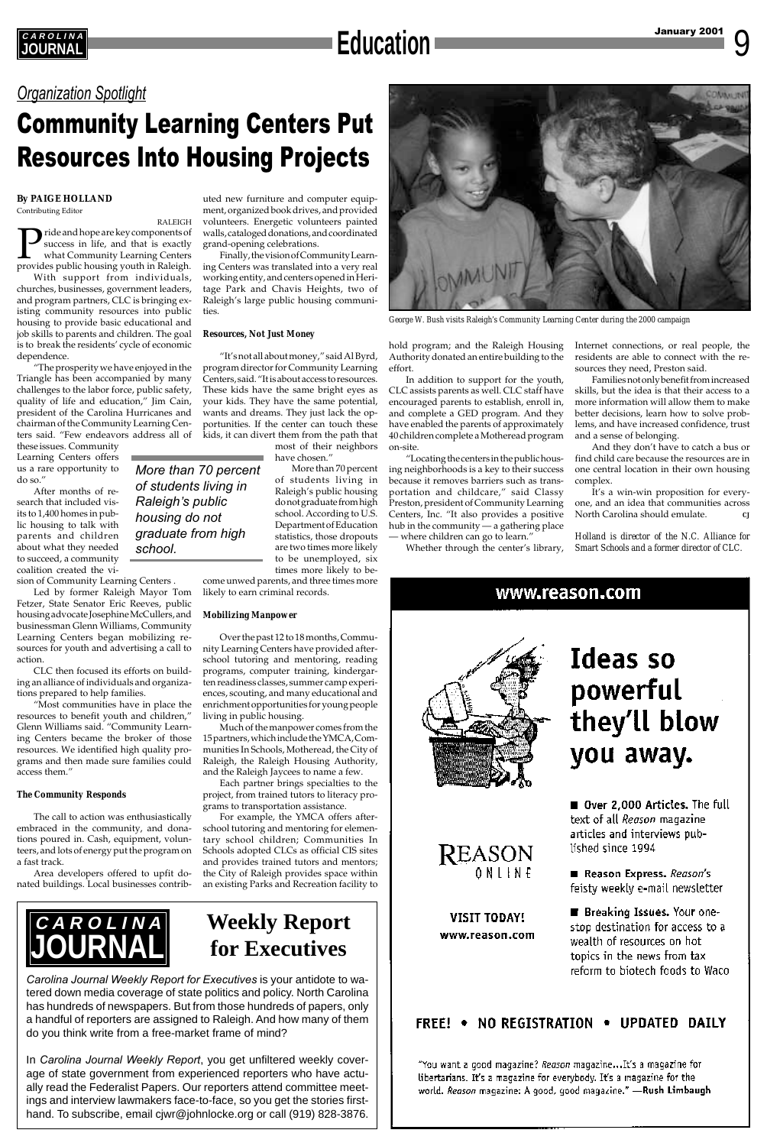9

### *Organization Spotlight*

## Community Learning Centers Put Resources Into Housing Projects



*George W. Bush visits Raleigh's Community Learning Center during the 2000 campaign*

#### **By PAIGE HOLLAND** Contributing Editor

RALEIGH Pride and hope are key components of success in life, and that is exactly what Community Learning Centers provides public housing youth in Raleigh.

With support from individuals, churches, businesses, government leaders, and program partners, CLC is bringing existing community resources into public housing to provide basic educational and job skills to parents and children. The goal is to break the residents' cycle of economic dependence.

"The prosperity we have enjoyed in the Triangle has been accompanied by many challenges to the labor force, public safety, quality of life and education," Jim Cain, president of the Carolina Hurricanes and chairman of the Community Learning Centers said. "Few endeavors address all of

these issues. Community Learning Centers offers us a rare opportunity to do so."

After months of research that included visits to 1,400 homes in public housing to talk with parents and children about what they needed to succeed, a community coalition created the vi-

sion of Community Learning Centers .

Led by former Raleigh Mayor Tom Fetzer, State Senator Eric Reeves, public housing advocate Josephine McCullers, and businessman Glenn Williams, Community Learning Centers began mobilizing resources for youth and advertising a call to action.

CLC then focused its efforts on building an alliance of individuals and organizations prepared to help families.

"Most communities have in place the resources to benefit youth and children," Glenn Williams said. "Community Learning Centers became the broker of those resources. We identified high quality programs and then made sure families could access them."

#### *The Community Responds*

The call to action was enthusiastically embraced in the community, and donations poured in. Cash, equipment, volunteers, and lots of energy put the program on a fast track.

Area developers offered to upfit donated buildings. Local businesses contrib-

uted new furniture and computer equipment, organized book drives, and provided volunteers. Energetic volunteers painted walls, cataloged donations, and coordinated grand-opening celebrations.

> "Locating the centers in the public housing neighborhoods is a key to their success because it removes barriers such as transportation and childcare," said Classy Preston, president of Community Learning Centers, Inc. "It also provides a positive hub in the community — a gathering place where children can go to learn."

Finally, the vision of Community Learning Centers was translated into a very real working entity, and centers opened in Heritage Park and Chavis Heights, two of Raleigh's large public housing communities.

#### *Resources, Not Just Money*

It's a win-win proposition for everyone, and an idea that communities across North Carolina should emulate.

"It's not all about money," said Al Byrd, program director for Community Learning Centers, said. "It is about access to resources. These kids have the same bright eyes as your kids. They have the same potential, wants and dreams. They just lack the opportunities. If the center can touch these kids, it can divert them from the path that

most of their neighbors have chosen."

More than 70 percent of students living in Raleigh's public housing do not graduate from high school. According to U.S. Department of Education statistics, those dropouts are two times more likely to be unemployed, six times more likely to be-

come unwed parents, and three times more likely to earn criminal records.

#### *Mobilizing Manpower*

Over the past 12 to 18 months, Community Learning Centers have provided afterschool tutoring and mentoring, reading programs, computer training, kindergarten readiness classes, summer camp experiences, scouting, and many educational and enrichment opportunities for young people living in public housing.

Much of the manpower comes from the 15 partners, which include the YMCA, Communities In Schools, Motheread, the City of Raleigh, the Raleigh Housing Authority, and the Raleigh Jaycees to name a few.

Each partner brings specialties to the project, from trained tutors to literacy programs to transportation assistance.

For example, the YMCA offers afterschool tutoring and mentoring for elementary school children; Communities In

Schools adopted CLCs as official CIS sites and provides trained tutors and mentors; the City of Raleigh provides space within an existing Parks and Recreation facility to hold program; and the Raleigh Housing Authority donated an entire building to the effort.

In addition to support for the youth, CLC assists parents as well. CLC staff have encouraged parents to establish, enroll in, and complete a GED program. And they have enabled the parents of approximately 40 children complete a Motheread program on-site.

Whether through the center's library,

*More than 70 percent of students living in Raleigh*'*s public housing do not graduate from high school.*

Internet connections, or real people, the residents are able to connect with the resources they need, Preston said.

Families not only benefit from increased skills, but the idea is that their access to a more information will allow them to make better decisions, learn how to solve problems, and have increased confidence, trust and a sense of belonging.

And they don't have to catch a bus or find child care because the resources are in one central location in their own housing complex.

*Holland is director of the N.C. Alliance for Smart Schools and a former director of CLC.*

www.reason.com



# Ideas so powerful they'll blow you away.

Over 2,000 Articles. The full text of all Reason magazine articles and interviews pub-



*Carolina Journal Weekly Report for Executives* is your antidote to watered down media coverage of state politics and policy. North Carolina has hundreds of newspapers. But from those hundreds of papers, only a handful of reporters are assigned to Raleigh. And how many of them do you think write from a free-market frame of mind?

In *Carolina Journal Weekly Report*, you get unfiltered weekly coverage of state government from experienced reporters who have actually read the Federalist Papers. Our reporters attend committee meetings and interview lawmakers face-to-face, so you get the stories firsthand. To subscribe, email cjwr@johnlocke.org or call (919) 828-3876.

REASON ONLINE

### **VISIT TODAY!** www.reason.com

#### lished since 1994

Reason Express. Reason's feisty weekly e-mail newsletter

■ Breaking Issues. Your onestop destination for access to a wealth of resources on hot topics in the news from tax reform to biotech foods to Waco

### FREE! • NO REGISTRATION • UPDATED DAILY

"You want a good magazine? *Reason* magazine...It's a magazine for libertarians. It's a magazine for everybody. It's a magazine for the world. Reason magazine: A good, good magazine." - Rush Limbaugh

## **Weekly Report for Executives**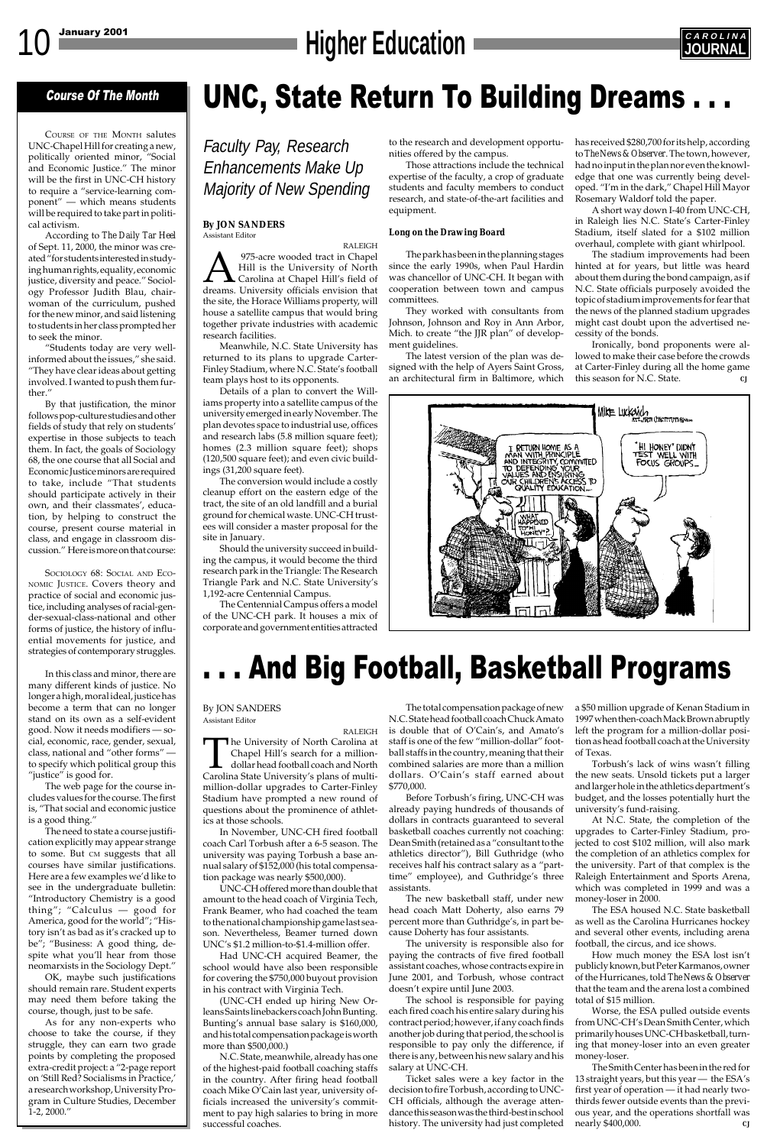# 10 January 2001 **CAROLINA**



### Course Of The Month

COURSE OF THE MONTH salutes UNC-Chapel Hill for creating a new, politically oriented minor, "Social and Economic Justice." The minor will be the first in UNC-CH history to require a "service-learning component" — which means students will be required to take part in political activism.

According to *The Daily Tar Heel* of Sept. 11, 2000, the minor was created "for students interested in studying human rights, equality, economic justice, diversity and peace." Sociology Professor Judith Blau, chairwoman of the curriculum, pushed for the new minor, and said listening to students in her class prompted her to seek the minor.

"Students today are very wellinformed about the issues," she said. "They have clear ideas about getting involved. I wanted to push them further."

In this class and minor, there are many different kinds of justice. No longer a high, moral ideal, justice has become a term that can no longer stand on its own as a self-evident good. Now it needs modifiers — social, economic, race, gender, sexual, class, national and "other forms" to specify which political group this "justice" is good for.

By that justification, the minor follows pop-culture studies and other fields of study that rely on students' expertise in those subjects to teach them. In fact, the goals of Sociology 68, the one course that all Social and Economic Justice minors are required to take, include "That students should participate actively in their own, and their classmates', education, by helping to construct the course, present course material in class, and engage in classroom discussion." Here is more on that course:

SOCIOLOGY 68: SOCIAL AND ECO-NOMIC JUSTICE. Covers theory and practice of social and economic justice, including analyses of racial-gender-sexual-class-national and other forms of justice, the history of influential movements for justice, and strategies of contemporary struggles.

The web page for the course includes values for the course. The first is, "That social and economic justice is a good thing."

The need to state a course justification explicitly may appear strange to some. But CM suggests that all courses have similar justifications. Here are a few examples we'd like to see in the undergraduate bulletin: "Introductory Chemistry is a good thing"; "Calculus — good for America, good for the world"; "History isn't as bad as it's cracked up to be"; "Business: A good thing, despite what you'll hear from those neomarxists in the Sociology Dept." OK, maybe such justifications should remain rare. Student experts may need them before taking the course, though, just to be safe. As for any non-experts who choose to take the course, if they struggle, they can earn two grade points by completing the proposed extra-credit project: a "2-page report on 'Still Red? Socialisms in Practice,' a research workshop, University Program in Culture Studies, December 1-2, 2000."

UNC, State Return To Building Dreams . . .

Faculty Pay, Research Enhancements Make Up Majority of New Spending

**By JON SANDERS** Assistant Editor

RALEIGH **A Property State State State In State State State State State State State State State State State State State State State State State State State State State State State State State State State State State State State Sta** Hill is the University of North Carolina at Chapel Hill's field of the site, the Horace Williams property, will house a satellite campus that would bring together private industries with academic research facilities.

Meanwhile, N.C. State University has returned to its plans to upgrade Carter-Finley Stadium, where N.C. State's football team plays host to its opponents.

Details of a plan to convert the Williams property into a satellite campus of the university emerged in early November. The plan devotes space to industrial use, offices and research labs (5.8 million square feet); homes (2.3 million square feet); shops (120,500 square feet); and even civic buildings (31,200 square feet).

> At N.C. State, the completion of the upgrades to Carter-Finley Stadium, projected to cost \$102 million, will also mark the completion of an athletics complex for the university. Part of that complex is the Raleigh Entertainment and Sports Arena, which was completed in 1999 and was a money-loser in 2000. The ESA housed N.C. State basketball as well as the Carolina Hurricanes hockey and several other events, including arena football, the circus, and ice shows. How much money the ESA lost isn't publicly known, but Peter Karmanos, owner of the Hurricanes, told *The News & Observer* that the team and the arena lost a combined total of \$15 million. Worse, the ESA pulled outside events from UNC-CH's Dean Smith Center, which primarily houses UNC-CH basketball, turning that money-loser into an even greater money-loser. The Smith Center has been in the red for 13 straight years, but this year — the ESA's first year of operation — it had nearly twothirds fewer outside events than the previous year, and the operations shortfall was nearly \$400,000.

The conversion would include a costly cleanup effort on the eastern edge of the tract, the site of an old landfill and a burial ground for chemical waste. UNC-CH trustees will consider a master proposal for the site in January.

Should the university succeed in building the campus, it would become the third research park in the Triangle: The Research Triangle Park and N.C. State University's 1,192-acre Centennial Campus.

The Centennial Campus offers a model of the UNC-CH park. It houses a mix of corporate and government entities attracted to the research and development opportunities offered by the campus.

Those attractions include the technical expertise of the faculty, a crop of graduate students and faculty members to conduct research, and state-of-the-art facilities and equipment.

#### *Long on the Drawing Board*

The park has been in the planning stages since the early 1990s, when Paul Hardin was chancellor of UNC-CH. It began with cooperation between town and campus committees.

They worked with consultants from Johnson, Johnson and Roy in Ann Arbor, Mich. to create "the JJR plan" of development guidelines.

The latest version of the plan was designed with the help of Ayers Saint Gross, an architectural firm in Baltimore, which has received \$280,700 for its help, according to *The News & Observer*. The town, however, had no input in the plan nor even the knowledge that one was currently being developed. "I'm in the dark," Chapel Hill Mayor Rosemary Waldorf told the paper.

A short way down I-40 from UNC-CH, in Raleigh lies N.C. State's Carter-Finley Stadium, itself slated for a \$102 million overhaul, complete with giant whirlpool.

The stadium improvements had been hinted at for years, but little was heard about them during the bond campaign, as if N.C. State officials purposely avoided the topic of stadium improvements for fear that the news of the planned stadium upgrades might cast doubt upon the advertised necessity of the bonds.

Ironically, bond proponents were allowed to make their case before the crowds at Carter-Finley during all the home game this season for N.C. State. *CJ*



#### By JON SANDERS Assistant Editor

RALEIGH

The University of North Carolina at Chapel Hill's search for a milliondollar head football coach and North Carolina State University's plans of multimillion-dollar upgrades to Carter-Finley Stadium have prompted a new round of questions about the prominence of athletics at those schools.

In November, UNC-CH fired football coach Carl Torbush after a 6-5 season. The university was paying Torbush a base annual salary of \$152,000 (his total compensation package was nearly \$500,000).

UNC-CH offered more than double that amount to the head coach of Virginia Tech, Frank Beamer, who had coached the team to the national championship game last season. Nevertheless, Beamer turned down UNC's \$1.2 million-to-\$1.4-million offer.

Had UNC-CH acquired Beamer, the school would have also been responsible for covering the \$750,000 buyout provision in his contract with Virginia Tech.

(UNC-CH ended up hiring New Orleans Saints linebackers coach John Bunting. Bunting's annual base salary is \$160,000, and his total compensation package is worth more than \$500,000.)

N.C. State, meanwhile, already has one of the highest-paid football coaching staffs in the country. After firing head football coach Mike O'Cain last year, university officials increased the university's commitment to pay high salaries to bring in more successful coaches.

## . . . And Big Football, Basketball Programs

a \$50 million upgrade of Kenan Stadium in 1997 when then-coach Mack Brown abruptly left the program for a million-dollar position as head football coach at the University of Texas.

Torbush's lack of wins wasn't filling the new seats. Unsold tickets put a larger and larger hole in the athletics department's budget, and the losses potentially hurt the university's fund-raising.

The total compensation package of new N.C. State head football coach Chuck Amato is double that of O'Cain's, and Amato's staff is one of the few "million-dollar" football staffs in the country, meaning that their combined salaries are more than a million dollars. O'Cain's staff earned about \$770,000.

Before Torbush's firing, UNC-CH was already paying hundreds of thousands of dollars in contracts guaranteed to several basketball coaches currently not coaching: Dean Smith (retained as a "consultant to the athletics director"), Bill Guthridge (who receives half his contract salary as a "parttime" employee), and Guthridge's three assistants.

The new basketball staff, under new head coach Matt Doherty, also earns 79 percent more than Guthridge's, in part because Doherty has four assistants.

The university is responsible also for paying the contracts of five fired football assistant coaches, whose contracts expire in June 2001, and Torbush, whose contract doesn't expire until June 2003.

The school is responsible for paying each fired coach his entire salary during his contract period; however, if any coach finds another job during that period, the school is responsible to pay only the difference, if there is any, between his new salary and his salary at UNC-CH.

Ticket sales were a key factor in the decision to fire Torbush, according to UNC-CH officials, although the average attendance this season was the third-best in school history. The university had just completed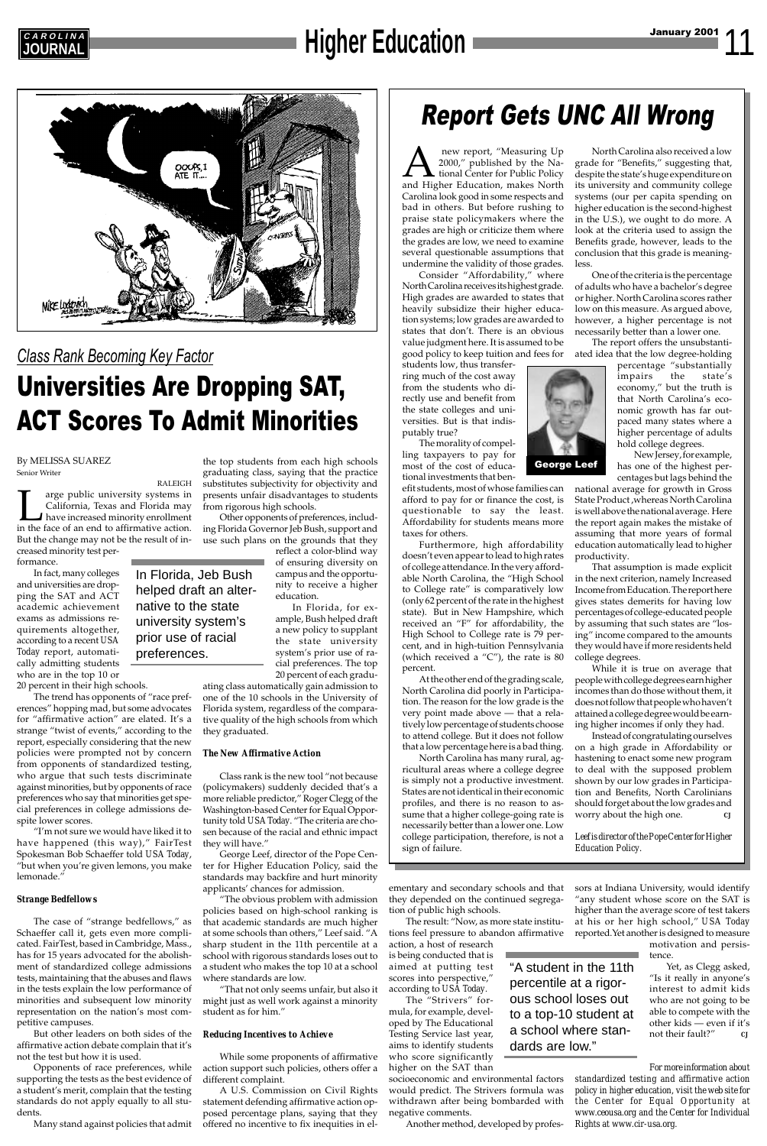# **EAROLINA**<br> **JOURNAL Education**



*Class Rank Becoming Key Factor*

## Universities Are Dropping SAT, ACT Scores To Admit Minorities

## Report Gets UNC All Wrong



new report, "Measuring Up<br>
2000," published by the Na-<br>
tional Center for Public Policy<br>
and Higher Education, makes North 2000," published by the National Center for Public Policy Carolina look good in some respects and bad in others. But before rushing to praise state policymakers where the grades are high or criticize them where the grades are low, we need to examine several questionable assumptions that undermine the validity of those grades.

Consider "Affordability," where North Carolina receives its highest grade. High grades are awarded to states that heavily subsidize their higher education systems; low grades are awarded to states that don't. There is an obvious value judgment here. It is assumed to be good policy to keep tuition and fees for

students low, thus transferring much of the cost away from the students who directly use and benefit from the state colleges and universities. But is that indisputably true?

The morality of compelling taxpayers to pay for most of the cost of educational investments that ben-

efit students, most of whose families can afford to pay for or finance the cost, is questionable to say the least. Affordability for students means more taxes for others.

Furthermore, high affordability doesn't even appear to lead to high rates of college attendance. In the very affordable North Carolina, the "High School to College rate" is comparatively low (only 62 percent of the rate in the highest state). But in New Hampshire, which received an "F" for affordability, the High School to College rate is 79 percent, and in high-tuition Pennsylvania (which received a "C"), the rate is 80 percent.

At the other end of the grading scale, North Carolina did poorly in Participation. The reason for the low grade is the very point made above — that a relatively low percentage of students choose to attend college. But it does not follow that a low percentage here is a bad thing.

Instead of congratulating ourselves on a high grade in Affordability or hastening to enact some new program to deal with the supposed problem shown by our low grades in Participation and Benefits, North Carolinians should forget about the low grades and worry about the high one.

North Carolina has many rural, agricultural areas where a college degree is simply not a productive investment. States are not identical in their economic profiles, and there is no reason to assume that a higher college-going rate is necessarily better than a lower one. Low college participation, therefore, is not a

sign of failure.

North Carolina also received a low grade for "Benefits," suggesting that, despite the state's huge expenditure on its university and community college systems (our per capita spending on higher education is the second-highest in the U.S.), we ought to do more. A look at the criteria used to assign the Benefits grade, however, leads to the conclusion that this grade is meaningless.

One of the criteria is the percentage of adults who have a bachelor's degree or higher. North Carolina scores rather low on this measure. As argued above, however, a higher percentage is not necessarily better than a lower one.

The report offers the unsubstantiated idea that the low degree-holding

percentage "substantially impairs the state's economy," but the truth is that North Carolina's economic growth has far outpaced many states where a higher percentage of adults hold college degrees.

New Jersey, for example, has one of the highest percentages but lags behind the

national average for growth in Gross State Product ,whereas North Carolina is well above the national average. Here the report again makes the mistake of assuming that more years of formal education automatically lead to higher productivity.

That assumption is made explicit in the next criterion, namely Increased Income from Education. The report here gives states demerits for having low percentages of college-educated people by assuming that such states are "losing" income compared to the amounts they would have if more residents held college degrees.

While it is true on average that people with college degrees earn higher incomes than do those without them, it does not follow that people who haven't attained a college degree would be earning higher incomes if only they had.

*Leef is director of the Pope Center for Higher*

*Education Policy.*

By MELISSA SUAREZ Senior Writer

RALEIGH Tum arge public university systems in California, Texas and Florida may have increased minority enrollment in the face of an end to affirmative action. California, Texas and Florida may have increased minority enrollment But the change may not be the result of increased minority test per-

> Yet, as Clegg asked, "Is it really in anyone's interest to admit kids who are not going to be able to compete with the other kids — even if it's not their fault?"

formance.

In fact, many colleges and universities are dropping the SAT and ACT academic achievement exams as admissions requirements altogether, according to a recent *USA Today* report, automatically admitting students who are in the top 10 or

20 percent in their high schools.

The trend has opponents of "race preferences" hopping mad, but some advocates for "affirmative action" are elated. It's a strange "twist of events," according to the report, especially considering that the new policies were prompted not by concern from opponents of standardized testing, who argue that such tests discriminate against minorities, but by opponents of race preferences who say that minorities get special preferences in college admissions despite lower scores.

"I'm not sure we would have liked it to have happened (this way)," FairTest Spokesman Bob Schaeffer told *USA Today*, "but when you're given lemons, you make lemonade."

#### *Strange Bedfellows*

The case of "strange bedfellows," as Schaeffer call it, gets even more complicated. FairTest, based in Cambridge, Mass., has for 15 years advocated for the abolishment of standardized college admissions tests, maintaining that the abuses and flaws in the tests explain the low performance of minorities and subsequent low minority representation on the nation's most competitive campuses.

But other leaders on both sides of the affirmative action debate complain that it's not the test but how it is used.

Opponents of race preferences, while supporting the tests as the best evidence of a student's merit, complain that the testing standards do not apply equally to all students.

Many stand against policies that admit

the top students from each high schools graduating class, saying that the practice substitutes subjectivity for objectivity and presents unfair disadvantages to students from rigorous high schools.

Other opponents of preferences, including Florida Governor Jeb Bush, support and use such plans on the grounds that they

> reflect a color-blind way of ensuring diversity on campus and the opportunity to receive a higher education.

In Florida, for example, Bush helped draft a new policy to supplant the state university system's prior use of racial preferences. The top 20 percent of each gradu-

ating class automatically gain admission to one of the 10 schools in the University of Florida system, regardless of the comparative quality of the high schools from which they graduated.

#### *The New Affirmative Action*

Class rank is the new tool "not because (policymakers) suddenly decided that's a more reliable predictor," Roger Clegg of the Washington-based Center for Equal Opportunity told *USA Today*. "The criteria are chosen because of the racial and ethnic impact they will have." George Leef, director of the Pope Center for Higher Education Policy, said the standards may backfire and hurt minority applicants' chances for admission. "The obvious problem with admission policies based on high-school ranking is that academic standards are much higher at some schools than others," Leef said. "A sharp student in the 11th percentile at a school with rigorous standards loses out to a student who makes the top 10 at a school where standards are low. "That not only seems unfair, but also it might just as well work against a minority student as for him."

#### *Reducing Incentives to Achieve*

While some proponents of affirmative action support such policies, others offer a different complaint.

A U.S. Commission on Civil Rights statement defending affirmative action opposed percentage plans, saying that they offered no incentive to fix inequities in el-

In Florida, Jeb Bush helped draft an alternative to the state university system's prior use of racial

preferences.

ementary and secondary schools and that they depended on the continued segregation of public high schools.

The result: "Now, as more state institutions feel pressure to abandon affirmative action, a host of research

is being conducted that is aimed at putting test scores into perspective," according to *USA Today*. The "Strivers" formula, for example, developed by The Educational Testing Service last year, aims to identify students who score significantly higher on the SAT than

socioeconomic and environmental factors would predict. The Strivers formula was withdrawn after being bombarded with negative comments.

Another method, developed by profes-

sors at Indiana University, would identify "any student whose score on the SAT is higher than the average score of test takers at his or her high school," *USA Today* reported.Yet another is designed to measure motivation and persis-

tence.

*For more information about*

*standardized testing and affirmative action policy in higher education, visit the web site for the Center for Equal Opportunity at www.ceousa.org and the Center for Individual Rights at www.cir-usa.org.*

"A student in the 11th percentile at a rigorous school loses out to a top-10 student at a school where stan-

dards are low."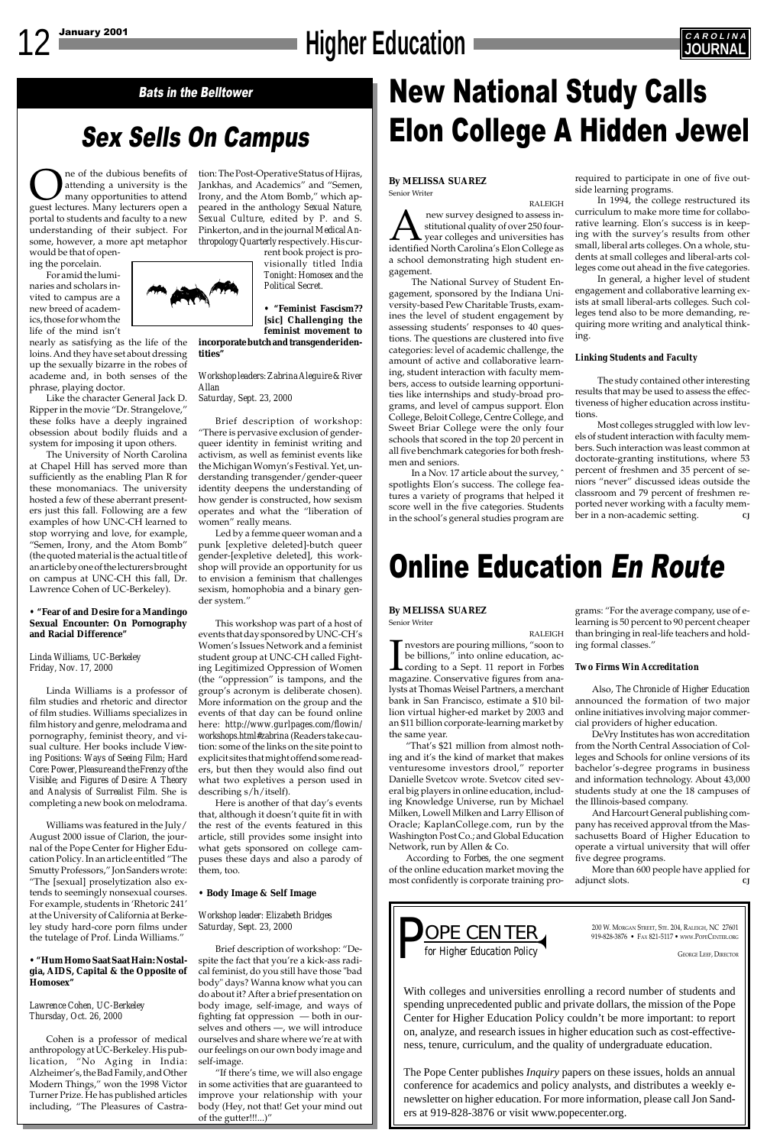# 12 January 2001 **CAROLINA**



## Sex Sells On Campus

# Bats in the Belltower **New National Study Calls** Elon College A Hidden Jewel



200 W. MORGAN STREET, STE. 204, RALEIGH, NC 27601<br>919-828-3876 • Fax 821-5117 • www.PopeCenter.org

With colleges and universities enrolling a record number of students and spending unprecedented public and private dollars, the mission of the Pope Center for Higher Education Policy couldn't be more important: to report on, analyze, and research issues in higher education such as cost-effectiveness, tenure, curriculum, and the quality of undergraduate education.

**OREA** are of the dubious benefits of attending a university is the many opportunities to attend guest lectures. Many lecturers open a attending a university is the many opportunities to attend portal to students and faculty to a new understanding of their subject. For some, however, a more apt metaphor

> The Pope Center publishes *Inquiry* papers on these issues, holds an annual conference for academics and policy analysts, and distributes a weekly enewsletter on higher education. For more information, please call Jon Sanders at 919-828-3876 or visit www.popecenter.org.

would be that of opening the porcelain.

For amid the luminaries and scholars invited to campus are a new breed of academics, those for whom the life of the mind isn't

nearly as satisfying as the life of the loins. And they have set about dressing up the sexually bizarre in the robes of academe and, in both senses of the phrase, playing doctor.

Like the character General Jack D. Ripper in the movie "Dr. Strangelove," these folks have a deeply ingrained obsession about bodily fluids and a system for imposing it upon others.

The University of North Carolina at Chapel Hill has served more than sufficiently as the enabling Plan R for these monomaniacs. The university hosted a few of these aberrant presenters just this fall. Following are a few examples of how UNC-CH learned to stop worrying and love, for example, "Semen, Irony, and the Atom Bomb" (the quoted material is the actual title of an article by one of the lecturers brought on campus at UNC-CH this fall, Dr. Lawrence Cohen of UC-Berkeley).

#### **• "Fear of and Desire for a Mandingo Sexual Encounter: On Pornography and Racial Difference"**

#### *Linda Williams, UC-Berkeley Friday, Nov. 17, 2000*

Linda Williams is a professor of film studies and rhetoric and director of film studies. Williams specializes in film history and genre, melodrama and pornography, feminist theory, and visual culture. Her books include *Viewing Positions: Ways of Seeing Film; Hard Core: Power, Pleasure and the Frenzy of the Visible;* and *Figures of Desire: A Theory and Analysis of Surrealist Film.* She is completing a new book on melodrama.

Williams was featured in the July/ August 2000 issue of *Clarion*, the jour-

nal of the Pope Center for Higher Education Policy. In an article entitled "The Smutty Professors," Jon Sanders wrote: "The [sexual] proselytization also extends to seemingly nonsexual courses. For example, students in 'Rhetoric 241' at the University of California at Berkeley study hard-core porn films under the tutelage of Prof. Linda Williams."

#### **• "Hum Homo Saat Saat Hain: Nostalgia, AIDS, Capital & the Opposite of Homosex"**

*Lawrence Cohen, UC-Berkeley Thursday, Oct. 26, 2000*

Cohen is a professor of medical anthropology at UC-Berkeley. His publication, "No Aging in India: Alzheimer's, the Bad Family, and Other Modern Things," won the 1998 Victor Turner Prize. He has published articles including, "The Pleasures of Castra-

tion: The Post-Operative Status of Hijras, Jankhas, and Academics" and "Semen, Irony, and the Atom Bomb," which appeared in the anthology *Sexual Nature, Sexual Culture,* edited by P. and S. Pinkerton, and in the journal *Medical Anthropology Quarterly* respectively. His cur-

> rent book project is provisionally titled *India Tonight: Homosex and the Political Secret.*

**• "Feminist Fascism?? [sic] Challenging the feminist movement to**

**incorporate butch and transgender identities"**

#### *Workshop leaders: Zabrina Aleguire & River Allan Saturday, Sept. 23, 2000*

Brief description of workshop: "There is pervasive exclusion of gender-

queer identity in feminist writing and activism, as well as feminist events like the Michigan Womyn's Festival. Yet, understanding transgender/gender-queer identity deepens the understanding of how gender is constructed, how sexism operates and what the "liberation of women" really means.

Led by a femme queer woman and a punk [expletive deleted]-butch queer gender-[expletive deleted], this workshop will provide an opportunity for us to envision a feminism that challenges sexism, homophobia and a binary gender system."

This workshop was part of a host of events that day sponsored by UNC-CH's Women's Issues Network and a feminist student group at UNC-CH called Fighting Legitimized Oppression of Women (the "oppression" is tampons, and the group's acronym is deliberate chosen). More information on the group and the events of that day can be found online here: *http://www.gurlpages.com/flowin/ workshops.html#zabrina* (Readers take caution: some of the links on the site point to explicit sites that might offend some readers, but then they would also find out what two expletives a person used in describing s/h/itself).

> More than 600 people have applied for adjunct slots.

Here is another of that day's events that, although it doesn't quite fit in with the rest of the events featured in this article, still provides some insight into what gets sponsored on college campuses these days and also a parody of them, too.

**• Body Image & Self Image**

*Workshop leader: Elizabeth Bridges Saturday, Sept. 23, 2000*

Brief description of workshop: "Despite the fact that you're a kick-ass radical feminist, do you still have those "bad body" days? Wanna know what you can do about it? After a brief presentation on body image, self-image, and ways of fighting fat oppression — both in ourselves and others —, we will introduce ourselves and share where we're at with our feelings on our own body image and self-image.

"If there's time, we will also engage in some activities that are guaranteed to improve your relationship with your body (Hey, not that! Get your mind out of the gutter!!!...)"

**By MELISSA SUAREZ** Senior Writer

RALEIGH **A new survey designed to assess in-**<br>stitutional quality of over 250 four-<br>identified North Carolina's Elon College as stitutional quality of over 250 fouryear colleges and universities has a school demonstrating high student engagement.

The National Survey of Student Engagement, sponsored by the Indiana University-based Pew Charitable Trusts, examines the level of student engagement by assessing students' responses to 40 questions. The questions are clustered into five categories: level of academic challenge, the amount of active and collaborative learning, student interaction with faculty members, access to outside learning opportunities like internships and study-broad programs, and level of campus support. Elon College, Beloit College, Centre College, and Sweet Briar College were the only four schools that scored in the top 20 percent in all five benchmark categories for both freshmen and seniors.

In a Nov. 17 article about the survey, ˆ spotlights Elon's success. The college features a variety of programs that helped it score well in the five categories. Students in the school's general studies program are required to participate in one of five outside learning programs.

In 1994, the college restructured its curriculum to make more time for collaborative learning. Elon's success is in keeping with the survey's results from other small, liberal arts colleges. On a whole, students at small colleges and liberal-arts colleges come out ahead in the five categories.

In general, a higher level of student engagement and collaborative learning exists at small liberal-arts colleges. Such colleges tend also to be more demanding, requiring more writing and analytical thinking.

#### *Linking Students and Faculty*

The study contained other interesting results that may be used to assess the effectiveness of higher education across institutions.

Most colleges struggled with low levels of student interaction with faculty members. Such interaction was least common at doctorate-granting institutions, where 53 percent of freshmen and 35 percent of seniors "never" discussed ideas outside the classroom and 79 percent of freshmen reported never working with a faculty member in a non-academic setting. *CJ*

#### **By MELISSA SUAREZ**

Senior Writer

RALEIGH  $\prod_{\text{mag}}$ nvestors are pouring millions, "soon to be billions," into online education, according to a Sept. 11 report in *Forbes* magazine. Conservative figures from analysts at Thomas Weisel Partners, a merchant bank in San Francisco, estimate a \$10 billion virtual higher-ed market by 2003 and an \$11 billion corporate-learning market by the same year.

"That's \$21 million from almost nothing and it's the kind of market that makes venturesome investors drool," reporter Danielle Svetcov wrote. Svetcov cited several big players in online education, including Knowledge Universe, run by Michael Milken, Lowell Milken and Larry Ellison of Oracle; KaplanCollege.com, run by the Washington Post Co.; and Global Education

Network, run by Allen & Co.

According to *Forbes*, the one segment of the online education market moving the most confidently is corporate training pro-

grams: "For the average company, use of elearning is 50 percent to 90 percent cheaper than bringing in real-life teachers and holding formal classes."

#### *Two Firms Win Accreditation*

Also, *The Chronicle of Higher Education* announced the formation of two major online initiatives involving major commercial providers of higher education.

DeVry Institutes has won accreditation from the North Central Association of Colleges and Schools for online versions of its bachelor's-degree programs in business and information technology. About 43,000 students study at one the 18 campuses of the Illinois-based company.

And Harcourt General publishing company has received approval tfrom the Massachusetts Board of Higher Education to



operate a virtual university that will offer five degree programs.

# Online Education En Route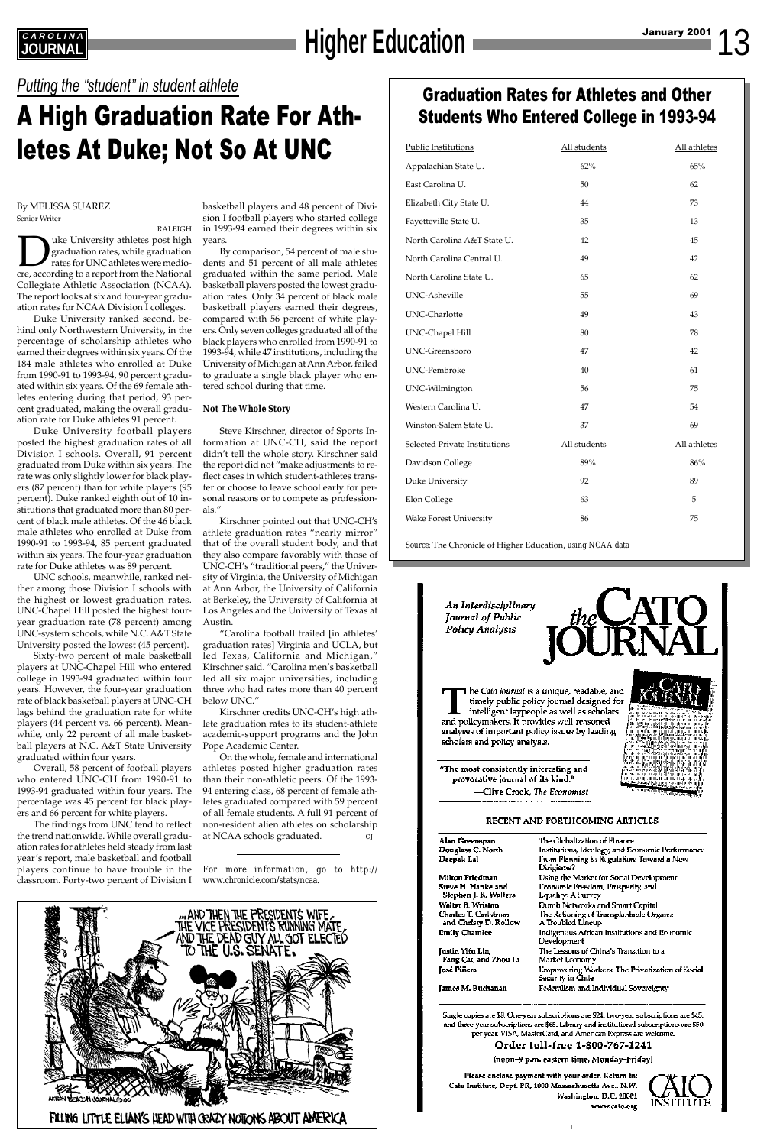# **EAROLINA**<br>JOURNAL

## *Putting the* "*student*" *in student athlete*

## A High Graduation Rate For Athletes At Duke; Not So At UNC

By MELISSA SUAREZ Senior Writer

RALEIGH uke University athletes post high graduation rates, while graduation rates for UNC athletes were mediocre, according to a report from the National Collegiate Athletic Association (NCAA). The report looks at six and four-year graduation rates for NCAA Division I colleges.

Duke University ranked second, behind only Northwestern University, in the percentage of scholarship athletes who earned their degrees within six years. Of the 184 male athletes who enrolled at Duke from 1990-91 to 1993-94, 90 percent graduated within six years. Of the 69 female athletes entering during that period, 93 percent graduated, making the overall graduation rate for Duke athletes 91 percent.

Duke University football players posted the highest graduation rates of all Division I schools. Overall, 91 percent graduated from Duke within six years. The rate was only slightly lower for black players (87 percent) than for white players (95 percent). Duke ranked eighth out of 10 institutions that graduated more than 80 percent of black male athletes. Of the 46 black male athletes who enrolled at Duke from 1990-91 to 1993-94, 85 percent graduated within six years. The four-year graduation rate for Duke athletes was 89 percent.

UNC schools, meanwhile, ranked neither among those Division I schools with the highest or lowest graduation rates. UNC-Chapel Hill posted the highest fouryear graduation rate (78 percent) among UNC-system schools, while N.C. A&T State University posted the lowest (45 percent).

Sixty-two percent of male basketball players at UNC-Chapel Hill who entered college in 1993-94 graduated within four years. However, the four-year graduation rate of black basketball players at UNC-CH lags behind the graduation rate for white players (44 percent vs. 66 percent). Meanwhile, only 22 percent of all male basketball players at N.C. A&T State University graduated within four years.

Overall, 58 percent of football players who entered UNC-CH from 1990-91 to 1993-94 graduated within four years. The percentage was 45 percent for black players and 66 percent for white players.

The findings from UNC tend to reflect the trend nationwide. While overall graduation rates for athletes held steady from last year's report, male basketball and football players continue to have trouble in the classroom. Forty-two percent of Division I

basketball players and 48 percent of Division I football players who started college in 1993-94 earned their degrees within six years.

By comparison, 54 percent of male students and 51 percent of all male athletes graduated within the same period. Male basketball players posted the lowest graduation rates. Only 34 percent of black male basketball players earned their degrees, compared with 56 percent of white players. Only seven colleges graduated all of the black players who enrolled from 1990-91 to 1993-94, while 47 institutions, including the University of Michigan at Ann Arbor, failed to graduate a single black player who entered school during that time.

#### *Not The Whole Story*

Steve Kirschner, director of Sports Information at UNC-CH, said the report didn't tell the whole story. Kirschner said the report did not "make adjustments to reflect cases in which student-athletes transfer or choose to leave school early for personal reasons or to compete as professionals."

Kirschner pointed out that UNC-CH*'s* athlete graduation rates "nearly mirror" that of the overall student body, and that they also compare favorably with those of UNC-CH's "traditional peers," the University of Virginia, the University of Michigan at Ann Arbor, the University of California at Berkeley, the University of California at Los Angeles and the University of Texas at Austin.

"Carolina football trailed [in athletes' graduation rates] Virginia and UCLA, but led Texas, California and Michigan," Kirschner said. "Carolina men's basketball led all six major universities, including three who had rates more than 40 percent below UNC."

Kirschner credits UNC-CH's high athlete graduation rates to its student-athlete academic-support programs and the John Pope Academic Center.

On the whole, female and international athletes posted higher graduation rates than their non-athletic peers. Of the 1993- 94 entering class, 68 percent of female athletes graduated compared with 59 percent of all female students. A full 91 percent of non-resident alien athletes on scholarship at NCAA schools graduated. *CJ*

*For more information, go to http:// www.chronicle.com/stats/ncaa.*



Douglass C. North Deepak Lai

Milton Friedman Steve H. Hanke and Stephen J. K. Walters Walter B. Wriston Charles T. Carlstron and Christy D. Rollow **Emily Chamlee** 

Justin Yifu Lin, Fang Cai, and Zhou Li **José Piñera** 

James M. Buchanan

Institutions, Ideology, and Economic Performance From Planning to Regulation: Toward a New Dirigiane? Using the Market for Social Development Economic Freedom, Prosperity, and Equality: A Survey Dunth Networks and Smart Capital the Rationing of Transplantable Organs: A Troubled Lineup Indigenous African Institutions and Economic Development The Lessons of China's Transition to a Market Economy Empowering Workers: The Privatization of Social<br>Security in Chile Federalism and Individual Sovereignty

Single copies are \$8. One-year subscriptions are \$24, two-year subscriptions are \$45, and three-year subscriptions are \$65. Library and institutional subscriptions are \$50. per year. VISA, MasterCard, and American Express are welcome.

Order toll-free 1-800-767-1241

(noon–9 p.m. eastern time, Monday–Friday)

Please enclose payment with your order. Return to: Cato Institute, Dept. PR, 1000 Massachusetts Ave., N.W. Washington, D.C. 20001 www.cato.org



## Graduation Rates for Athletes and Other Students Who Entered College in 1993-94

| Public Institutions                  | All students | All athletes |
|--------------------------------------|--------------|--------------|
| Appalachian State U.                 | 62%          | 65%          |
| East Carolina U.                     | 50           | 62           |
| Elizabeth City State U.              | 44           | 73           |
| Fayetteville State U.                | 35           | 13           |
| North Carolina A&T State U.          | 42           | 45           |
| North Carolina Central U.            | 49           | 42           |
| North Carolina State U.              | 65           | 62           |
| UNC-Asheville                        | 55           | 69           |
| UNC-Charlotte                        | 49           | 43           |
| <b>UNC-Chapel Hill</b>               | 80           | 78           |
| <b>UNC-Greensboro</b>                | 47           | 42           |
| <b>UNC-Pembroke</b>                  | 40           | 61           |
| UNC-Wilmington                       | 56           | 75           |
| Western Carolina U.                  | 47           | 54           |
| Winston-Salem State U.               | 37           | 69           |
| <b>Selected Private Institutions</b> | All students | All athletes |
| Davidson College                     | 89%          | 86%          |
| Duke University                      | 92           | 89           |
| Elon College                         | 63           | 5            |
| <b>Wake Forest University</b>        | 86           | 75           |
|                                      |              |              |

*Source:* The Chronicle of Higher Education, *using NCAA data*

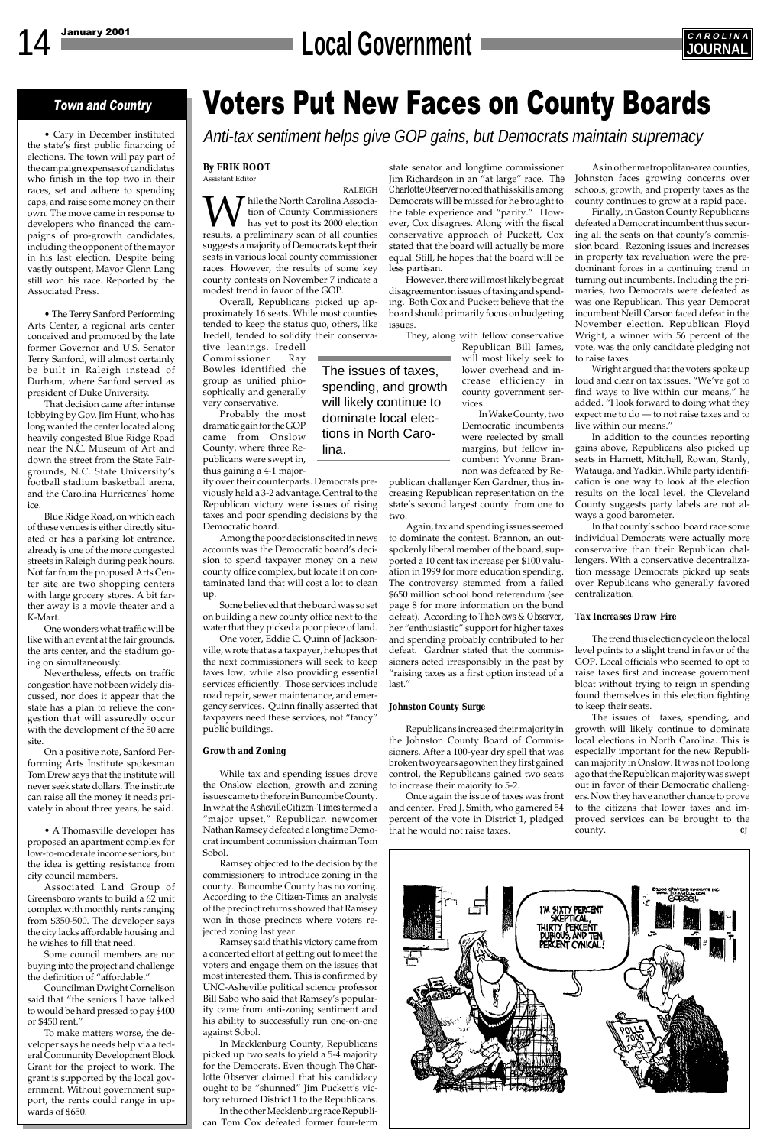# 14 January 2001 **CAROLINA**



### Town and Country

• Cary in December instituted the state's first public financing of elections. The town will pay part of the campaign expenses of candidates who finish in the top two in their races, set and adhere to spending caps, and raise some money on their own. The move came in response to developers who financed the campaigns of pro-growth candidates, including the opponent of the mayor in his last election. Despite being vastly outspent, Mayor Glenn Lang still won his race. Reported by the Associated Press.

• The Terry Sanford Performing Arts Center, a regional arts center conceived and promoted by the late former Governor and U.S. Senator Terry Sanford, will almost certainly be built in Raleigh instead of Durham, where Sanford served as president of Duke University.

That decision came after intense lobbying by Gov. Jim Hunt, who has long wanted the center located along heavily congested Blue Ridge Road near the N.C. Museum of Art and down the street from the State Fairgrounds, N.C. State University's football stadium basketball arena, and the Carolina Hurricanes' home ice.

Blue Ridge Road, on which each of these venues is either directly situated or has a parking lot entrance, already is one of the more congested streets in Raleigh during peak hours. Not far from the proposed Arts Center site are two shopping centers with large grocery stores. A bit farther away is a movie theater and a K-Mart.

One wonders what traffic will be like with an event at the fair grounds, the arts center, and the stadium going on simultaneously.

Nevertheless, effects on traffic congestion have not been widely discussed, nor does it appear that the state has a plan to relieve the congestion that will assuredly occur with the development of the 50 acre site.

On a positive note, Sanford Performing Arts Institute spokesman Tom Drew says that the institute will never seek state dollars. The institute can raise all the money it needs privately in about three years, he said.

• A Thomasville developer has proposed an apartment complex for low-to-moderate income seniors, but the idea is getting resistance from city council members.

Associated Land Group of Greensboro wants to build a 62 unit complex with monthly rents ranging from \$350-500. The developer says the city lacks affordable housing and he wishes to fill that need.

Some council members are not buying into the project and challenge the definition of "affordable."

Councilman Dwight Cornelison said that "the seniors I have talked to would be hard pressed to pay \$400 or \$450 rent."

To make matters worse, the developer says he needs help via a federal Community Development Block Grant for the project to work. The grant is supported by the local government. Without government support, the rents could range in upwards of \$650.



# Voters Put New Faces on County Boards

Anti-tax sentiment helps give GOP gains, but Democrats maintain supremacy

#### **By ERIK ROOT**

Assistant Editor RALEIGH  $\overline{\mathcal{T}}$  hile the North Carolina Association of County Commissioners has yet to post its 2000 election results, a preliminary scan of all counties suggests a majority of Democrats kept their seats in various local county commissioner races. However, the results of some key county contests on November 7 indicate a

modest trend in favor of the GOP. Overall, Republicans picked up approximately 16 seats. While most counties tended to keep the status quo, others, like Iredell, tended to solidify their conserva-

tive leanings. Iredell Commissioner Ray Bowles identified the group as unified philosophically and generally very conservative.

Probably the most dramatic gain for the GOP came from Onslow County, where three Republicans were swept in, thus gaining a 4-1 major-

ity over their counterparts. Democrats previously held a 3-2 advantage. Central to the Republican victory were issues of rising taxes and poor spending decisions by the Democratic board.

Among the poor decisions cited in news accounts was the Democratic board's decision to spend taxpayer money on a new county office complex, but locate it on contaminated land that will cost a lot to clean up.

Some believed that the board was so set on building a new county office next to the water that they picked a poor piece of land.

One voter, Eddie C. Quinn of Jacksonville, wrote that as a taxpayer, he hopes that the next commissioners will seek to keep taxes low, while also providing essential services efficiently. Those services include road repair, sewer maintenance, and emergency services. Quinn finally asserted that taxpayers need these services, not "fancy" public buildings.

#### *Growth and Zoning*

While tax and spending issues drove the Onslow election, growth and zoning issues came to the fore in Buncombe County. In what the *Asheville Citizen-Times* termed a "major upset," Republican newcomer Nathan Ramsey defeated a longtime Democrat incumbent commission chairr Sobol. Ramsey objected to the decision by the commissioners to introduce zoning in the county. Buncombe County has no zoning. According to the *Citizen-Times* an analysis of the precinct returns showed that Ramsey won in those precincts where voters rejected zoning last year. Ramsey said that his victory came from a concerted effort at getting out to meet the voters and engage them on the issues that most interested them. This is confirmed by UNC-Asheville political science professor Bill Sabo who said that Ramsey's popularity came from anti-zoning sentiment and his ability to successfully run one-on-one against Sobol. In Mecklenburg County, Republicans picked up two seats to yield a 5-4 majority for the Democrats. Even though *The Charlotte Observer* claimed that his candidacy ought to be "shunned" Jim Puckett's victory returned District 1 to the Republicans. In the other Mecklenburg race Republican Tom Cox defeated former four-term

state senator and longtime commissioner Jim Richardson in an "at large" race. *The Charlotte Observer* noted that his skills among Democrats will be missed for he brought to the table experience and "parity." However, Cox disagrees. Along with the fiscal conservative approach of Puckett, Cox stated that the board will actually be more equal. Still, he hopes that the board will be less partisan.

However, there will most likely be great disagreement on issues of taxing and spending. Both Cox and Puckett believe that the board should primarily focus on budgeting issues.

They, along with fellow conservative

Republican Bill James, will most likely seek to lower overhead and increase efficiency in county government services.

In Wake County, two Democratic incumbents were reelected by small margins, but fellow incumbent Yvonne Brannon was defeated by Re-

publican challenger Ken Gardner, thus increasing Republican representation on the state's second largest county from one to two.

Again, tax and spending issues seemed to dominate the contest. Brannon, an outspokenly liberal member of the board, supported a 10 cent tax increase per \$100 valuation in 1999 for more education spending. The controversy stemmed from a failed \$650 million school bond referendum (see page 8 for more information on the bond defeat). According to *The News & Observer*, her "enthusiastic" support for higher taxes and spending probably contributed to her defeat. Gardner stated that the commissioners acted irresponsibly in the past by "raising taxes as a first option instead of a last."

#### *Johnston County Surge*

Republicans increased their majority in the Johnston County Board of Commissioners. After a 100-year dry spell that was broken two years ago when they first gained control, the Republicans gained two seats to increase their majority to 5-2.

Once again the issue of taxes was front and center. Fred J. Smith, who garnered 54 percent of the vote in District 1, pledged that he would not raise taxes.

As in other metropolitan-area counties, Johnston faces growing concerns over schools, growth, and property taxes as the county continues to grow at a rapid pace.

Finally, in Gaston County Republicans defeated a Democrat incumbent thus securing all the seats on that county's commission board. Rezoning issues and increases in property tax revaluation were the predominant forces in a continuing trend in turning out incumbents. Including the primaries, two Democrats were defeated as was one Republican. This year Democrat incumbent Neill Carson faced defeat in the November election. Republican Floyd Wright, a winner with 56 percent of the vote, was the only candidate pledging not to raise taxes.

Wright argued that the voters spoke up loud and clear on tax issues. "We've got to find ways to live within our means," he added. "I look forward to doing what they expect me to do — to not raise taxes and to live within our means."

In addition to the counties reporting gains above, Republicans also picked up seats in Harnett, Mitchell, Rowan, Stanly, Watauga, and Yadkin. While party identification is one way to look at the election results on the local level, the Cleveland County suggests party labels are not always a good barometer.

In that county's school board race some individual Democrats were actually more conservative than their Republican challengers. With a conservative decentralization message Democrats picked up seats over Republicans who generally favored centralization.

#### *Tax Increases Draw Fire*

The trend this election cycle on the local level points to a slight trend in favor of the GOP. Local officials who seemed to opt to raise taxes first and increase government bloat without trying to reign in spending found themselves in this election fighting to keep their seats.

The issues of taxes, spending, and growth will likely continue to dominate local elections in North Carolina. This is especially important for the new Republican majority in Onslow. It was not too long ago that the Republican majority was swept out in favor of their Democratic challengers. Now they have another chance to prove to the citizens that lower taxes and improved services can be brought to the county. *CJ*

The issues of taxes, spending, and growth will likely continue to dominate local elections in North Carolina.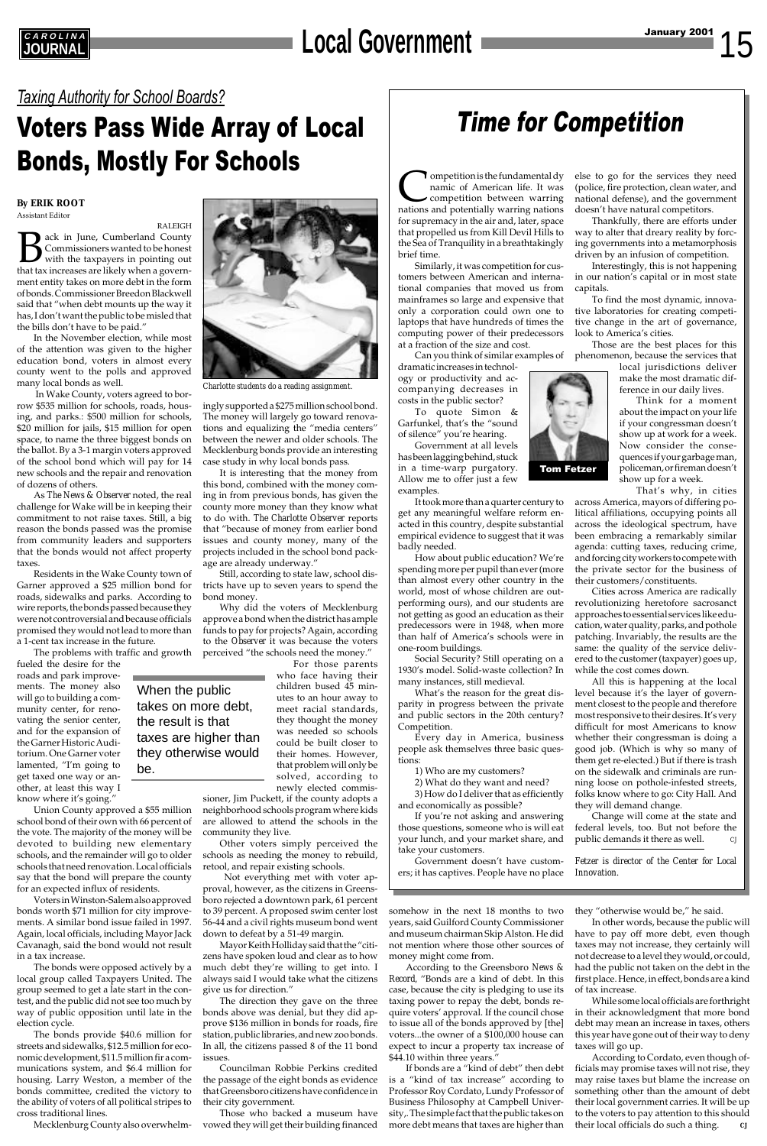### *Taxing Authority for School Boards?*

## Voters Pass Wide Array of Local Bonds, Mostly For Schools

## **EAROLINA**<br>JOURNAL **JOURNAL Local Government**

## Time for Competition



**By ERIK ROOT** Assistant Editor

RALEIGH Back in June, Cumberland County<br>Commissioners wanted to be honest<br>that tax increases are likely when a govern-Commissioners wanted to be honest with the taxpayers in pointing out that tax increases are likely when a government entity takes on more debt in the form of bonds. Commissioner Breedon Blackwell said that "when debt mounts up the way it has, I don't want the public to be misled that the bills don't have to be paid."

In the November election, while most of the attention was given to the higher education bond, voters in almost every county went to the polls and approved many local bonds as well.

 In Wake County, voters agreed to borrow \$535 million for schools, roads, housing, and parks.: \$500 million for schools, \$20 million for jails, \$15 million for open space, to name the three biggest bonds on the ballot. By a 3-1 margin voters approved of the school bond which will pay for 14 new schools and the repair and renovation of dozens of others.

As *The News & Observer* noted, the real challenge for Wake will be in keeping their commitment to not raise taxes. Still, a big reason the bonds passed was the promise from community leaders and supporters that the bonds would not affect property taxes.

Residents in the Wake County town of Garner approved a \$25 million bond for roads, sidewalks and parks. According to wire reports, the bonds passed because they were not controversial and because officials promised they would not lead to more than a 1-cent tax increase in the future.

The problems with traffic and growth

fueled the desire for the roads and park improvements. The money also will go to building a community center, for renovating the senior center, and for the expansion of the Garner Historic Auditorium. One Garner voter lamented, "I'm going to get taxed one way or another, at least this way I know where it's going."

Union County approved a \$55 million school bond of their own with 66 percent of the vote. The majority of the money will be devoted to building new elementary schools, and the remainder will go to older schools that need renovation. Local officials say that the bond will prepare the county for an expected influx of residents. Voters in Winston-Salem also approved bonds worth \$71 million for city improvements. A similar bond issue failed in 1997. Again, local officials, including Mayor Jack Cavanagh, said the bond would not result in a tax increase. The bonds were opposed actively by a local group called Taxpayers United. The group seemed to get a late start in the contest, and the public did not see too much by way of public opposition until late in the election cycle. The bonds provide \$40.6 million for streets and sidewalks, \$12.5 million for economic development, \$11.5 million fir a communications system, and \$6.4 million for housing. Larry Weston, a member of the bonds committee, credited the victory to the ability of voters of all political stripes to cross traditional lines.

Mecklenburg County also overwhelm-

ingly supported a \$275 million school bond. The money will largely go toward renovations and equalizing the "media centers" between the newer and older schools. The Mecklenburg bonds provide an interesting case study in why local bonds pass.

It is interesting that the money from this bond, combined with the money coming in from previous bonds, has given the county more money than they know what to do with. *The Charlotte Observer* reports that "because of money from earlier bond issues and county money, many of the projects included in the school bond package are already underway."

**Competition is the fundamental dy**<br>
namic of American life. It was<br>
competition between warring<br>
nations and potentially warring nations namic of American life. It was competition between warring for supremacy in the air and, later, space that propelled us from Kill Devil Hills to the Sea of Tranquility in a breathtakingly brief time.

Still, according to state law, school districts have up to seven years to spend the bond money.

Why did the voters of Mecklenburg approve a bond when the district has ample funds to pay for projects? Again, according to the *Observer* it was because the voters perceived "the schools need the money."

For those parents who face having their children bused 45 minutes to an hour away to meet racial standards, they thought the money was needed so schools could be built closer to their homes. However, that problem will only be solved, according to newly elected commis-

sioner, Jim Puckett, if the county adopts a neighborhood schools program where kids are allowed to attend the schools in the

community they live. Other voters simply perceived the schools as needing the money to rebuild, retool, and repair existing schools.

 Not everything met with voter approval, however, as the citizens in Greensboro rejected a downtown park, 61 percent to 39 percent. A proposed swim center lost 56-44 and a civil rights museum bond went down to defeat by a 51-49 margin.

Mayor Keith Holliday said that the "citizens have spoken loud and clear as to how much debt they're willing to get into. I always said I would take what the citizens give us for direction."

The direction they gave on the three bonds above was denial, but they did approve \$136 million in bonds for roads, fire station, public libraries, and new zoo bonds. In all, the citizens passed 8 of the 11 bond issues.

Councilman Robbie Perkins credited the passage of the eight bonds as evidence that Greensboro citizens have confidence in their city government.

Those who backed a museum have vowed they will get their building financed somehow in the next 18 months to two years, said Guilford County Commissioner and museum chairman Skip Alston. He did not mention where those other sources of money might come from.

Change will come at the state and federal levels, too. But not before the public demands it there as well.

According to the Greensboro *News & Record,* "Bonds are a kind of debt. In this case, because the city is pledging to use its taxing power to repay the debt, bonds require voters' approval. If the council chose to issue all of the bonds approved by [the] voters...the owner of a \$100,000 house can expect to incur a property tax increase of \$44.10 within three years."

If bonds are a "kind of debt" then debt is a "kind of tax increase" according to Professor Roy Cordato, Lundy Professor of Business Philosophy at Campbell University,. The simple fact that the public takes on more debt means that taxes are higher than



*Charlotte students do a reading assignment.*

they "otherwise would be," he said.

In other words, because the public will have to pay off more debt, even though taxes may not increase, they certainly will not decrease to a level they would, or could, had the public not taken on the debt in the first place. Hence, in effect, bonds are a kind of tax increase.

While some local officials are forthright in their acknowledgment that more bond debt may mean an increase in taxes, others this year have gone out of their way to deny taxes will go up.

According to Cordato, even though officials may promise taxes will not rise, they may raise taxes but blame the increase on something other than the amount of debt their local government carries. It will be up to the voters to pay attention to this should their local officials do such a thing. *CJ*

When the public takes on more debt,

the result is that

taxes are higher than they otherwise would

be.

Similarly, it was competition for customers between American and international companies that moved us from mainframes so large and expensive that only a corporation could own one to laptops that have hundreds of times the computing power of their predecessors at a fraction of the size and cost.

Can you think of similar examples of

dramatic increases in technology or productivity and accompanying decreases in costs in the public sector?

To quote Simon & Garfunkel, that's the "sound of silence" you're hearing.

Government at all levels has been lagging behind, stuck in a time-warp purgatory. Allow me to offer just a few examples.

It took more than a quarter century to get any meaningful welfare reform enacted in this country, despite substantial empirical evidence to suggest that it was badly needed.

How about public education? We're spending more per pupil than ever (more than almost every other country in the world, most of whose children are outperforming ours), and our students are not getting as good an education as their predecessors were in 1948, when more than half of America's schools were in one-room buildings.

Social Security? Still operating on a 1930's model. Solid-waste collection? In many instances, still medieval.

What's the reason for the great disparity in progress between the private and public sectors in the 20th century? Competition.

Every day in America, business people ask themselves three basic questions:

1) Who are my customers?

2) What do they want and need? 3) How do I deliver that as efficiently

and economically as possible? If you're not asking and answering those questions, someone who is will eat your lunch, and your market share, and

take your customers.

else to go for the services they need (police, fire protection, clean water, and national defense), and the government doesn't have natural competitors.

Thankfully, there are efforts under way to alter that dreary reality by forcing governments into a metamorphosis driven by an infusion of competition.

Interestingly, this is not happening in our nation's capital or in most state capitals.

To find the most dynamic, innovative laboratories for creating competitive change in the art of governance, look to America's cities.

Those are the best places for this phenomenon, because the services that

local jurisdictions deliver make the most dramatic difference in our daily lives.

Think for a moment about the impact on your life if your congressman doesn't show up at work for a week. Now consider the consequences if your garbage man, policeman, or fireman doesn't show up for a week.

That's why, in cities

Government doesn't have customers; it has captives. People have no place *Fetzer is director of the Center for Local Innovation.*

across America, mayors of differing political affiliations, occupying points all across the ideological spectrum, have been embracing a remarkably similar agenda: cutting taxes, reducing crime, and forcing city workers to compete with the private sector for the business of their customers/constituents.

Cities across America are radically revolutionizing heretofore sacrosanct approaches to essential services like education, water quality, parks, and pothole patching. Invariably, the results are the same: the quality of the service delivered to the customer (taxpayer) goes up, while the cost comes down.

All this is happening at the local level because it's the layer of government closest to the people and therefore most responsive to their desires. It's very difficult for most Americans to know whether their congressman is doing a good job. (Which is why so many of them get re-elected.) But if there is trash on the sidewalk and criminals are running loose on pothole-infested streets, folks know where to go: City Hall. And they will demand change.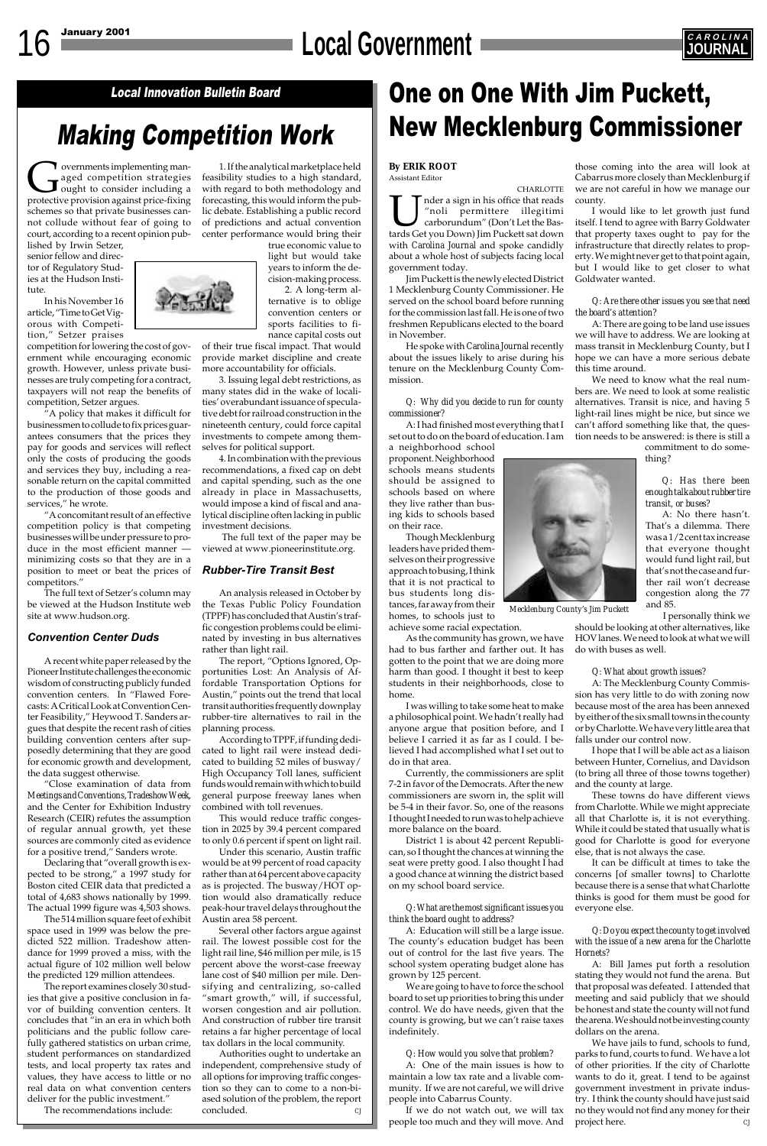# 16 January 2001 **CAROLINA**



## Making Competition Work

## Local Innovation Bulletin Board **Number 10 UP One on One With Jim Puckett**, New Mecklenburg Commissioner

**Confidence System**<br>aged competition strategies<br>protective provision against price-fixing aged competition strategies ought to consider including a protective provision against price-fixing schemes so that private businesses cannot collude without fear of going to court, according to a recent opinion pub-

lished by Irwin Setzer, senior fellow and director of Regulatory Studies at the Hudson Institute.

In his November 16 article, "Time to Get Vigorous with Competition," Setzer praises

competition for lowering the cost of government while encouraging economic growth. However, unless private businesses are truly competing for a contract, taxpayers will not reap the benefits of competition, Setzer argues.

"A policy that makes it difficult for businessmen to collude to fix prices guarantees consumers that the prices they pay for goods and services will reflect only the costs of producing the goods and services they buy, including a reasonable return on the capital committed to the production of those goods and services," he wrote.

"A concomitant result of an effective competition policy is that competing businesses will be under pressure to produce in the most efficient manner minimizing costs so that they are in a position to meet or beat the prices of competitors."

The full text of Setzer's column may be viewed at the Hudson Institute web site at www.hudson.org.

#### *Convention Center Duds*

A recent white paper released by the Pioneer Institute challenges the economic wisdom of constructing publicly funded convention centers. In "Flawed Forecasts: A Critical Look at Convention Center Feasibility," Heywood T. Sanders argues that despite the recent rash of cities building convention centers after supposedly determining that they are good for economic growth and development, the data suggest otherwise.

"Close examination of data from *Meetings and Conventions, Tradeshow Week*, and the Center for Exhibition Industry Research (CEIR) refutes the assumption of regular annual growth, yet these ces are commonly cited as evidence' for a positive trend," Sanders wrote. Declaring that "overall growth is expected to be strong," a 1997 study for Boston cited CEIR data that predicted a total of 4,683 shows nationally by 1999. The actual 1999 figure was 4,503 shows. The 514 million square feet of exhibit space used in 1999 was below the predicted 522 million. Tradeshow attendance for 1999 proved a miss, with the actual figure of 102 million well below the predicted 129 million attendees. The report examines closely 30 studies that give a positive conclusion in favor of building convention centers. It concludes that "in an era in which both politicians and the public follow carefully gathered statistics on urban crime, student performances on standardized tests, and local property tax rates and values, they have access to little or no real data on what convention centers deliver for the public investment."

The recommendations include:

#### **By ERIK ROOT** Assistant Editor

CHARLOTTE I mean in his office that reads<br>
"noli permittere illegitimi"<br>
carborundum" (Don't Let the Bastards Get you Down) Jim Puckett sat down "noli permittere illegitimi carborundum" (Don't Let the Bastards Get you Down) Jim Puckett sat down with *Carolina Journal* and spoke candidly about a whole host of subjects facing local government today.

Jim Puckett is the newly elected District 1 Mecklenburg County Commissioner. He served on the school board before running for the commission last fall. He is one of two freshmen Republicans elected to the board in November.

He spoke with *Carolina Journal* recently about the issues likely to arise during his tenure on the Mecklenburg County Commission.

#### *Q: Why did you decide to run for county commissioner?*

A: I had finished most everything that I set out to do on the board of education. I am

a neighborhood school proponent. Neighborhood schools means students should be assigned to schools based on where they live rather than busing kids to schools based on their race.

Though Mecklenburg leaders have prided themselves on their progressive approach to busing, I think that it is not practical to bus students long distances, far away from their homes, to schools just to

achieve some racial expectation.

As the community has grown, we have had to bus farther and farther out. It has gotten to the point that we are doing more harm than good. I thought it best to keep students in their neighborhoods, close to home.

I was willing to take some heat to make a philosophical point. We hadn't really had anyone argue that position before, and I believe I carried it as far as I could. I believed I had accomplished what I set out to do in that area.

Currently, the commissioners are split 7-2 in favor of the Democrats. After the new commissioners are sworn in, the split will be 5-4 in their favor. So, one of the reasons I thought I needed to run was to help achieve more balance on the board.

District 1 is about 42 percent Republi-

can, so I thought the chances at winning the seat were pretty good. I also thought I had a good chance at winning the district based on my school board service.

*Q: What are the most significant issues you think the board ought to address?*

A: Education will still be a large issue. The county's education budget has been out of control for the last five years. The school system operating budget alone has grown by 125 percent.

We are going to have to force the school board to set up priorities to bring this under control. We do have needs, given that the county is growing, but we can't raise taxes indefinitely.

#### *Q: How would you solve that problem?*

We have jails to fund, schools to fund, parks to fund, courts to fund. We have a lot of other priorities. If the city of Charlotte wants to do it, great. I tend to be against government investment in private industry. I think the county should have just said no they would not find any money for their project here.

A: One of the main issues is how to maintain a low tax rate and a livable community. If we are not careful, we will drive people into Cabarrus County.

If we do not watch out, we will tax people too much and they will move. And

1. If the analytical marketplace held feasibility studies to a high standard, with regard to both methodology and forecasting, this would inform the public debate. Establishing a public record of predictions and actual convention center performance would bring their

> true economic value to light but would take years to inform the decision-making process.

2. A long-term alternative is to oblige convention centers or sports facilities to finance capital costs out

of their true fiscal impact. That would provide market discipline and create more accountability for officials.

3. Issuing legal debt restrictions, as many states did in the wake of localities' overabundant issuance of speculative debt for railroad construction in the nineteenth century, could force capital investments to compete among themselves for political support.

4. In combination with the previous recommendations, a fixed cap on debt and capital spending, such as the one already in place in Massachusetts, would impose a kind of fiscal and analytical discipline often lacking in public investment decisions.

 The full text of the paper may be viewed at www.pioneerinstitute.org.

#### *Rubber-Tire Transit Best*

An analysis released in October by the Texas Public Policy Foundation (TPPF) has concluded that Austin's traffic congestion problems could be eliminated by investing in bus alternatives rather than light rail.

The report, "Options Ignored, Opportunities Lost: An Analysis of Affordable Transportation Options for Austin," points out the trend that local transit authorities frequently downplay rubber-tire alternatives to rail in the planning process.

According to TPPF, if funding dedicated to light rail were instead dedicated to building 52 miles of busway/ High Occupancy Toll lanes, sufficient funds would remain with which to build general purpose freeway lanes when combined with toll revenues.

This would reduce traffic congestion in 2025 by 39.4 percent compared to only 0.6 percent if spent on light rail.

Under this scenario, Austin traffic would be at 99 percent of road capacity rather than at 64 percent above capacity as is projected. The busway/HOT option would also dramatically reduce peak-hour travel delays throughout the Austin area 58 percent.

Several other factors argue against rail. The lowest possible cost for the light rail line, \$46 million per mile, is 15 percent above the worst-case freeway lane cost of \$40 million per mile. Densifying and centralizing, so-called "smart growth," will, if successful, worsen congestion and air pollution. And construction of rubber tire transit retains a far higher percentage of local tax dollars in the local community.

Authorities ought to undertake an independent, comprehensive study of all options for improving traffic congestion so they can to come to a non-biased solution of the problem, the report concluded. *CJ*

those coming into the area will look at Cabarrus more closely than Mecklenburg if we are not careful in how we manage our county.

I would like to let growth just fund itself. I tend to agree with Barry Goldwater that property taxes ought to pay for the infrastructure that directly relates to property. We might never get to that point again, but I would like to get closer to what Goldwater wanted.

#### *Q: Are there other issues you see that need the board's attention?*

A: There are going to be land use issues we will have to address. We are looking at mass transit in Mecklenburg County, but I hope we can have a more serious debate this time around.

We need to know what the real numbers are. We need to look at some realistic alternatives. Transit is nice, and having 5 light-rail lines might be nice, but since we can't afford something like that, the question needs to be answered: is there is still a

commitment to do something?

#### *Q: Has there been enough talk about rubber tire transit, or buses?*

A: No there hasn't. That's a dilemma. There was a 1/2 cent tax increase that everyone thought would fund light rail, but that's not the case and further rail won't decrease congestion along the 77 and 85.

I personally think we

should be looking at other alternatives, like HOV lanes. We need to look at what we will do with buses as well.

#### *Q: What about growth issues?*

A: The Mecklenburg County Commission has very little to do with zoning now because most of the area has been annexed by either of the six small towns in the county or by Charlotte. We have very little area that falls under our control now.

I hope that I will be able act as a liaison between Hunter, Cornelius, and Davidson (to bring all three of those towns together) and the county at large.

These towns do have different views from Charlotte. While we might appreciate all that Charlotte is, it is not everything. While it could be stated that usually what is good for Charlotte is good for everyone else, that is not always the case.



It can be difficult at times to take the concerns [of smaller towns] to Charlotte because there is a sense that what Charlotte thinks is good for them must be good for everyone else.

*Q: Do you expect the county to get involved with the issue of a new arena for the Charlotte Hornets?*

A: Bill James put forth a resolution stating they would not fund the arena. But that proposal was defeated. I attended that meeting and said publicly that we should be honest and state the county will not fund the arena. We should not be investing county dollars on the arena.

*Mecklenburg County's Jim Puckett*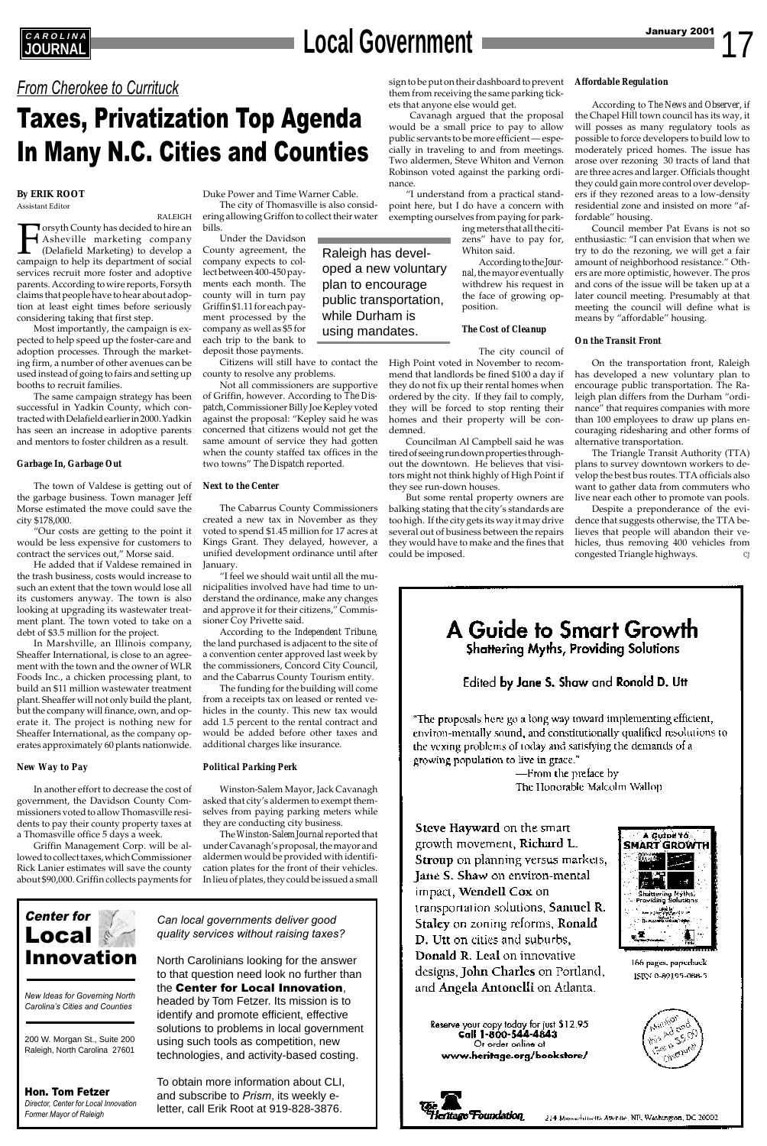Center for **Local** Innovation

*New Ideas for Governing North Carolina's Cities and Counties*

200 W. Morgan St., Suite 200 Raleigh, North Carolina 27601

## **EAROLINA**<br>JOURNAL **JOURNAL Local Government**

Hon. Tom Fetzer *Director, Center for Local Innovation Former Mayor of Raleigh*

*From Cherokee to Currituck*

## Taxes, Privatization Top Agenda In Many N.C. Cities and Counties

*Can local governments deliver good quality services without raising taxes?*

North Carolinians looking for the answer to that question need look no further than the Center for Local Innovation, headed by Tom Fetzer. Its mission is to

identify and promote efficient, effective solutions to problems in local government using such tools as competition, new technologies, and activity-based costing.

To obtain more information about CLI, and subscribe to *Prism*, its weekly eletter, call Erik Root at 919-828-3876.

growth movement, Richard L. **Stroup** on planning versus markets, **Jane S. Shaw** on environ-mental impact, Wendell Cox on transportation solutions, Samuel R. Staley on zoning reforms, Ronald D. Utt on cities and suburbs, Donald R. Leal on innovative designs, John Charles on Portland, and Angela Antonelli on Atlanta.

Reserve your copy today for just \$12.95<br>Call 1-800-544-4843 Or order online at www.heritage.org/bookstore/



166 pages, paperback ISBN 0-89195-088-5





#### **By ERIK ROOT** Assistant Editor

RALEIGH Forsyth County has decided to hire an<br>Asheville marketing company<br>(Delafield Marketing) to develop a<br>campaign to help its department of social Asheville marketing company (Delafield Marketing) to develop a campaign to help its department of social services recruit more foster and adoptive parents. According to wire reports, Forsyth claims that people have to hear about adoption at least eight times before seriously considering taking that first step.

Most importantly, the campaign is expected to help speed up the foster-care and adoption processes. Through the marketing firm, a number of other avenues can be used instead of going to fairs and setting up booths to recruit families.

The same campaign strategy has been successful in Yadkin County, which contracted with Delafield earlier in 2000. Yadkin has seen an increase in adoptive parents and mentors to foster children as a result.

#### *Garbage In, Garbage Out*

The town of Valdese is getting out of the garbage business. Town manager Jeff Morse estimated the move could save the city \$178,000.

"Our costs are getting to the point it would be less expensive for customers to contract the services out," Morse said.

He added that if Valdese remained in the trash business, costs would increase to such an extent that the town would lose all its customers anyway. The town is also looking at upgrading its wastewater treatment plant. The town voted to take on a debt of \$3.5 million for the project.

In Marshville, an Illinois company, Sheaffer International, is close to an agreement with the town and the owner of WLR Foods Inc., a chicken processing plant, to build an \$11 million wastewater treatment plant. Sheaffer will not only build the plant, but the company will finance, own, and operate it. The project is nothing new for Sheaffer International, as the company operates approximately 60 plants nationwide.

#### *New Way to Pay*

In another effort to decrease the cost of government, the Davidson County Commissioners voted to allow Thomasville residents to pay their county property taxes at a Thomasville office 5 days a week.

Griffin Management Corp. will be allowed to collect taxes, which Commissioner Rick Lanier estimates will save the county about \$90,000. Griffin collects payments for

Duke Power and Time Warner Cable. The city of Thomasville is also considering allowing Griffon to collect their water bills.

Under the Davidson County agreement, the company expects to collect between 400-450 payments each month. The county will in turn pay Griffin \$1.11 for each payment processed by the company as well as \$5 for each trip to the bank to deposit those payments.

Citizens will still have to contact the county to resolve any problems.

Not all commissioners are supportive of Griffin, however. According to *The Dispatch*, Commissioner Billy Joe Kepley voted against the proposal: "Kepley said he was concerned that citizens would not get the same amount of service they had gotten when the county staffed tax offices in the two towns" *The Dispatch* reported.

#### *Next to the Center*

Despite a preponderance of the evidence that suggests otherwise, the TTA believes that people will abandon their vehicles, thus removing 400 vehicles from congested Triangle highways.



"The proposals here go a long way toward implementing efficient, environ-mentally sound, and constitutionally qualified resolutions to the vexing problems of today and satisfying the demands of a growing population to live in grace."

> —From the preface by The Honorable Malcolm Wallop

Steve Hayward on the smart

A Gutor 10

The Cabarrus County Commissioners created a new tax in November as they voted to spend \$1.45 million for 17 acres at Kings Grant. They delayed, however, a unified development ordinance until after January.

"I feel we should wait until all the municipalities involved have had time to understand the ordinance, make any changes and approve it for their citizens," Commissioner Coy Privette said.

According to the *Independent Tribune,* the land purchased is adjacent to the site of a convention center approved last week by the commissioners, Concord City Council, and the Cabarrus County Tourism entity.

The funding for the building will come from a receipts tax on leased or rented vehicles in the county. This new tax would add 1.5 percent to the rental contract and would be added before other taxes and additional charges like insurance.

#### *Political Parking Perk*

Winston-Salem Mayor, Jack Cavanagh asked that city's aldermen to exempt themselves from paying parking meters while they are conducting city business.

The *Winston-Salem Journal* reported that

under Cavanagh's proposal, the mayor and aldermen would be provided with identification plates for the front of their vehicles. In lieu of plates, they could be issued a small

sign to be put on their dashboard to prevent *Affordable Regulation* them from receiving the same parking tickets that anyone else would get.

 Cavanagh argued that the proposal would be a small price to pay to allow public servants to be more efficient — especially in traveling to and from meetings. Two aldermen, Steve Whiton and Vernon Robinson voted against the parking ordinance.

"I understand from a practical standpoint here, but I do have a concern with exempting ourselves from paying for park-

> ing meters that all the citizens" have to pay for, Whiton said.

According to the *Journal*, the mayor eventually withdrew his request in the face of growing opposition.

#### *The Cost of Cleanup*

The city council of

High Point voted in November to recommend that landlords be fined \$100 a day if they do not fix up their rental homes when ordered by the city. If they fail to comply, they will be forced to stop renting their homes and their property will be condemned.

Councilman Al Campbell said he was tired of seeing run down properties throughout the downtown. He believes that visitors might not think highly of High Point if they see run-down houses.

But some rental property owners are balking stating that the city's standards are too high. If the city gets its way it may drive several out of business between the repairs they would have to make and the fines that could be imposed.

According to *The News and Observer*, if the Chapel Hill town council has its way, it will posses as many regulatory tools as possible to force developers to build low to moderately priced homes. The issue has arose over rezoning 30 tracts of land that are three acres and larger. Officials thought they could gain more control over developers if they rezoned areas to a low-density residential zone and insisted on more "affordable" housing.

Council member Pat Evans is not so enthusiastic: "I can envision that when we try to do the rezoning, we will get a fair amount of neighborhood resistance." Others are more optimistic, however. The pros and cons of the issue will be taken up at a later council meeting. Presumably at that meeting the council will define what is means by "affordable" housing.

#### *On the Transit Front*

On the transportation front, Raleigh has developed a new voluntary plan to encourage public transportation. The Raleigh plan differs from the Durham "ordinance" that requires companies with more than 100 employees to draw up plans encouraging ridesharing and other forms of alternative transportation.

The Triangle Transit Authority (TTA) plans to survey downtown workers to develop the best bus routes. TTA officials also want to gather data from commuters who live near each other to promote van pools.

Raleigh has developed a new voluntary plan to encourage public transportation, while Durham is using mandates.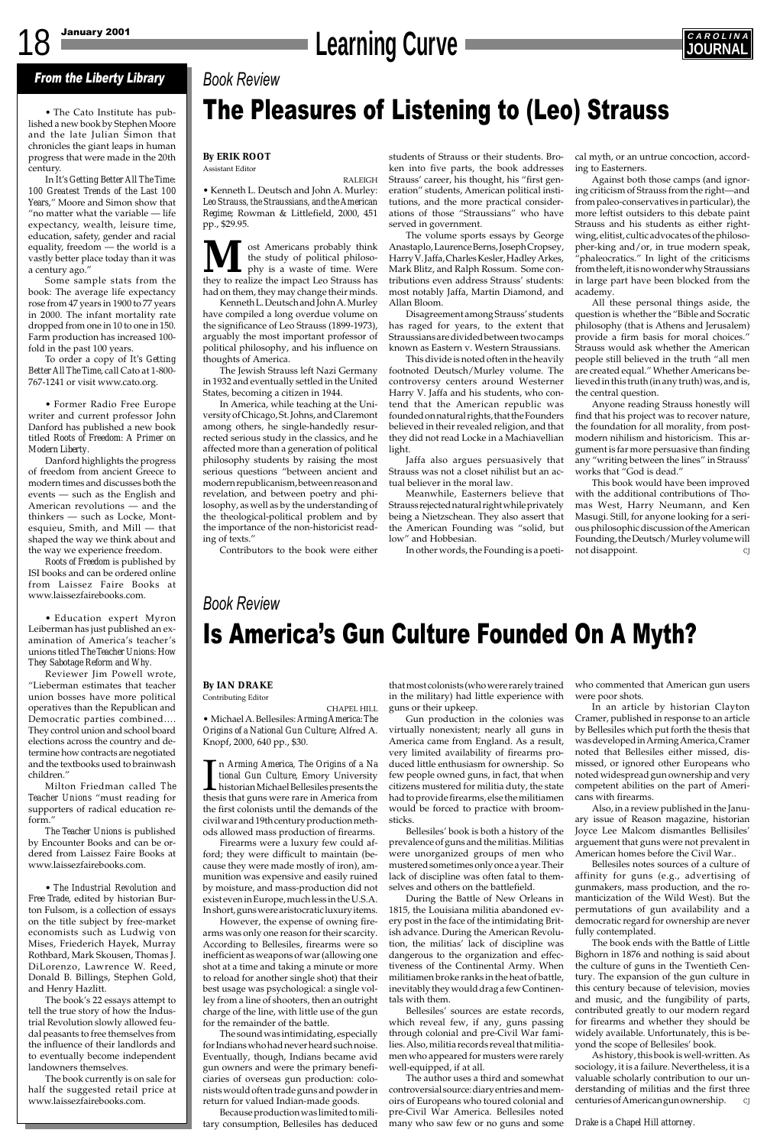# 18 January 2001 **Learning Curve Curve JOURNAL**



#### **By ERIK ROOT** Assistant Editor

RALEIGH • Kenneth L. Deutsch and John A. Murley: *Leo Strauss, the Straussians, and the American Regime*; Rowman & Littlefield, 2000, 451 pp., \$29.95.

**M** ost Americans probably think<br>the study of political philoso-<br>they to realize the impact Leo Strauss has the study of political philosophy is a waste of time. Were had on them, they may change their minds.

Kenneth L. Deutsch and John A. Murley have compiled a long overdue volume on the significance of Leo Strauss (1899-1973), arguably the most important professor of political philosophy, and his influence on thoughts of America.

The Jewish Strauss left Nazi Germany in 1932 and eventually settled in the United States, becoming a citizen in 1944.

In America, while teaching at the University of Chicago, St. Johns, and Claremont among others, he single-handedly resurrected serious study in the classics, and he affected more than a generation of political philosophy students by raising the most serious questions "between ancient and modern republicanism, between reason and revelation, and between poetry and philosophy, as well as by the understanding of the theological-political problem and by the importance of the non-historicist reading of texts."

Contributors to the book were either

## *Book Review*

## The Pleasures of Listening to (Leo) Strauss

### From the Liberty Library

• The Cato Institute has published a new book by Stephen Moore and the late Julian Simon that chronicles the giant leaps in human progress that were made in the 20th century.

In *It's Getting Better All The Time: 100 Greatest Trends of the Last 100 Years*," Moore and Simon show that "no matter what the variable — life expectancy, wealth, leisure time, education, safety, gender and racial equality, freedom — the world is a vastly better place today than it was a century ago."

Some sample stats from the book: The average life expectancy rose from 47 years in 1900 to 77 years in 2000. The infant mortality rate dropped from one in 10 to one in 150. Farm production has increased 100 fold in the past 100 years.

To order a copy of *It's Getting Better All The Time*, call Cato at 1-800- 767-1241 or visit www.cato.org.

• Former Radio Free Europe writer and current professor John Danford has published a new book titled *Roots of Freedom: A Primer on Modern Liberty*.

> In Arming America, The Origins of a National Gun Culture, Emory University<br>historian Michael Bellesiles presents the<br>thesis that guns were rare in America from n *Arming America, The Origins of a Na tional Gun Culture*, Emory University historian Michael Bellesiles presents the the first colonists until the demands of the civil war and 19th century production methods allowed mass production of firearms.

Danford highlights the progress of freedom from ancient Greece to modern times and discusses both the events — such as the English and American revolutions — and the thinkers — such as Locke, Montesquieu, Smith, and Mill — that shaped the way we think about and the way we experience freedom.

*Roots of Freedom* is published by ISI books and can be ordered online from Laissez Faire Books at www.laissezfairebooks.com.

• Education expert Myron Leiberman has just published an examination of America's teacher's unions titled *The Teacher Unions: How They Sabotage Reform and Why.*

Reviewer Jim Powell wrote, "Lieberman estimates that teacher union bosses have more political operatives than the Republican and Democratic parties combined…. They control union and school board elections across the country and determine how contracts are negotiated and the textbooks used to brainwash children."

Milton Friedman called *The Teacher Unions* "must reading for supporters of radical education reform."

*The Teacher Unions* is published

by Encounter Books and can be ordered from Laissez Faire Books at www.laissezfairebooks.com.

• *The Industrial Revolution and Free Trade*, edited by historian Burton Fulsom, is a collection of essays on the title subject by free-market economists such as Ludwig von Mises, Friederich Hayek, Murray Rothbard, Mark Skousen, Thomas J. DiLorenzo, Lawrence W. Reed, Donald B. Billings, Stephen Gold, and Henry Hazlitt.

Also, in a review published in the January issue of Reason magazine, historian Joyce Lee Malcom dismantles Bellisiles' arguement that guns were not prevalent in American homes before the Civil War.. Bellesiles notes sources of a culture of affinity for guns (e.g., advertising of gunmakers, mass production, and the romanticization of the Wild West). But the permutations of gun availability and a democratic regard for ownership are never fully contemplated. The book ends with the Battle of Little Bighorn in 1876 and nothing is said about the culture of guns in the Twentieth Century. The expansion of the gun culture in this century because of television, movies and music, and the fungibility of parts, contributed greatly to our modern regard for firearms and whether they should be widely available. Unfortunately, this is beyond the scope of Bellesiles' book. As history, this book is well-written. As sociology, it is a failure. Nevertheless, it is a valuable scholarly contribution to our understanding of militias and the first three centuries of American gun ownership.

The book's 22 essays attempt to tell the true story of how the Industrial Revolution slowly allowed feudal peasants to free themselves from the influence of their landlords and to eventually become independent landowners themselves.

The book currently is on sale for half the suggested retail price at www.laissezfairebooks.com.

#### **By IAN DRAKE** Contributing Editor

CHAPEL HILL • Michael A. Bellesiles: *Arming America: The Origins of a National Gun Culture*; Alfred A. Knopf, 2000, 640 pp., \$30.

Firearms were a luxury few could afford; they were difficult to maintain (because they were made mostly of iron), ammunition was expensive and easily ruined by moisture, and mass-production did not exist even in Europe, much less in the U.S.A. In short, guns were aristocratic luxury items. However, the expense of owning firearms was only one reason for their scarcity. According to Bellesiles, firearms were so inefficient as weapons of war (allowing one shot at a time and taking a minute or more to reload for another single shot) that their best usage was psychological: a single volley from a line of shooters, then an outright charge of the line, with little use of the gun for the remainder of the battle. The sound was intimidating, especially for Indians who had never heard such noise. Eventually, though, Indians became avid gun owners and were the primary beneficiaries of overseas gun production: colonists would often trade guns and powder in return for valued Indian-made goods.

Because production was limited to military consumption, Bellesiles has deduced

### *Book Review*

This book would have been improved with the additional contributions of Thomas West, Harry Neumann, and Ken Masugi. Still, for anyone looking for a serious philosophic discussion of the American Founding, the Deutsch/Murley volume will not disappoint.

## Is America's Gun Culture Founded On A Myth?

that most colonists (who were rarely trained in the military) had little experience with guns or their upkeep.

Gun production in the colonies was virtually nonexistent; nearly all guns in America came from England. As a result, very limited availability of firearms produced little enthusiasm for ownership. So few people owned guns, in fact, that when citizens mustered for militia duty, the state had to provide firearms, else the militiamen would be forced to practice with broomsticks.

Bellesiles' book is both a history of the prevalence of guns and the militias. Militias were unorganized groups of men who mustered sometimes only once a year. Their lack of discipline was often fatal to themselves and others on the battlefield. During the Battle of New Orleans in 1815, the Louisiana militia abandoned every post in the face of the intimidating British advance. During the American Revolution, the militias' lack of discipline was dangerous to the organization and effectiveness of the Continental Army. When militiamen broke ranks in the heat of battle, inevitably they would drag a few Continentals with them. Bellesiles' sources are estate records, which reveal few, if any, guns passing through colonial and pre-Civil War families. Also, militia records reveal that militiamen who appeared for musters were rarely well-equipped, if at all.

The author uses a third and somewhat controversial source: diary entries and memoirs of Europeans who toured colonial and pre-Civil War America. Bellesiles noted many who saw few or no guns and some who commented that American gun users were poor shots.

In an article by historian Clayton Cramer, published in response to an article by Bellesiles which put forth the thesis that was developed in Arming America, Cramer noted that Bellesiles either missed, dismissed, or ignored other Europeans who noted widespread gun ownership and very competent abilities on the part of Americans with firearms.

*Drake is a Chapel Hill attorney.*

students of Strauss or their students. Broken into five parts, the book addresses Strauss' career, his thought, his "first generation" students, American political institutions, and the more practical considerations of those "Straussians" who have served in government.

The volume sports essays by George Anastaplo, Laurence Berns, Joseph Cropsey, Harry V. Jaffa, Charles Kesler, Hadley Arkes, Mark Blitz, and Ralph Rossum. Some contributions even address Strauss' students: most notably Jaffa, Martin Diamond, and Allan Bloom.

Disagreement among Strauss' students has raged for years, to the extent that Straussians are divided between two camps known as Eastern v. Western Straussians.

This divide is noted often in the heavily footnoted Deutsch/Murley volume. The controversy centers around Westerner Harry V. Jaffa and his students, who contend that the American republic was founded on natural rights, that the Founders believed in their revealed religion, and that they did not read Locke in a Machiavellian light.

Jaffa also argues persuasively that Strauss was not a closet nihilist but an actual believer in the moral law.

Meanwhile, Easterners believe that Strauss rejected natural right while privately being a Nietzschean. They also assert that the American Founding was "solid, but low" and Hobbesian.

In other words, the Founding is a poeti-

cal myth, or an untrue concoction, according to Easterners.

Against both those camps (and ignoring criticism of Strauss from the right—and from paleo-conservatives in particular), the more leftist outsiders to this debate paint Strauss and his students as either rightwing, elitist, cultic advocates of the philosopher-king and/or, in true modern speak, "phaleocratics." In light of the criticisms from the left, it is no wonder why Straussians in large part have been blocked from the academy.

All these personal things aside, the question is whether the "Bible and Socratic philosophy (that is Athens and Jerusalem) provide a firm basis for moral choices." Strauss would ask whether the American people still believed in the truth "all men are created equal." Whether Americans believed in this truth (in any truth) was, and is, the central question.

Anyone reading Strauss honestly will find that his project was to recover nature, the foundation for all morality, from postmodern nihilism and historicism. This argument is far more persuasive than finding any "writing between the lines" in Strauss' works that "God is dead."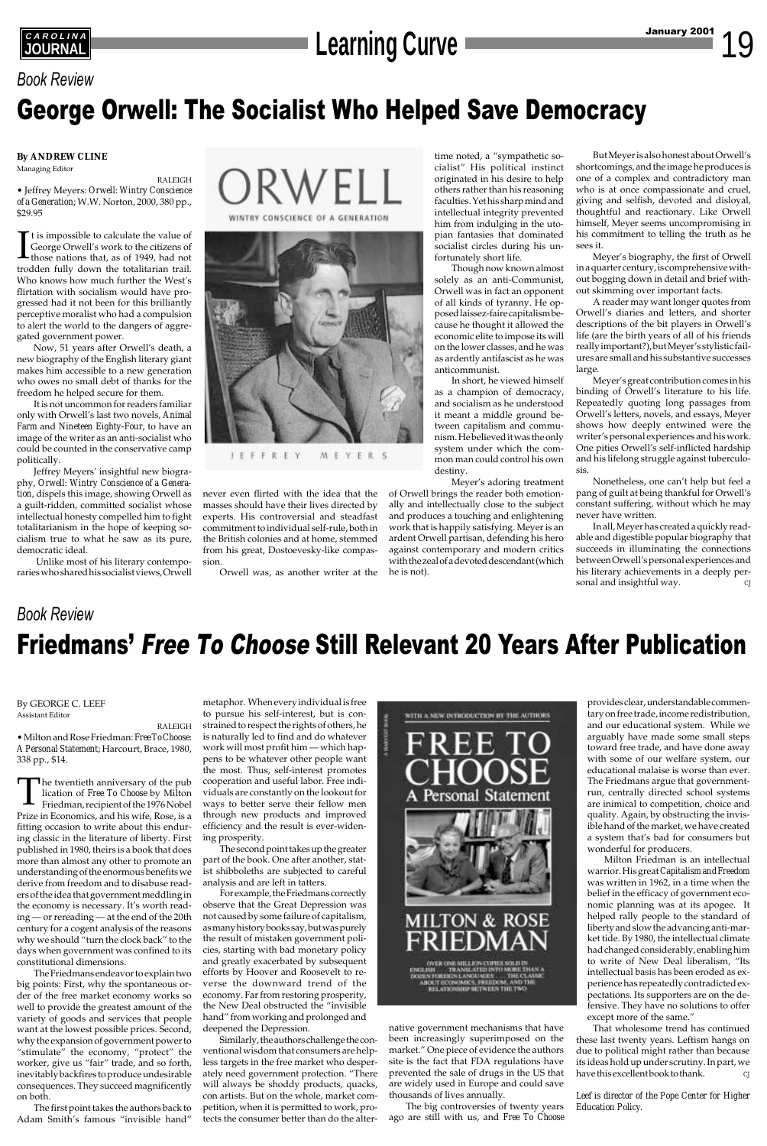# **CAROLINA**<br> **Learning Curve Learning Curve Learning Curve**

By GEORGE C. LEEF Assistant Editor

RALEIGH • Milton and Rose Friedman: *Free To Choose: A Personal Statement*; Harcourt, Brace, 1980, 338 pp., \$14.

The twentieth anniversary of the pub<br>lication of *Free To Choose* by Milton<br>Friedman, recipient of the 1976 Nobel<br>Prize in Economics, and bis wife, Bose, is a lication of *Free To Choose* by Milton Prize in Economics, and his wife, Rose, is a fitting occasion to write about this enduring classic in the literature of liberty. First published in 1980, theirs is a book that does more than almost any other to promote an understanding of the enormous benefits we derive from freedom and to disabuse readers of the idea that government meddling in the economy is necessary. It's worth reading — or rereading — at the end of the 20th century for a cogent analysis of the reasons why we should "turn the clock back" to the days when government was confined to its constitutional dimensions. The Friedmans endeavor to explain two big points: First, why the spontaneous order of the free market economy works so well to provide the greatest amount of the variety of goods and services that people want at the lowest possible prices. Second, why the expansion of government power to "stimulate" the economy, "protect" the worker, give us "fair" trade, and so forth, inevitably backfires to produce undesirable consequences. They succeed magnificently on both.

It is impossible to calculate the value of<br>George Orwell's work to the citizens of<br>those nations that, as of 1949, had not<br>trodden fully down the totalitarian trail. t is impossible to calculate the value of George Orwell's work to the citizens of those nations that, as of 1949, had not Who knows how much further the West's flirtation with socialism would have progressed had it not been for this brilliantly perceptive moralist who had a compulsion to alert the world to the dangers of aggregated government power.

The first point takes the authors back to Adam Smith's famous "invisible hand"

## *Book Review* Friedmans' Free To Choose Still Relevant 20 Years After Publication

### *Book Review*

## George Orwell: The Socialist Who Helped Save Democracy

**By ANDREW CLINE**

Managing Editor

RALEIGH

• Jeffrey Meyers: *Orwell: Wintry Conscience of a Generation*; W.W. Norton, 2000, 380 pp., \$29.95

Now, 51 years after Orwell's death, a new biography of the English literary giant makes him accessible to a new generation who owes no small debt of thanks for the freedom he helped secure for them.

It is not uncommon for readers familiar only with Orwell's last two novels, *Animal Farm* and *Nineteen Eighty-Four*, to have an image of the writer as an anti-socialist who could be counted in the conservative camp politically.

Jeffrey Meyers' insightful new biography, *Orwell: Wintry Conscience of a Generation*, dispels this image, showing Orwell as a guilt-ridden, committed socialist whose intellectual honesty compelled him to fight totalitarianism in the hope of keeping socialism true to what he saw as its pure, democratic ideal.

 Unlike most of his literary contemporaries who shared his socialist views, Orwell





metaphor. When every individual is free to pursue his self-interest, but is constrained to respect the rights of others, he is naturally led to find and do whatever work will most profit him — which happens to be whatever other people want the most. Thus, self-interest promotes cooperation and useful labor. Free individuals are constantly on the lookout for ways to better serve their fellow men through new products and improved efficiency and the result is ever-widening prosperity.



The second point takes up the greater part of the book. One after another, statist shibboleths are subjected to careful analysis and are left in tatters.

For example, the Friedmans correctly observe that the Great Depression was not caused by some failure of capitalism, as many history books say, but was purely the result of mistaken government policies, starting with bad monetary policy and greatly exacerbated by subsequent efforts by Hoover and Roosevelt to reverse the downward trend of the economy. Far from restoring prosperity, the New Deal obstructed the "invisible hand" from working and prolonged and deepened the Depression.

Similarly, the authors challenge the conventional wisdom that consumers are helpless targets in the free market who desperately need government protection. "There will always be shoddy products, quacks, con artists. But on the whole, market competition, when it is permitted to work, protects the consumer better than do the alter-



OVEN ONE MILLION COPIES SOLD:<br>ISH .... TRANSLATED INTO MORE VIOREIGN LANGUMIES ....... THE CLAY<br>OUT ECONOMICS, FREEDOM, AND THE<br>RELATIONSHIP BETWEEN THE TWO

In all, Meyer has created a quickly readable and digestible popular biography that succeeds in illuminating the connections between Orwell's personal experiences and his literary achievements in a deeply personal and insightful way. *CJ* 

native government mechanisms that have been increasingly superimposed on the market." One piece of evidence the authors site is the fact that FDA regulations have prevented the sale of drugs in the US that are widely used in Europe and could save thousands of lives annually.

The big controversies of twenty years ago are still with us, and *Free To Choose*

provides clear, understandable commentary on free trade, income redistribution, and our educational system. While we arguably have made some small steps toward free trade, and have done away with some of our welfare system, our educational malaise is worse than ever. The Friedmans argue that governmentrun, centrally directed school systems are inimical to competition, choice and quality. Again, by obstructing the invisible hand of the market, we have created a system that's bad for consumers but wonderful for producers. Milton Friedman is an intellectual warrior. His great *Capitalism and Freedom* was written in 1962, in a time when the belief in the efficacy of government economic planning was at its apogee. It helped rally people to the standard of liberty and slow the advancing anti-market tide. By 1980, the intellectual climate had changed considerably, enabling him to write of New Deal liberalism, "Its intellectual basis has been eroded as experience has repeatedly contradicted expectations. Its supporters are on the defensive. They have no solutions to offer except more of the same."

That wholesome trend has continued these last twenty years. Leftism hangs on due to political might rather than because its ideas hold up under scrutiny. In part, we have this excellent book to thank. *CJ*

*Leef is director of the Pope Center for Higher Education Policy.*

never even flirted with the idea that the masses should have their lives directed by experts. His controversial and steadfast commitment to individual self-rule, both in the British colonies and at home, stemmed from his great, Dostoevesky-like compassion.

Orwell was, as another writer at the

time noted, a "sympathetic socialist" His political instinct originated in his desire to help others rather than his reasoning faculties. Yet his sharp mind and intellectual integrity prevented him from indulging in the utopian fantasies that dominated socialist circles during his unfortunately short life.

Though now known almost solely as an anti-Communist, Orwell was in fact an opponent of all kinds of tyranny. He opposed laissez-faire capitalism because he thought it allowed the economic elite to impose its will on the lower classes, and he was as ardently antifascist as he was anticommunist.

In short, he viewed himself as a champion of democracy, and socialism as he understood it meant a middle ground between capitalism and communism. He believed it was the only system under which the common man could control his own destiny.

Meyer's adoring treatment of Orwell brings the reader both emotionally and intellectually close to the subject and produces a touching and enlightening work that is happily satisfying. Meyer is an ardent Orwell partisan, defending his hero against contemporary and modern critics with the zeal of a devoted descendant (which he is not).

But Meyer is also honest about Orwell's shortcomings, and the image he produces is one of a complex and contradictory man who is at once compassionate and cruel, giving and selfish, devoted and disloyal, thoughtful and reactionary. Like Orwell himself, Meyer seems uncompromising in his commitment to telling the truth as he sees it.

Meyer's biography, the first of Orwell in a quarter century, is comprehensive without bogging down in detail and brief without skimming over important facts.

A reader may want longer quotes from Orwell's diaries and letters, and shorter descriptions of the bit players in Orwell's life (are the birth years of all of his friends really important?), but Meyer's stylistic failures are small and his substantive successes large.

Meyer's great contribution comes in his binding of Orwell's literature to his life. Repeatedly quoting long passages from Orwell's letters, novels, and essays, Meyer shows how deeply entwined were the writer's personal experiences and his work. One pities Orwell's self-inflicted hardship and his lifelong struggle against tuberculosis.

Nonetheless, one can't help but feel a pang of guilt at being thankful for Orwell's constant suffering, without which he may never have written.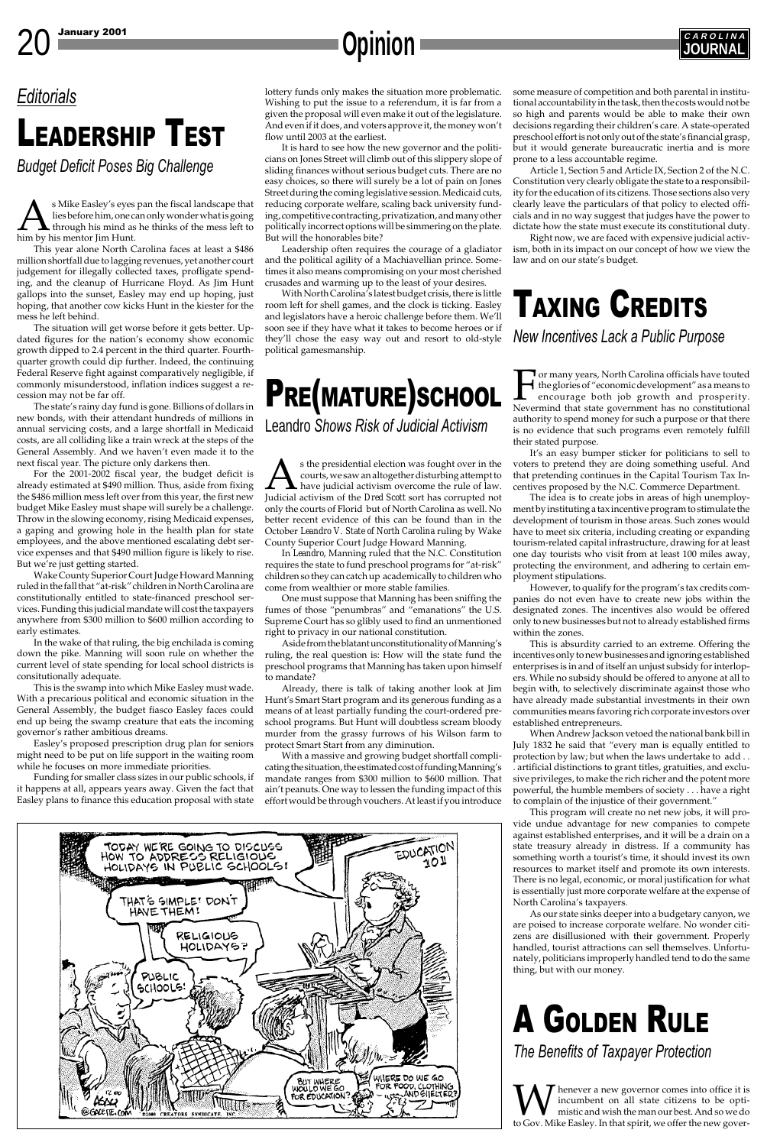s Mike Easley's eyes pan the fiscal landscape that<br>lies before him, one can only wonder what is going<br>through his mind as he thinks of the mess left to<br>him by his mentor Jim Hunt. lies before him, one can only wonder what is going through his mind as he thinks of the mess left to him by his mentor Jim Hunt.

This year alone North Carolina faces at least a \$486 million shortfall due to lagging revenues, yet another court judgement for illegally collected taxes, profligate spending, and the cleanup of Hurricane Floyd. As Jim Hunt gallops into the sunset, Easley may end up hoping, just hoping, that another cow kicks Hunt in the kiester for the mess he left behind.

The situation will get worse before it gets better. Updated figures for the nation's economy show economic growth dipped to 2.4 percent in the third quarter. Fourthquarter growth could dip further. Indeed, the continuing Federal Reserve fight against comparatively negligible, if commonly misunderstood, inflation indices suggest a recession may not be far off.

The state's rainy day fund is gone. Billions of dollars in new bonds, with their attendant hundreds of millions in annual servicing costs, and a large shortfall in Medicaid costs, are all colliding like a train wreck at the steps of the General Assembly. And we haven't even made it to the next fiscal year. The picture only darkens then.

For the 2001-2002 fiscal year, the budget deficit is already estimated at \$490 million. Thus, aside from fixing the \$486 million mess left over from this year, the first new budget Mike Easley must shape will surely be a challenge. Throw in the slowing economy, rising Medicaid expenses, a gaping and growing hole in the health plan for state employees, and the above mentioned escalating debt service expenses and that \$490 million figure is likely to rise. But we're just getting started.

Wake County Superior Court Judge Howard Manning ruled in the fall that "at-risk" children in North Carolina are constitutionally entitled to state-financed preschool services. Funding this judicial mandate will cost the taxpayers anywhere from \$300 million to \$600 million according to early estimates.

In the wake of that ruling, the big enchilada is coming down the pike. Manning will soon rule on whether the current level of state spending for local school districts is consitutionally adequate.

This is the swamp into which Mike Easley must wade. With a precarious political and economic situation in the General Assembly, the budget fiasco Easley faces could end up being the swamp creature that eats the incoming governor's rather ambitious dreams.

Easley's proposed prescription drug plan for seniors might need to be put on life support in the waiting room while he focuses on more immediate priorities.

Funding for smaller class sizes in our public schools, if it happens at all, appears years away. Given the fact that Easley plans to finance this education proposal with state

s the presidential election was fought over in the courts, we saw an altogether disturbing attempt to have judicial activism overcome the rule of law. Judicial activism of the *Dred Scott* sort has corrupted not only the courts of Florid but of North Carolina as well. No better recent evidence of this can be found than in the October *Leandro V. State of North Carolina* ruling by Wake County Superior Court Judge Howard Manning.

## *Editorials*

# LEADERSHIP TEST

*Budget Deficit Poses Big Challenge*

lottery funds only makes the situation more problematic. Wishing to put the issue to a referendum, it is far from a given the proposal will even make it out of the legislature. And even if it does, and voters approve it, the money won't flow until 2003 at the earliest.

It is hard to see how the new governor and the politicians on Jones Street will climb out of this slippery slope of sliding finances without serious budget cuts. There are no easy choices, so there will surely be a lot of pain on Jones Street during the coming legislative session. Medicaid cuts, reducing corporate welfare, scaling back university funding, competitive contracting, privatization, and many other politically incorrect options will be simmering on the plate. But will the honorables bite?

> **T** or many years, North Carolina officials have touted the glories of "economic development" as a means to encourage both job growth and prosperity. Nevermind that state government has no constitutional authority to spend money for such a purpose or that there is no evidence that such programs even remotely fulfill their stated purpose.

Leadership often requires the courage of a gladiator and the political agility of a Machiavellian prince. Sometimes it also means compromising on your most cherished crusades and warming up to the least of your desires.

With North Carolina's latest budget crisis, there is little room left for shell games, and the clock is ticking. Easley and legislators have a heroic challenge before them. We'll soon see if they have what it takes to become heroes or if they'll chose the easy way out and resort to old-style political gamesmanship.

some measure of competition and both parental in institutional accountability in the task, then the costs would not be so high and parents would be able to make their own decisions regarding their children's care. A state-operated preschool effort is not only out of the state's financial grasp, but it would generate bureaucratic inertia and is more prone to a less accountable regime.

Article 1, Section 5 and Article IX, Section 2 of the N.C. Constitution very clearly obligate the state to a responsibility for the education of its citizens. Those sections also very clearly leave the particulars of that policy to elected officials and in no way suggest that judges have the power to dictate how the state must execute its constitutional duty.

W henever a new governor comes into office it is<br>incumbent on all state citizens to be opti-<br>to Gov. Mike Easley. In that spirit, we offer the new goverincumbent on all state citizens to be optimistic and wish the man our best. And so we do

Right now, we are faced with expensive judicial activism, both in its impact on our concept of how we view the law and on our state's budget.



# PRE(MATURE)SCHOOL

Leandro *Shows Risk of Judicial Activism*

In *Leandro*, Manning ruled that the N.C. Constitution requires the state to fund preschool programs for "at-risk" children so they can catch up academically to children who come from wealthier or more stable families.

One must suppose that Manning has been sniffing the fumes of those "penumbras" and "emanations" the U.S. Supreme Court has so glibly used to find an unmentioned right to privacy in our national constitution.

Aside from the blatant unconstitutionality of Manning's ruling, the real question is: How will the state fund the preschool programs that Manning has taken upon himself to mandate?

Already, there is talk of taking another look at Jim Hunt's Smart Start program and its generous funding as a means of at least partially funding the court-ordered preschool programs. But Hunt will doubtless scream bloody murder from the grassy furrows of his Wilson farm to protect Smart Start from any diminution.

With a massive and growing budget shortfall complicating the situation, the estimated cost of funding Manning's mandate ranges from \$300 million to \$600 million. That ain't peanuts. One way to lessen the funding impact of this effort would be through vouchers. At least if you introduce

**REAL PROPERTY** 

# TAXING CREDITS

*New Incentives Lack a Public Purpose*

It's an easy bumper sticker for politicians to sell to voters to pretend they are doing something useful. And that pretending continues in the Capital Tourism Tax Incentives proposed by the N.C. Commerce Department.

The idea is to create jobs in areas of high unemployment by instituting a tax incentive program to stimulate the development of tourism in those areas. Such zones would have to meet six criteria, including creating or expanding tourism-related capital infrastructure, drawing for at least one day tourists who visit from at least 100 miles away, protecting the environment, and adhering to certain employment stipulations.

However, to qualify for the program's tax credits companies do not even have to create new jobs within the designated zones. The incentives also would be offered only to new businesses but not to already established firms within the zones.

This is absurdity carried to an extreme. Offering the incentives only to new businesses and ignoring established enterprises is in and of itself an unjust subsidy for interlopers. While no subsidy should be offered to anyone at all to begin with, to selectively discriminate against those who have already made substantial investments in their own communities means favoring rich corporate investors over established entrepreneurs.

When Andrew Jackson vetoed the national bank bill in July 1832 he said that "every man is equally entitled to protection by law; but when the laws undertake to add . . . artificial distinctions to grant titles, gratuities, and exclusive privileges, to make the rich richer and the potent more powerful, the humble members of society . . . have a right to complain of the injustice of their government."

This program will create no net new jobs, it will provide undue advantage for new companies to compete against established enterprises, and it will be a drain on a state treasury already in distress. If a community has something worth a tourist's time, it should invest its own resources to market itself and promote its own interests. There is no legal, economic, or moral justification for what is essentially just more corporate welfare at the expense of North Carolina's taxpayers. As our state sinks deeper into a budgetary canyon, we are poised to increase corporate welfare. No wonder citizens are disillusioned with their government. Properly handled, tourist attractions can sell themselves. Unfortunately, politicians improperly handled tend to do the same thing, but with our money.



# A GOLDEN RULE

*The Benefits of Taxpayer Protection*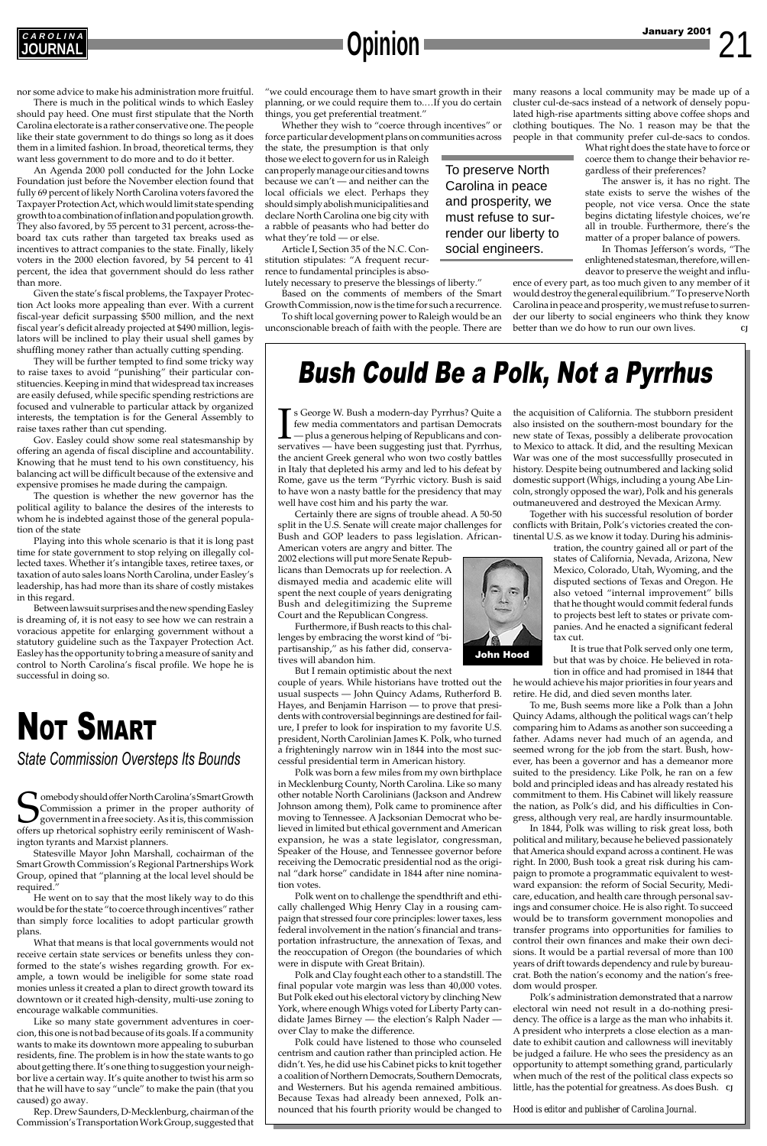nor some advice to make his administration more fruitful.

There is much in the political winds to which Easley should pay heed. One must first stipulate that the North Carolina electorate is a rather conservative one. The people like their state government to do things so long as it does them in a limited fashion. In broad, theoretical terms, they want less government to do more and to do it better.

An Agenda 2000 poll conducted for the John Locke Foundation just before the November election found that fully 69 percent of likely North Carolina voters favored the Taxpayer Protection Act, which would limit state spending growth to a combination of inflation and population growth. They also favored, by 55 percent to 31 percent, across-theboard tax cuts rather than targeted tax breaks used as incentives to attract companies to the state. Finally, likely voters in the 2000 election favored, by 54 percent to 41 percent, the idea that government should do less rather than more.

Given the state's fiscal problems, the Taxpayer Protection Act looks more appealing than ever. With a current fiscal-year deficit surpassing \$500 million, and the next fiscal year's deficit already projected at \$490 million, legislators will be inclined to play their usual shell games by shuffling money rather than actually cutting spending.

They will be further tempted to find some tricky way to raise taxes to avoid "punishing" their particular constituencies. Keeping in mind that widespread tax increases are easily defused, while specific spending restrictions are focused and vulnerable to particular attack by organized interests, the temptation is for the General Assembly to raise taxes rather than cut spending.

Gov. Easley could show some real statesmanship by offering an agenda of fiscal discipline and accountability. Knowing that he must tend to his own constituency, his balancing act will be difficult because of the extensive and expensive promises he made during the campaign.

The question is whether the new governor has the political agility to balance the desires of the interests to whom he is indebted against those of the general population of the state

Somebody should offer North Carolina's Smart Growth<br>Commission a primer in the proper authority of<br>government in a free society. As it is, this commission<br>offers up rhetorical sophistry eerily reminiscent of Wash-Commission a primer in the proper authority of government in a free society. As it is, this commission offers up rhetorical sophistry eerily reminiscent of Washington tyrants and Marxist planners. Statesville Mayor John Marshall, cochairman of the Smart Growth Commission's Regional Partnerships Work Group, opined that "planning at the local level should be required." He went on to say that the most likely way to do this would be for the state "to coerce through incentives" rather than simply force localities to adopt particular growth plans. What that means is that local governments would not receive certain state services or benefits unless they conformed to the state's wishes regarding growth. For example, a town would be ineligible for some state road monies unless it created a plan to direct growth toward its downtown or it created high-density, multi-use zoning to encourage walkable communities. Like so many state government adventures in coercion, this one is not bad because of its goals. If a community wants to make its downtown more appealing to suburban residents, fine. The problem is in how the state wants to go about getting there. It's one thing to suggestion your neighbor live a certain way. It's quite another to twist his arm so that he will have to say "uncle" to make the pain (that you caused) go away.

Playing into this whole scenario is that it is long past time for state government to stop relying on illegally collected taxes. Whether it's intangible taxes, retiree taxes, or taxation of auto sales loans North Carolina, under Easley's leadership, has had more than its share of costly mistakes in this regard.

**T** s George W. Bush a modern-day Pyrrhus? Quite a few media commentators and partisan Democrats — plus a generous helping of Republicans and conservatives — have been suggesting just that. Pyrrhus, s George W. Bush a modern-day Pyrrhus? Quite a few media commentators and partisan Democrats — plus a generous helping of Republicans and conthe ancient Greek general who won two costly battles in Italy that depleted his army and led to his defeat by Rome, gave us the term "Pyrrhic victory. Bush is said to have won a nasty battle for the presidency that may well have cost him and his party the war.

Between lawsuit surprises and the new spending Easley is dreaming of, it is not easy to see how we can restrain a voracious appetite for enlarging government without a statutory guideline such as the Taxpayer Protection Act. Easley has the opportunity to bring a measure of sanity and control to North Carolina's fiscal profile. We hope he is successful in doing so.

## Bush Could Be a Polk, Not a Pyrrhus







# NOT SMART

*State Commission Oversteps Its Bounds*

Rep. Drew Saunders, D-Mecklenburg, chairman of the Commission's Transportation Work Group, suggested that

Certainly there are signs of trouble ahead. A 50-50 split in the U.S. Senate will create major challenges for Bush and GOP leaders to pass legislation. African-

American voters are angry and bitter. The 2002 elections will put more Senate Republicans than Democrats up for reelection. A dismayed media and academic elite will spent the next couple of years denigrating Bush and delegitimizing the Supreme Court and the Republican Congress.

Furthermore, if Bush reacts to this challenges by embracing the worst kind of "bipartisanship," as his father did, conservatives will abandon him.

But I remain optimistic about the next

couple of years. While historians have trotted out the usual suspects — John Quincy Adams, Rutherford B. Hayes, and Benjamin Harrison — to prove that presidents with controversial beginnings are destined for failure, I prefer to look for inspiration to my favorite U.S. president, North Carolinian James K. Polk, who turned a frighteningly narrow win in 1844 into the most successful presidential term in American history.

ence of every part, as too much given to any member of it would destroy the general equilibrium." To preserve North Carolina in peace and prosperity, we must refuse to surrender our liberty to social engineers who think they know better than we do how to run our own lives.

Polk was born a few miles from my own birthplace in Mecklenburg County, North Carolina. Like so many other notable North Carolinians (Jackson and Andrew Johnson among them), Polk came to prominence after moving to Tennessee. A Jacksonian Democrat who believed in limited but ethical government and American expansion, he was a state legislator, congressman, Speaker of the House, and Tennessee governor before receiving the Democratic presidential nod as the original "dark horse" candidate in 1844 after nine nomination votes. Polk went on to challenge the spendthrift and ethically challenged Whig Henry Clay in a rousing campaign that stressed four core principles: lower taxes, less federal involvement in the nation's financial and transportation infrastructure, the annexation of Texas, and the reoccupation of Oregon (the boundaries of which were in dispute with Great Britain). Polk and Clay fought each other to a standstill. The final popular vote margin was less than 40,000 votes. But Polk eked out his electoral victory by clinching New York, where enough Whigs voted for Liberty Party candidate James Birney — the election's Ralph Nader over Clay to make the difference. Polk could have listened to those who counseled centrism and caution rather than principled action. He didn't. Yes, he did use his Cabinet picks to knit together a coalition of Northern Democrats, Southern Democrats, and Westerners. But his agenda remained ambitious. Because Texas had already been annexed, Polk announced that his fourth priority would be changed to the acquisition of California. The stubborn president also insisted on the southern-most boundary for the new state of Texas, possibly a deliberate provocation to Mexico to attack. It did, and the resulting Mexican War was one of the most successfullly prosecuted in history. Despite being outnumbered and lacking solid domestic support (Whigs, including a young Abe Lincoln, strongly opposed the war), Polk and his generals outmaneuvered and destroyed the Mexican Army.

Together with his successful resolution of border conflicts with Britain, Polk's victories created the continental U.S. as we know it today. During his adminis-

> tration, the country gained all or part of the states of California, Nevada, Arizona, New Mexico, Colorado, Utah, Wyoming, and the disputed sections of Texas and Oregon. He also vetoed "internal improvement" bills that he thought would commit federal funds to projects best left to states or private companies. And he enacted a significant federal tax cut.

> It is true that Polk served only one term, but that was by choice. He believed in rota-

tion in office and had promised in 1844 that he would achieve his major priorities in four years and retire. He did, and died seven months later.

To me, Bush seems more like a Polk than a John Quincy Adams, although the political wags can't help comparing him to Adams as another son succeeding a father. Adams never had much of an agenda, and seemed wrong for the job from the start. Bush, however, has been a governor and has a demeanor more suited to the presidency. Like Polk, he ran on a few bold and principled ideas and has already restated his commitment to them. His Cabinet will likely reassure the nation, as Polk's did, and his difficulties in Congress, although very real, are hardly insurmountable.

In 1844, Polk was willing to risk great loss, both itical and military, because he believed passionately that America should expand across a continent. He was right. In 2000, Bush took a great risk during his campaign to promote a programmatic equivalent to westward expansion: the reform of Social Security, Medicare, education, and health care through personal savings and consumer choice. He is also right. To succeed would be to transform government monopolies and transfer programs into opportunities for families to control their own finances and make their own decisions. It would be a partial reversal of more than 100 years of drift towards dependency and rule by bureaucrat. Both the nation's economy and the nation's freedom would prosper. Polk's administration demonstrated that a narrow electoral win need not result in a do-nothing presidency. The office is a large as the man who inhabits it. A president who interprets a close election as a mandate to exhibit caution and callowness will inevitably be judged a failure. He who sees the presidency as an opportunity to attempt something grand, particularly when much of the rest of the political class expects so little, has the potential for greatness. As does Bush. *CJ*

*Hood is editor and publisher of Carolina Journal.*

To preserve North Carolina in peace and prosperity, we must refuse to surrender our liberty to social engineers.

"we could encourage them to have smart growth in their planning, or we could require them to.…If you do certain things, you get preferential treatment."

Whether they wish to "coerce through incentives" or force particular development plans on communities across

the state, the presumption is that only those we elect to govern for us in Raleigh can properly manage our cities and towns because we can't — and neither can the local officials we elect. Perhaps they should simply abolish municipalities and declare North Carolina one big city with a rabble of peasants who had better do what they're told — or else.

Article I, Section 35 of the N.C. Constitution stipulates: "A frequent recurrence to fundamental principles is abso-

lutely necessary to preserve the blessings of liberty." Based on the comments of members of the Smart

Growth Commission, now is the time for such a recurrence. To shift local governing power to Raleigh would be an unconscionable breach of faith with the people. There are many reasons a local community may be made up of a cluster cul-de-sacs instead of a network of densely populated high-rise apartments sitting above coffee shops and clothing boutiques. The No. 1 reason may be that the people in that community prefer cul-de-sacs to condos.

> What right does the state have to force or coerce them to change their behavior regardless of their preferences?

> The answer is, it has no right. The state exists to serve the wishes of the people, not vice versa. Once the state begins dictating lifestyle choices, we're all in trouble. Furthermore, there's the matter of a proper balance of powers.

> In Thomas Jefferson's words, "The enlightened statesman, therefore, will endeavor to preserve the weight and influ-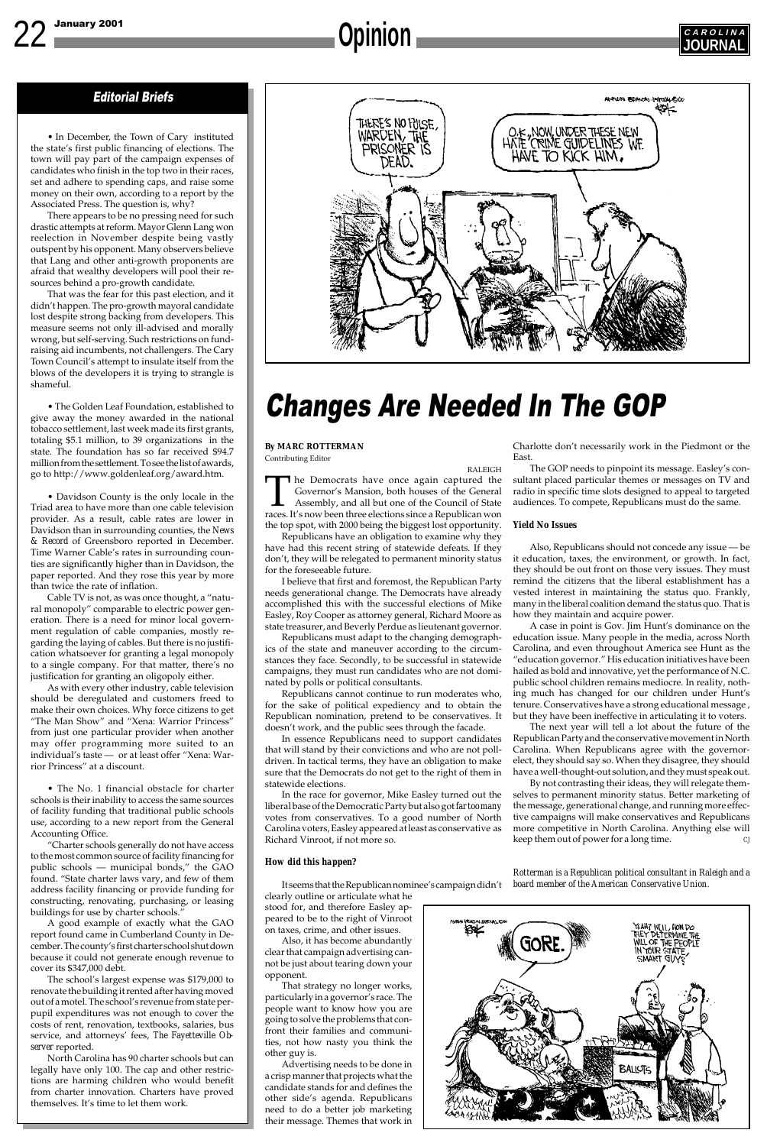### Editorial Briefs

• In December, the Town of Cary instituted the state's first public financing of elections. The town will pay part of the campaign expenses of candidates who finish in the top two in their races, set and adhere to spending caps, and raise some money on their own, according to a report by the Associated Press. The question is, why?

There appears to be no pressing need for such drastic attempts at reform. Mayor Glenn Lang won reelection in November despite being vastly outspent by his opponent. Many observers believe that Lang and other anti-growth proponents are afraid that wealthy developers will pool their resources behind a pro-growth candidate.

That was the fear for this past election, and it didn't happen. The pro-growth mayoral candidate lost despite strong backing from developers. This measure seems not only ill-advised and morally wrong, but self-serving. Such restrictions on fundraising aid incumbents, not challengers. The Cary Town Council's attempt to insulate itself from the blows of the developers it is trying to strangle is shameful.

• The Golden Leaf Foundation, established to give away the money awarded in the national tobacco settlement, last week made its first grants, totaling \$5.1 million, to 39 organizations in the state. The foundation has so far received \$94.7 million from the settlement. To see the list of awards, go to http://www.goldenleaf.org/award.htm.

• Davidson County is the only locale in the Triad area to have more than one cable television provider. As a result, cable rates are lower in Davidson than in surrounding counties, the *News & Record* of Greensboro reported in December. Time Warner Cable's rates in surrounding counties are significantly higher than in Davidson, the paper reported. And they rose this year by more than twice the rate of inflation.

Cable TV is not, as was once thought, a "natural monopoly" comparable to electric power generation. There is a need for minor local government regulation of cable companies, mostly regarding the laying of cables. But there is no justification whatsoever for granting a legal monopoly to a single company. For that matter, there's no justification for granting an oligopoly either.

As with every other industry, cable television should be deregulated and customers freed to make their own choices. Why force citizens to get "The Man Show" and "Xena: Warrior Princess" from just one particular provider when another may offer programming more suited to an individual's taste — or at least offer "Xena: Warrior Princess" at a discount.

• The No. 1 financial obstacle for charter schools is their inability to access the same sources of facility funding that traditional public schools use, according to a new report from the General Accounting Office. "Charter schools generally do not have access to the most common source of facility financing for public schools — municipal bonds," the GAO found. "State charter laws vary, and few of them address facility financing or provide funding for constructing, renovating, purchasing, or leasing buildings for use by charter schools." A good example of exactly what the GAO report found came in Cumberland County in December. The county's first charter school shut down because it could not generate enough revenue to cover its \$347,000 debt. The school's largest expense was \$179,000 to renovate the building it rented after having moved out of a motel. The school's revenue from state perpupil expenditures was not enough to cover the costs of rent, renovation, textbooks, salaries, bus service, and attorneys' fees, *The Fayetteville Observer* reported. North Carolina has 90 charter schools but can legally have only 100. The cap and other restrictions are harming children who would benefit from charter innovation. Charters have proved themselves. It's time to let them work.



#### **By MARC ROTTERMAN** Contributing Editor

RALEIGH The Democrats have once again captured the Governor's Mansion, both houses of the General Assembly, and all but one of the Council of State races. It's now been three elections since a Republican won Governor's Mansion, both houses of the General Assembly, and all but one of the Council of State the top spot, with 2000 being the biggest lost opportunity.

Republicans have an obligation to examine why they have had this recent string of statewide defeats. If they don't, they will be relegated to permanent minority status for the foreseeable future.

I believe that first and foremost, the Republican Party needs generational change. The Democrats have already accomplished this with the successful elections of Mike Easley, Roy Cooper as attorney general, Richard Moore as state treasurer, and Beverly Perdue as lieutenant governor.

Republicans must adapt to the changing demographics of the state and maneuver according to the circumstances they face. Secondly, to be successful in statewide campaigns, they must run candidates who are not dominated by polls or political consultants.

Republicans cannot continue to run moderates who, for the sake of political expediency and to obtain the Republican nomination, pretend to be conservatives. It doesn't work, and the public sees through the facade.

In essence Republicans need to support candidates that will stand by their convictions and who are not polldriven. In tactical terms, they have an obligation to make sure that the Democrats do not get to the right of them in statewide elections.

In the race for governor, Mike Easley turned out the liberal base of the Democratic Party but also got *far too many* votes from conservatives. To a good number of North Carolina voters, Easley appeared at least as conservative as Richard Vinroot, if not more so.

#### *How did this happen?*

It seems that the Republican nominee's campaign didn't clearly outline or articulate what he stood for, and therefore Easley appeared to be to the right of Vinroot

on taxes, crime, and other issues. Also, it has become abundantly clear that campaign advertising cannot be just about tearing down your opponent.

That strategy no longer works, particularly in a governor's race. The people want to know how you are going to solve the problems that confront their families and communities, not how nasty you think the other guy is.

Advertising needs to be done in a crisp manner that projects what the candidate stands for and defines the other side's agenda. Republicans need to do a better job marketing their message. Themes that work in

# Changes Are Needed In The GOP

# **Opinion**



Charlotte don't necessarily work in the Piedmont or the East.

The GOP needs to pinpoint its message. Easley's consultant placed particular themes or messages on TV and radio in specific time slots designed to appeal to targeted audiences. To compete, Republicans must do the same.

#### *Yield No Issues*

Also, Republicans should not concede any issue — be it education, taxes, the environment, or growth. In fact, they should be out front on those very issues. They must remind the citizens that the liberal establishment has a vested interest in maintaining the status quo. Frankly, many in the liberal coalition demand the status quo. That is how they maintain and acquire power.

A case in point is Gov. Jim Hunt's dominance on the education issue. Many people in the media, across North Carolina, and even throughout America see Hunt as the "education governor." His education initiatives have been hailed as bold and innovative, yet the performance of N.C. public school children remains mediocre. In reality, nothing much has changed for our children under Hunt's tenure. Conservatives have a strong educational message , but they have been ineffective in articulating it to voters.

The next year will tell a lot about the future of the Republican Party and the conservative movement in North Carolina. When Republicans agree with the governorelect, they should say so. When they disagree, they should have a well-thought-out solution, and they must speak out.

By not contrasting their ideas, they will relegate themselves to permanent minority status. Better marketing of the message, generational change, and running more effective campaigns will make conservatives and Republicans more competitive in North Carolina. Anything else will keep them out of power for a long time. *CJ*

*Rotterman is a Republican political consultant in Raleigh and a board member of the American Conservative Union.*

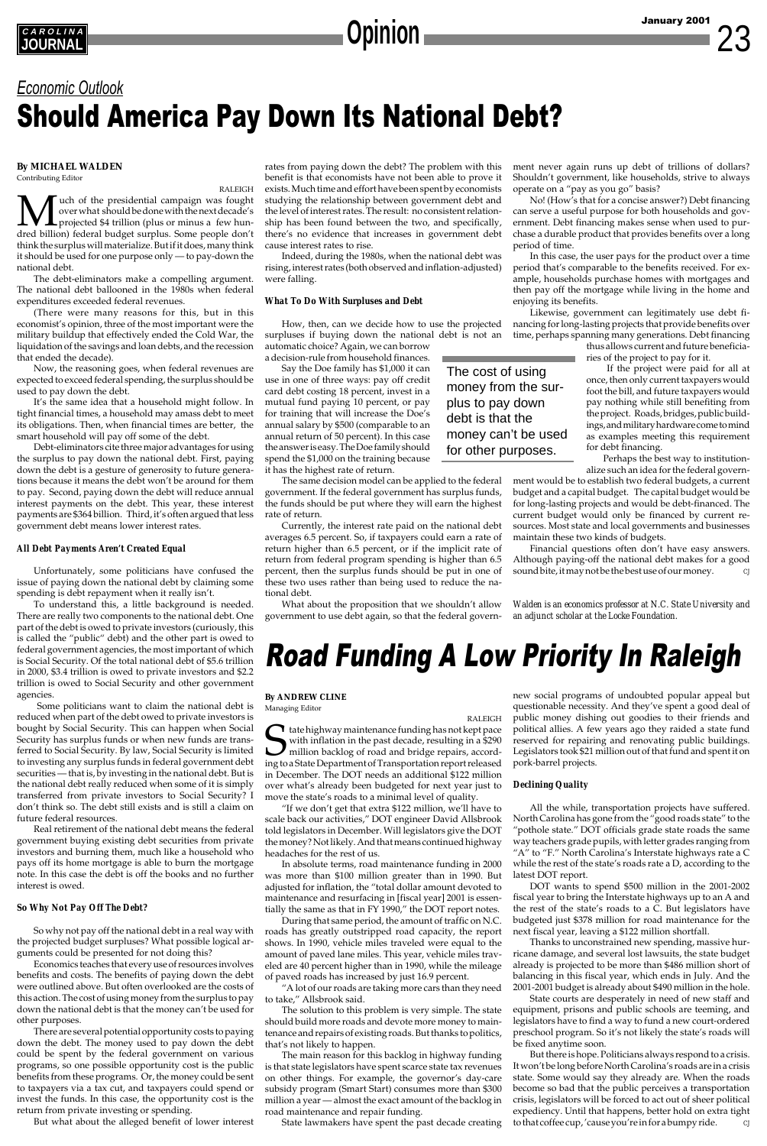#### **By MICHAEL WALDEN**

Contributing Editor

RALEIGH **M** uch of the presidential campaign was fought<br>over what should be done with the next decade's<br>dred billion) federal budget surplus. Some people don't over what should be done with the next decade's projected \$4 trillion (plus or minus a few hundred billion) federal budget surplus. Some people don't think the surplus will materialize. But if it does, many think it should be used for one purpose only — to pay-down the national debt.

The debt-eliminators make a compelling argument. The national debt ballooned in the 1980s when federal expenditures exceeded federal revenues.

(There were many reasons for this, but in this economist's opinion, three of the most important were the military buildup that effectively ended the Cold War, the liquidation of the savings and loan debts, and the recession that ended the decade).

Now, the reasoning goes, when federal revenues are expected to exceed federal spending, the surplus should be used to pay down the debt.

It's the same idea that a household might follow. In tight financial times, a household may amass debt to meet its obligations. Then, when financial times are better, the smart household will pay off some of the debt.

Debt-eliminators cite three major advantages for using the surplus to pay down the national debt. First, paying down the debt is a gesture of generosity to future generations because it means the debt won't be around for them to pay. Second, paying down the debt will reduce annual interest payments on the debt. This year, these interest payments are \$364 billion. Third, it's often argued that less government debt means lower interest rates.

#### *All Debt Payments Aren't Created Equal*

Unfortunately, some politicians have confused the issue of paying down the national debt by claiming some spending is debt repayment when it really isn't.

To understand this, a little background is needed. There are really two components to the national debt. One part of the debt is owed to private investors (curiously, this is called the "public" debt) and the other part is owed to federal government agencies, the most important of which is Social Security. Of the total national debt of \$5.6 trillion in 2000, \$3.4 trillion is owed to private investors and \$2.2 trillion is owed to Social Security and other government agencies.

> $\Box$  tate highway maintenance funding has not kept pace with inflation in the past decade, resulting in a \$290 million backlog of road and bridge repairs, according to a State Department of Transportation report released in December. The DOT needs an additional \$122 million over what's already been budgeted for next year just to move the state's roads to a minimal level of quality.

 Some politicians want to claim the national debt is reduced when part of the debt owed to private investors is bought by Social Security. This can happen when Social Security has surplus funds or when new funds are transferred to Social Security. By law, Social Security is limited to investing any surplus funds in federal government debt securities — that is, by investing in the national debt. But is the national debt really reduced when some of it is simply transferred from private investors to Social Security? I don't think so. The debt still exists and is still a claim on future federal resources.

Real retirement of the national debt means the federal government buying existing debt securities from p investors and burning them, much like a household who pays off its home mortgage is able to burn the mortgage note. In this case the debt is off the books and no further interest is owed.

#### *So Why Not Pay Off The Debt?*

So why not pay off the national debt in a real way with the projected budget surpluses? What possible logical arguments could be presented for not doing this?

Economics teaches that every use of resources involves benefits and costs. The benefits of paying down the debt were outlined above. But often overlooked are the costs of this action. The cost of using money from the surplus to pay down the national debt is that the money can't be used for other purposes.

There are several potential opportunity costs to paying down the debt. The money used to pay down the debt could be spent by the federal government on various programs, so one possible opportunity cost is the public benefits from these programs. Or, the money could be sent to taxpayers via a tax cut, and taxpayers could spend or invest the funds. In this case, the opportunity cost is the return from private investing or spending.

But what about the alleged benefit of lower interest

## *Economic Outlook* Should America Pay Down Its National Debt?

#### **By ANDREW CLINE**

Managing Editor

RALEIGH

"If we don't get that extra \$122 million, we'll have to scale back our activities," DOT engineer David Allsbrook told legislators in December. Will legislators give the DOT the money? Not likely. And that means continued highway headaches for the rest of us.

In absolute terms, road maintenance funding in 2000 was more than \$100 million greater than in 1990. But adjusted for inflation, the "total dollar amount devoted to maintenance and resurfacing in [fiscal year] 2001 is essentially the same as that in FY 1990," the DOT report notes.

During that same period, the amount of traffic on N.C. roads has greatly outstripped road capacity, the report shows. In 1990, vehicle miles traveled were equal to the amount of paved lane miles. This year, vehicle miles traveled are 40 percent higher than in 1990, while the mileage of paved roads has increased by just 16.9 percent.

"A lot of our roads are taking more cars than they need to take," Allsbrook said.

The solution to this problem is very simple. The state should build more roads and devote more money to maintenance and repairs of existing roads. But thanks to politics, that's not likely to happen.

The main reason for this backlog in highway funding is that state legislators have spent scarce state tax revenues on other things. For example, the governor's day-care subsidy program (Smart Start) consumes more than \$300 million a year — almost the exact amount of the backlog in road maintenance and repair funding.

State lawmakers have spent the past decade creating

# Road Funding A Low Priority In Raleigh

rates from paying down the debt? The problem with this benefit is that economists have not been able to prove it exists. Much time and effort have been spent by economists studying the relationship between government debt and the level of interest rates. The result: no consistent relationship has been found between the two, and specifically, there's no evidence that increases in government debt cause interest rates to rise.

Indeed, during the 1980s, when the national debt was rising, interest rates (both observed and inflation-adjusted) were falling.

#### *What To Do With Surpluses and Debt*

How, then, can we decide how to use the projected surpluses if buying down the national debt is not an automatic choice? Again, we can borrow

a decision-rule from household finances.

Say the Doe family has \$1,000 it can use in one of three ways: pay off credit card debt costing 18 percent, invest in a mutual fund paying 10 percent, or pay for training that will increase the Doe's annual salary by \$500 (comparable to an annual return of 50 percent). In this case the answer is easy. The Doe family should spend the \$1,000 on the training because it has the highest rate of return.

The same decision model can be applied to the federal government. If the federal government has surplus funds, the funds should be put where they will earn the highest rate of return.

Currently, the interest rate paid on the national debt averages 6.5 percent. So, if taxpayers could earn a rate of return higher than 6.5 percent, or if the implicit rate of return from federal program spending is higher than 6.5 percent, then the surplus funds should be put in one of these two uses rather than being used to reduce the national debt.

What about the proposition that we shouldn't allow government to use debt again, so that the federal government never again runs up debt of trillions of dollars? Shouldn't government, like households, strive to always operate on a "pay as you go" basis?

No! (How's that for a concise answer?) Debt financing can serve a useful purpose for both households and government. Debt financing makes sense when used to purchase a durable product that provides benefits over a long period of time.

In this case, the user pays for the product over a time period that's comparable to the benefits received. For example, households purchase homes with mortgages and then pay off the mortgage while living in the home and enjoying its benefits.

Likewise, government can legitimately use debt financing for long-lasting projects that provide benefits over time, perhaps spanning many generations. Debt financing

thus allows current and future beneficiaries of the project to pay for it.

 If the project were paid for all at once, then only current taxpayers would foot the bill, and future taxpayers would pay nothing while still benefiting from the project. Roads, bridges, public buildings, and military hardware come to mind as examples meeting this requirement for debt financing.

Perhaps the best way to institutionalize such an idea for the federal govern-

ment would be to establish two federal budgets, a current budget and a capital budget. The capital budget would be for long-lasting projects and would be debt-financed. The current budget would only be financed by current resources. Most state and local governments and businesses maintain these two kinds of budgets.

Financial questions often don't have easy answers. Although paying-off the national debt makes for a good sound bite, it may not be the best use of our money. *CJ*

*Walden is an economics professor at N.C. State University and an adjunct scholar at the Locke Foundation.*

new social programs of undoubted popular appeal but questionable necessity. And they've spent a good deal of public money dishing out goodies to their friends and political allies. A few years ago they raided a state fund reserved for repairing and renovating public buildings. Legislators took \$21 million out of that fund and spent it on pork-barrel projects.

#### *Declining Quality*

All the while, transportation projects have suffered. North Carolina has gone from the "good roads state" to the "pothole state." DOT officials grade state roads the same way teachers grade pupils, with letter grades ranging from "A" to "F." North Carolina's Interstate highways rate a C while the rest of the state's roads rate a D, according to the latest DOT report. DOT wants to spend \$500 million in the 2001-2002 fiscal year to bring the Interstate highways up to an A and the rest of the state's roads to a C. But legislators have budgeted just \$378 million for road maintenance for the next fiscal year, leaving a \$122 million shortfall. Thanks to unconstrained new spending, massive hurricane damage, and several lost lawsuits, the state budget already is projected to be more than \$486 million short of balancing in this fiscal year, which ends in July. And the 2001-2001 budget is already about \$490 million in the hole. State courts are desperately in need of new staff and equipment, prisons and public schools are teeming, and legislators have to find a way to fund a new court-ordered preschool program. So it's not likely the state's roads will be fixed anytime soon. But there is hope. Politicians always respond to a crisis. It won't be long before North Carolina's roads are in a crisis state. Some would say they already are. When the roads become so bad that the public perceives a transportation crisis, legislators will be forced to act out of sheer political expediency. Until that happens, better hold on extra tight to that coffee cup, 'cause you're in for a bumpy ride. *CJ*

The cost of using money from the surplus to pay down debt is that the money can't be used for other purposes.